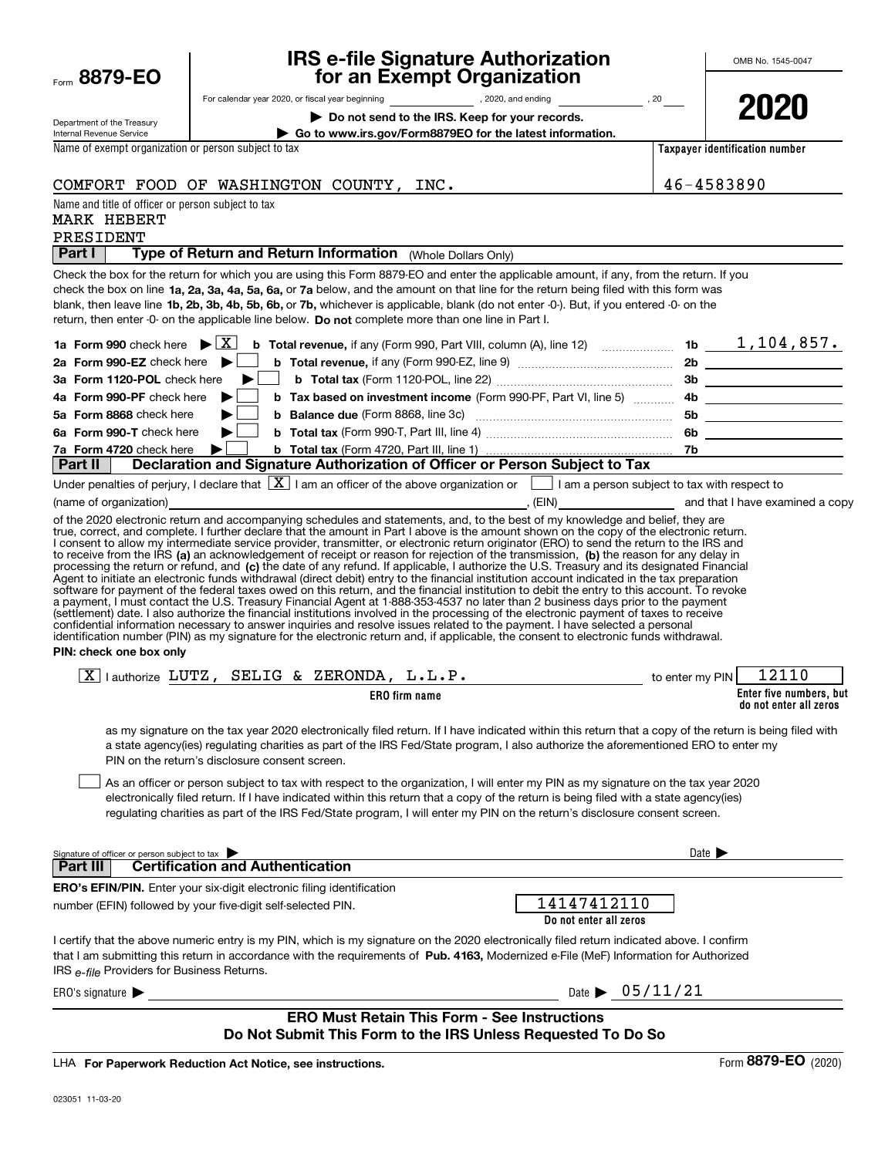|                                                                                  |                                                                                                                                                                                                                                                                                                                                                                                                                                                                                                                                                                                                                                                                                                    |                                                     |                                       |                            | 2020                                                                                                                                                                                                                          |
|----------------------------------------------------------------------------------|----------------------------------------------------------------------------------------------------------------------------------------------------------------------------------------------------------------------------------------------------------------------------------------------------------------------------------------------------------------------------------------------------------------------------------------------------------------------------------------------------------------------------------------------------------------------------------------------------------------------------------------------------------------------------------------------------|-----------------------------------------------------|---------------------------------------|----------------------------|-------------------------------------------------------------------------------------------------------------------------------------------------------------------------------------------------------------------------------|
| Department of the Treasury                                                       |                                                                                                                                                                                                                                                                                                                                                                                                                                                                                                                                                                                                                                                                                                    | Do not send to the IRS. Keep for your records.      |                                       |                            |                                                                                                                                                                                                                               |
| Internal Revenue Service<br>Name of exempt organization or person subject to tax | Go to www.irs.gov/Form8879EO for the latest information.                                                                                                                                                                                                                                                                                                                                                                                                                                                                                                                                                                                                                                           |                                                     |                                       |                            | Taxpayer identification number                                                                                                                                                                                                |
|                                                                                  |                                                                                                                                                                                                                                                                                                                                                                                                                                                                                                                                                                                                                                                                                                    |                                                     |                                       |                            |                                                                                                                                                                                                                               |
|                                                                                  | COMFORT FOOD OF WASHINGTON COUNTY, INC.                                                                                                                                                                                                                                                                                                                                                                                                                                                                                                                                                                                                                                                            |                                                     |                                       | 46-4583890                 |                                                                                                                                                                                                                               |
| Name and title of officer or person subject to tax                               |                                                                                                                                                                                                                                                                                                                                                                                                                                                                                                                                                                                                                                                                                                    |                                                     |                                       |                            |                                                                                                                                                                                                                               |
| <b>MARK HEBERT</b>                                                               |                                                                                                                                                                                                                                                                                                                                                                                                                                                                                                                                                                                                                                                                                                    |                                                     |                                       |                            |                                                                                                                                                                                                                               |
| PRESIDENT<br>Part I                                                              | Type of Return and Return Information (Whole Dollars Only)                                                                                                                                                                                                                                                                                                                                                                                                                                                                                                                                                                                                                                         |                                                     |                                       |                            |                                                                                                                                                                                                                               |
|                                                                                  |                                                                                                                                                                                                                                                                                                                                                                                                                                                                                                                                                                                                                                                                                                    |                                                     |                                       |                            |                                                                                                                                                                                                                               |
|                                                                                  | Check the box for the return for which you are using this Form 8879-EO and enter the applicable amount, if any, from the return. If you<br>check the box on line 1a, 2a, 3a, 4a, 5a, 6a, or 7a below, and the amount on that line for the return being filed with this form was<br>blank, then leave line 1b, 2b, 3b, 4b, 5b, 6b, or 7b, whichever is applicable, blank (do not enter -0-). But, if you entered -0- on the<br>return, then enter -0- on the applicable line below. Do not complete more than one line in Part I.                                                                                                                                                                   |                                                     |                                       |                            |                                                                                                                                                                                                                               |
|                                                                                  |                                                                                                                                                                                                                                                                                                                                                                                                                                                                                                                                                                                                                                                                                                    |                                                     |                                       |                            |                                                                                                                                                                                                                               |
| 2a Form 990-EZ check here $\blacktriangleright$                                  |                                                                                                                                                                                                                                                                                                                                                                                                                                                                                                                                                                                                                                                                                                    |                                                     |                                       |                            |                                                                                                                                                                                                                               |
| 3a Form 1120-POL check here                                                      | ▶                                                                                                                                                                                                                                                                                                                                                                                                                                                                                                                                                                                                                                                                                                  |                                                     |                                       |                            |                                                                                                                                                                                                                               |
| 4a Form 990-PF check here                                                        |                                                                                                                                                                                                                                                                                                                                                                                                                                                                                                                                                                                                                                                                                                    |                                                     |                                       |                            |                                                                                                                                                                                                                               |
| 5a Form 8868 check here                                                          |                                                                                                                                                                                                                                                                                                                                                                                                                                                                                                                                                                                                                                                                                                    |                                                     |                                       |                            |                                                                                                                                                                                                                               |
| 6a Form 990-T check here                                                         | ▶∣                                                                                                                                                                                                                                                                                                                                                                                                                                                                                                                                                                                                                                                                                                 |                                                     |                                       |                            |                                                                                                                                                                                                                               |
| 7a Form 4720 check here                                                          | $\blacktriangleright$ $\vdash$                                                                                                                                                                                                                                                                                                                                                                                                                                                                                                                                                                                                                                                                     |                                                     |                                       |                            |                                                                                                                                                                                                                               |
| Part II                                                                          | Declaration and Signature Authorization of Officer or Person Subject to Tax                                                                                                                                                                                                                                                                                                                                                                                                                                                                                                                                                                                                                        |                                                     |                                       |                            |                                                                                                                                                                                                                               |
|                                                                                  | Under penalties of perjury, I declare that $\boxed{\mathbf{X}}$ I am an officer of the above organization or $\boxed{\phantom{\mathbf{X}}}$ I am a person subject to tax with respect to                                                                                                                                                                                                                                                                                                                                                                                                                                                                                                           |                                                     |                                       |                            |                                                                                                                                                                                                                               |
| (name of organization)                                                           | of the 2020 electronic return and accompanying schedules and statements, and, to the best of my knowledge and belief, they are                                                                                                                                                                                                                                                                                                                                                                                                                                                                                                                                                                     |                                                     |                                       |                            | end that I have examined a copy of the set of the set of the set of the set of the set of the set of the set of the set of the set of the set of the set of the set of the set of the set of the set of the set of the set of |
| PIN: check one box only                                                          | software for payment of the federal taxes owed on this return, and the financial institution to debit the entry to this account. To revoke<br>a payment, I must contact the U.S. Treasury Financial Agent at 1-888-353-4537 no later than 2 business days prior to the payment<br>(settlement) date. I also authorize the financial institutions involved in the processing of the electronic payment of taxes to receive<br>confidential information necessary to answer inquiries and resolve issues related to the payment. I have selected a personal<br>identification number (PIN) as my signature for the electronic return and, if applicable, the consent to electronic funds withdrawal. |                                                     |                                       |                            |                                                                                                                                                                                                                               |
|                                                                                  | $\boxed{X}$ authorize LUTZ, SELIG & ZERONDA, L.L.P.                                                                                                                                                                                                                                                                                                                                                                                                                                                                                                                                                                                                                                                |                                                     |                                       |                            |                                                                                                                                                                                                                               |
|                                                                                  |                                                                                                                                                                                                                                                                                                                                                                                                                                                                                                                                                                                                                                                                                                    | <b>ERO</b> firm name                                |                                       |                            | Enter five numbers, but<br>do not enter all zeros                                                                                                                                                                             |
|                                                                                  | as my signature on the tax year 2020 electronically filed return. If I have indicated within this return that a copy of the return is being filed with<br>a state agency(ies) regulating charities as part of the IRS Fed/State program, I also authorize the aforementioned ERO to enter my<br>PIN on the return's disclosure consent screen.                                                                                                                                                                                                                                                                                                                                                     |                                                     |                                       |                            |                                                                                                                                                                                                                               |
|                                                                                  | As an officer or person subject to tax with respect to the organization, I will enter my PIN as my signature on the tax year 2020<br>electronically filed return. If I have indicated within this return that a copy of the return is being filed with a state agency(ies)<br>regulating charities as part of the IRS Fed/State program, I will enter my PIN on the return's disclosure consent screen.                                                                                                                                                                                                                                                                                            |                                                     |                                       |                            |                                                                                                                                                                                                                               |
| Signature of officer or person subject to tax<br>Part III                        | <b>Certification and Authentication</b>                                                                                                                                                                                                                                                                                                                                                                                                                                                                                                                                                                                                                                                            |                                                     |                                       | Date $\blacktriangleright$ |                                                                                                                                                                                                                               |
|                                                                                  | <b>ERO's EFIN/PIN.</b> Enter your six-digit electronic filing identification                                                                                                                                                                                                                                                                                                                                                                                                                                                                                                                                                                                                                       |                                                     |                                       |                            |                                                                                                                                                                                                                               |
|                                                                                  | number (EFIN) followed by your five-digit self-selected PIN.                                                                                                                                                                                                                                                                                                                                                                                                                                                                                                                                                                                                                                       |                                                     | 14147412110<br>Do not enter all zeros |                            |                                                                                                                                                                                                                               |
| IRS e-file Providers for Business Returns.                                       | I certify that the above numeric entry is my PIN, which is my signature on the 2020 electronically filed return indicated above. I confirm<br>that I am submitting this return in accordance with the requirements of Pub. 4163, Modernized e-File (MeF) Information for Authorized                                                                                                                                                                                                                                                                                                                                                                                                                |                                                     |                                       |                            |                                                                                                                                                                                                                               |
| ERO's signature $\blacktriangleright$                                            |                                                                                                                                                                                                                                                                                                                                                                                                                                                                                                                                                                                                                                                                                                    |                                                     | Date $\triangleright$ 05/11/21        |                            |                                                                                                                                                                                                                               |
|                                                                                  | Do Not Submit This Form to the IRS Unless Requested To Do So                                                                                                                                                                                                                                                                                                                                                                                                                                                                                                                                                                                                                                       | <b>ERO Must Retain This Form - See Instructions</b> |                                       |                            |                                                                                                                                                                                                                               |
|                                                                                  | LHA For Paperwork Reduction Act Notice, see instructions.                                                                                                                                                                                                                                                                                                                                                                                                                                                                                                                                                                                                                                          |                                                     |                                       |                            | Form 8879-EO (2020)                                                                                                                                                                                                           |

**IRS e-file Signature Authorization**

**for an Exempt Organization**

OMB No. 1545-0047

LHA For Paperwork Reduction Act Notice, see instructions.

Form **8879-EO**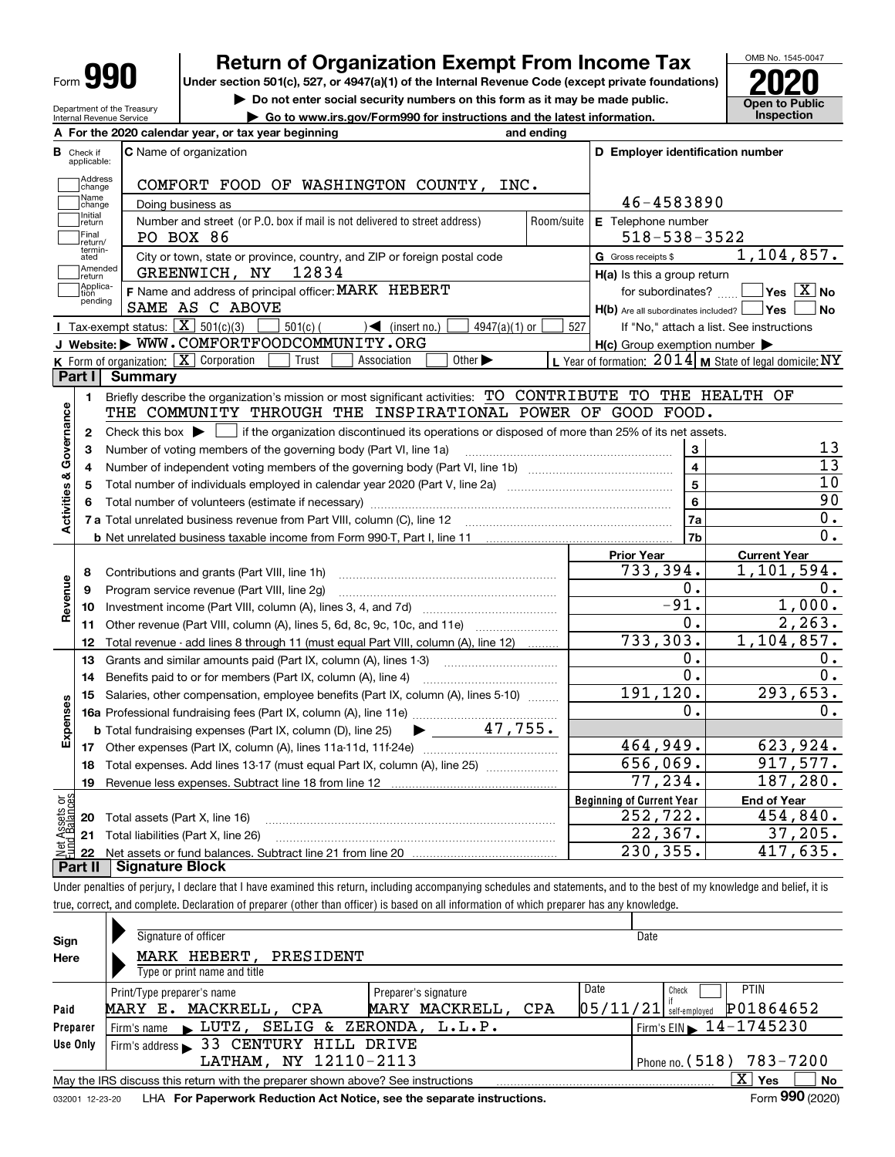| Form |
|------|
|------|

Department of the Treasury Internal Revenue Service

# **Return of Organization Exempt From Income Tax**

**Under section 501(c), 527, or 4947(a)(1) of the Internal Revenue Code (except private foundations) 2020**

**| Do not enter social security numbers on this form as it may be made public.**

**| Go to www.irs.gov/Form990 for instructions and the latest information. Inspection**



|                         |                             | A For the 2020 calendar year, or tax year beginning                                                                                         | and ending |                                                                       |                                                           |
|-------------------------|-----------------------------|---------------------------------------------------------------------------------------------------------------------------------------------|------------|-----------------------------------------------------------------------|-----------------------------------------------------------|
| В                       | Check if<br>applicable:     | <b>C</b> Name of organization                                                                                                               |            | D Employer identification number                                      |                                                           |
|                         | Address<br>change           | COMFORT FOOD OF WASHINGTON COUNTY, INC.                                                                                                     |            |                                                                       |                                                           |
|                         | Name<br>change              | Doing business as                                                                                                                           |            | 46-4583890                                                            |                                                           |
|                         | -<br>]Initial<br>]return    | Number and street (or P.O. box if mail is not delivered to street address)                                                                  | Room/suite | E Telephone number                                                    |                                                           |
|                         | Final<br>return/            | PO BOX 86                                                                                                                                   |            | $518 - 538 - 3522$                                                    |                                                           |
|                         | termin-<br>ated             | City or town, state or province, country, and ZIP or foreign postal code                                                                    |            | G Gross receipts \$                                                   | 1, 104, 857.                                              |
|                         | Amended<br>İreturn          | 12834<br>GREENWICH, NY                                                                                                                      |            | $H(a)$ is this a group return                                         |                                                           |
|                         | Applica-<br>tion<br>pending | F Name and address of principal officer: MARK HEBERT<br>SAME AS C ABOVE                                                                     |            | for subordinates?<br>$H(b)$ Are all subordinates included? $\Box$ Yes | $\boxed{\phantom{1}}$ Yes $\boxed{\mathrm{X}}$ No<br>∣No  |
|                         |                             | Tax-exempt status: $\boxed{\mathbf{X}}$ 501(c)(3)<br>$\sqrt{\frac{1}{1}}$ (insert no.)<br>$501(c)$ (<br>$4947(a)(1)$ or                     | 527        |                                                                       | If "No," attach a list. See instructions                  |
|                         |                             | J Website: WWW.COMFORTFOODCOMMUNITY.ORG                                                                                                     |            | $H(c)$ Group exemption number $\blacktriangleright$                   |                                                           |
|                         |                             | K Form of organization: $X$ Corporation<br>Trust<br>Other $\blacktriangleright$<br>Association                                              |            |                                                                       | L Year of formation: $2014$ M State of legal domicile: NY |
| Part I                  |                             | Summary                                                                                                                                     |            |                                                                       |                                                           |
|                         | 1.                          | Briefly describe the organization's mission or most significant activities: TO CONTRIBUTE TO THE HEALTH OF                                  |            |                                                                       |                                                           |
|                         |                             | THE COMMUNITY THROUGH THE INSPIRATIONAL POWER OF GOOD FOOD.                                                                                 |            |                                                                       |                                                           |
| Activities & Governance | $\mathbf{2}$                | Check this box $\blacktriangleright$ $\Box$ if the organization discontinued its operations or disposed of more than 25% of its net assets. |            |                                                                       |                                                           |
|                         | 3                           | Number of voting members of the governing body (Part VI, line 1a)                                                                           |            | 3                                                                     | 13                                                        |
|                         | 4                           |                                                                                                                                             |            | $\overline{\mathbf{4}}$                                               | $\overline{13}$                                           |
|                         | 5                           | Total number of individuals employed in calendar year 2020 (Part V, line 2a) manufacture controller to intervent                            |            | 5                                                                     | 10                                                        |
|                         | 6                           |                                                                                                                                             |            | 6                                                                     | 90                                                        |
|                         |                             |                                                                                                                                             |            | 7a                                                                    | 0.                                                        |
|                         |                             |                                                                                                                                             |            | 7 <sub>b</sub>                                                        | $0$ .                                                     |
|                         |                             |                                                                                                                                             |            | <b>Prior Year</b>                                                     | <b>Current Year</b>                                       |
|                         | 8                           | Contributions and grants (Part VIII, line 1h)                                                                                               |            | 733,394.                                                              | 1,101,594.                                                |
| Revenue                 | 9                           | Program service revenue (Part VIII, line 2g)                                                                                                |            | 0.                                                                    | 0.                                                        |
|                         | 10                          |                                                                                                                                             |            | $-91.$                                                                | 1,000.                                                    |
|                         | 11                          | Other revenue (Part VIII, column (A), lines 5, 6d, 8c, 9c, 10c, and 11e)                                                                    |            | 0.                                                                    | 2, 263.                                                   |
|                         | 12                          | Total revenue - add lines 8 through 11 (must equal Part VIII, column (A), line 12)                                                          |            | 733, 303.                                                             | 1,104,857.                                                |
|                         | 13                          | Grants and similar amounts paid (Part IX, column (A), lines 1-3)                                                                            |            | 0.                                                                    | 0.                                                        |
|                         | 14                          | Benefits paid to or for members (Part IX, column (A), line 4)                                                                               |            | $\overline{0}$ .                                                      | $\overline{0}$ .                                          |
|                         | 15                          | Salaries, other compensation, employee benefits (Part IX, column (A), lines 5-10)                                                           |            | 191, 120.                                                             | 293,653.                                                  |
| Expenses                |                             |                                                                                                                                             |            | 0.                                                                    | 0.                                                        |
|                         |                             | 47,755.<br><b>b</b> Total fundraising expenses (Part IX, column (D), line 25)                                                               |            |                                                                       |                                                           |
|                         |                             |                                                                                                                                             |            | 464,949.                                                              | 623,924.                                                  |
|                         | 18                          | Total expenses. Add lines 13-17 (must equal Part IX, column (A), line 25)                                                                   |            | 656,069.                                                              | 917,577.                                                  |
|                         | 19                          |                                                                                                                                             |            | 77,234.                                                               | 187,280.                                                  |
| ងខ្លី                   |                             |                                                                                                                                             |            | <b>Beginning of Current Year</b>                                      | <b>End of Year</b>                                        |
| Assets<br>Balanc        |                             | <b>20</b> Total assets (Part X, line 16)                                                                                                    |            | 252,722.                                                              | 454,840.                                                  |
|                         |                             | 21 Total liabilities (Part X, line 26)                                                                                                      |            | 22,367.                                                               | 37,205.                                                   |
|                         | $22\,$                      |                                                                                                                                             |            | 230,355.                                                              | 417,635.                                                  |

**Part II Signature Block**

Under penalties of perjury, I declare that I have examined this return, including accompanying schedules and statements, and to the best of my knowledge and belief, it is true, correct, and complete. Declaration of preparer (other than officer) is based on all information of which preparer has any knowledge.

| Sign            | Signature of officer                                                                                |                      | Date                                       |  |  |  |  |  |
|-----------------|-----------------------------------------------------------------------------------------------------|----------------------|--------------------------------------------|--|--|--|--|--|
| Here            | MARK HEBERT, PRESIDENT                                                                              |                      |                                            |  |  |  |  |  |
|                 | Type or print name and title                                                                        |                      |                                            |  |  |  |  |  |
|                 | Print/Type preparer's name                                                                          | Preparer's signature | Date<br><b>PTIN</b><br>Check               |  |  |  |  |  |
| Paid            | MARY E. MACKRELL, CPA                                                                               | MARY MACKRELL, CPA   | P01864652<br> 05/11/21 <br>self-emploved   |  |  |  |  |  |
| Preparer        | Firm's name LUTZ, SELIG & ZERONDA, L.L.P.                                                           |                      | $1$ Firm's EIN $\triangleright$ 14-1745230 |  |  |  |  |  |
| Use Only        | Firm's address > 33 CENTURY HILL DRIVE                                                              |                      |                                            |  |  |  |  |  |
|                 | LATHAM, NY 12110-2113                                                                               |                      | Phone no. (518) 783-7200                   |  |  |  |  |  |
|                 | X  <br>No<br>May the IRS discuss this return with the preparer shown above? See instructions<br>Yes |                      |                                            |  |  |  |  |  |
| 032001 12-23-20 | LHA For Paperwork Reduction Act Notice, see the separate instructions.                              |                      | Form 990 (2020)                            |  |  |  |  |  |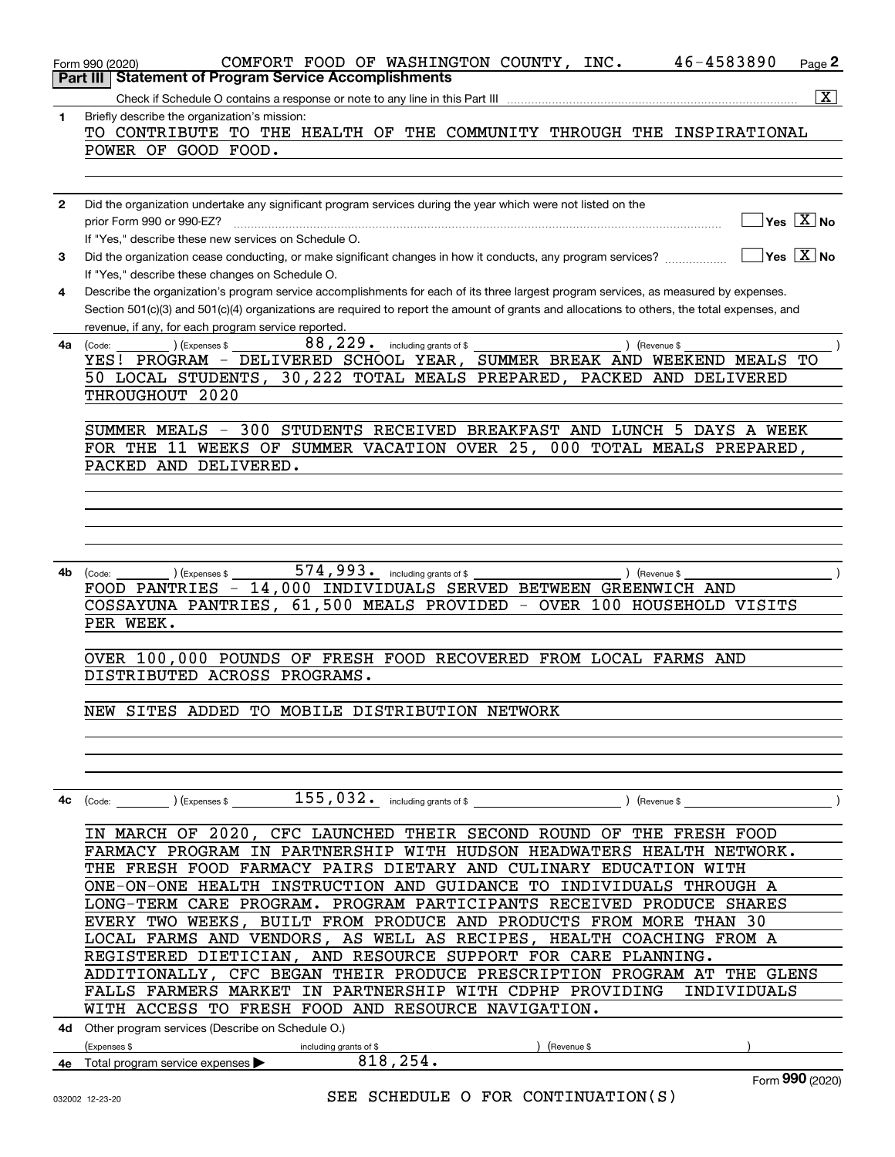|              | 46-4583890<br>COMFORT FOOD OF WASHINGTON COUNTY, INC.<br>Page 2<br>Form 990 (2020)                                                                                                      |
|--------------|-----------------------------------------------------------------------------------------------------------------------------------------------------------------------------------------|
|              | Part III   Statement of Program Service Accomplishments                                                                                                                                 |
|              | $\overline{\textbf{X}}$                                                                                                                                                                 |
| 1            | Briefly describe the organization's mission:<br>TO CONTRIBUTE TO THE HEALTH OF THE COMMUNITY THROUGH THE INSPIRATIONAL                                                                  |
|              | POWER OF GOOD FOOD.                                                                                                                                                                     |
|              |                                                                                                                                                                                         |
|              |                                                                                                                                                                                         |
| $\mathbf{2}$ | Did the organization undertake any significant program services during the year which were not listed on the                                                                            |
|              | $Yes \ \boxed{X}$ No<br>prior Form 990 or 990-EZ?                                                                                                                                       |
|              | If "Yes," describe these new services on Schedule O.                                                                                                                                    |
| 3            | $ Yes  \times  No $<br>Did the organization cease conducting, or make significant changes in how it conducts, any program services?                                                     |
| 4            | If "Yes," describe these changes on Schedule O.<br>Describe the organization's program service accomplishments for each of its three largest program services, as measured by expenses. |
|              | Section 501(c)(3) and 501(c)(4) organizations are required to report the amount of grants and allocations to others, the total expenses, and                                            |
|              | revenue, if any, for each program service reported.                                                                                                                                     |
|              | 88, 229. including grants of \$<br>) (Revenue \$<br>4a (Code:<br>) (Expenses \$                                                                                                         |
|              | YES! PROGRAM - DELIVERED SCHOOL YEAR, SUMMER BREAK AND WEEKEND MEALS TO                                                                                                                 |
|              | 50 LOCAL STUDENTS, 30, 222 TOTAL MEALS PREPARED, PACKED AND DELIVERED                                                                                                                   |
|              | THROUGHOUT 2020                                                                                                                                                                         |
|              | 300 STUDENTS RECEIVED BREAKFAST AND LUNCH 5 DAYS A WEEK<br>SUMMER MEALS -                                                                                                               |
|              | FOR THE 11 WEEKS OF SUMMER VACATION OVER 25, 000 TOTAL MEALS PREPARED,                                                                                                                  |
|              | PACKED AND DELIVERED.                                                                                                                                                                   |
|              |                                                                                                                                                                                         |
|              |                                                                                                                                                                                         |
|              |                                                                                                                                                                                         |
|              |                                                                                                                                                                                         |
| 4b           | 574, 993. including grants of \$<br>(Expenses \$<br>(Code:<br>) (Revenue \$                                                                                                             |
|              | FOOD PANTRIES - 14,000 INDIVIDUALS SERVED BETWEEN GREENWICH AND                                                                                                                         |
|              | COSSAYUNA PANTRIES, 61,500 MEALS PROVIDED - OVER 100 HOUSEHOLD VISITS                                                                                                                   |
|              | PER WEEK.                                                                                                                                                                               |
|              | OVER 100,000 POUNDS OF FRESH FOOD RECOVERED FROM LOCAL FARMS AND                                                                                                                        |
|              | DISTRIBUTED ACROSS PROGRAMS.                                                                                                                                                            |
|              |                                                                                                                                                                                         |
|              | NEW SITES ADDED TO MOBILE DISTRIBUTION NETWORK                                                                                                                                          |
|              |                                                                                                                                                                                         |
|              |                                                                                                                                                                                         |
|              |                                                                                                                                                                                         |
| 4с           | $(\text{Code:}\_\_)$ (Expenses \$ $155,032$ and $\frac{1}{50}$ including grants of \$ $\frac{1}{50}$ ) (Revenue \$                                                                      |
|              |                                                                                                                                                                                         |
|              | IN MARCH OF 2020, CFC LAUNCHED THEIR SECOND ROUND OF THE FRESH FOOD                                                                                                                     |
|              | FARMACY PROGRAM IN PARTNERSHIP WITH HUDSON HEADWATERS HEALTH NETWORK.                                                                                                                   |
|              | THE FRESH FOOD FARMACY PAIRS DIETARY AND CULINARY EDUCATION WITH                                                                                                                        |
|              | ONE-ON-ONE HEALTH INSTRUCTION AND GUIDANCE TO INDIVIDUALS THROUGH A                                                                                                                     |
|              | LONG-TERM CARE PROGRAM. PROGRAM PARTICIPANTS RECEIVED PRODUCE SHARES<br>EVERY TWO WEEKS, BUILT FROM PRODUCE AND PRODUCTS FROM MORE THAN 30                                              |
|              | LOCAL FARMS AND VENDORS, AS WELL AS RECIPES, HEALTH COACHING FROM A                                                                                                                     |
|              | REGISTERED DIETICIAN, AND RESOURCE SUPPORT FOR CARE PLANNING.                                                                                                                           |
|              | ADDITIONALLY, CFC BEGAN THEIR PRODUCE PRESCRIPTION PROGRAM AT THE GLENS                                                                                                                 |
|              | FALLS FARMERS MARKET IN PARTNERSHIP WITH CDPHP PROVIDING INDIVIDUALS                                                                                                                    |
|              | WITH ACCESS TO FRESH FOOD AND RESOURCE NAVIGATION.                                                                                                                                      |
|              | 4d Other program services (Describe on Schedule O.)                                                                                                                                     |
|              | (Expenses \$<br>including grants of \$<br>) (Revenue \$<br>818, 254.                                                                                                                    |
|              | 4e Total program service expenses ><br>Form 990 (2020)                                                                                                                                  |
|              |                                                                                                                                                                                         |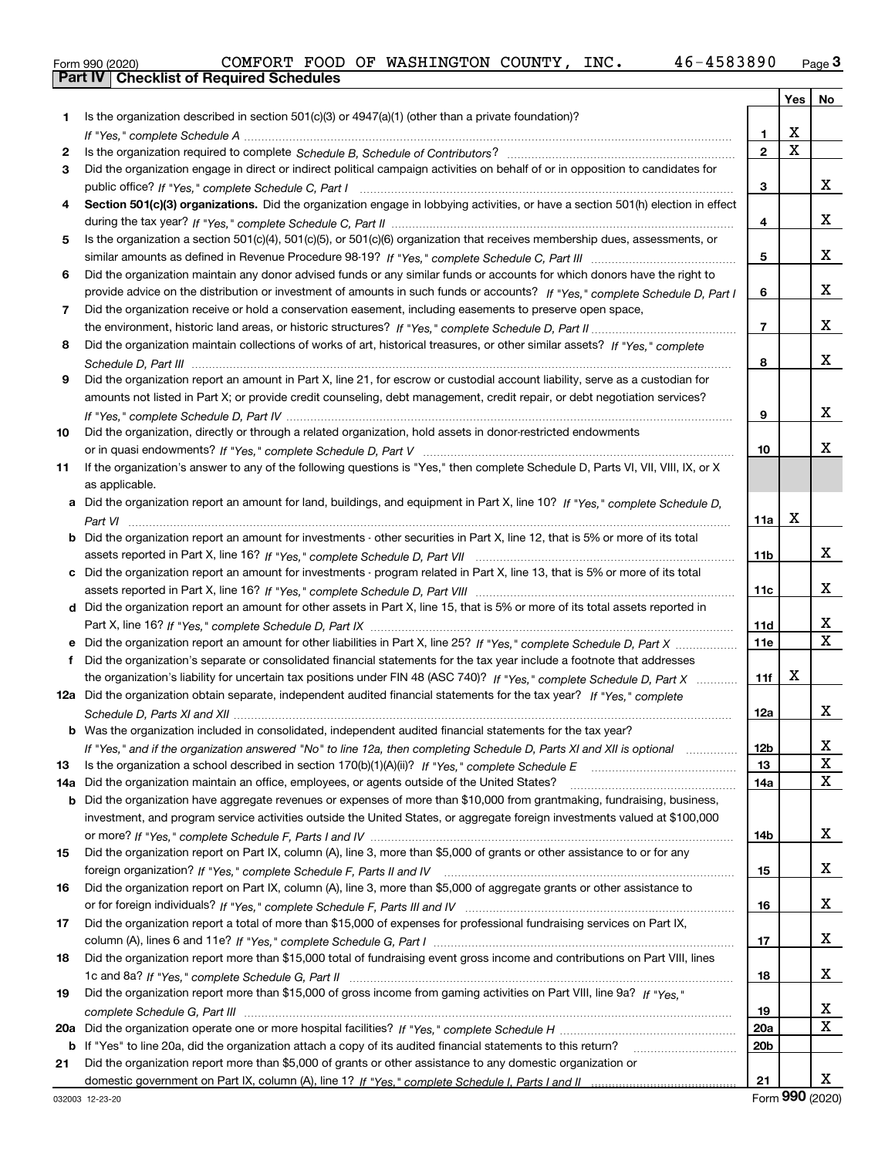|  | Form 990 (2020) |
|--|-----------------|

|     |                                                                                                                                               |                          | Yes $ $     | No                      |
|-----|-----------------------------------------------------------------------------------------------------------------------------------------------|--------------------------|-------------|-------------------------|
| 1   | Is the organization described in section $501(c)(3)$ or $4947(a)(1)$ (other than a private foundation)?                                       |                          |             |                         |
|     |                                                                                                                                               | 1                        | х           |                         |
| 2   |                                                                                                                                               | $\overline{2}$           | $\mathbf X$ |                         |
| 3   | Did the organization engage in direct or indirect political campaign activities on behalf of or in opposition to candidates for               |                          |             |                         |
|     |                                                                                                                                               | 3                        |             | X.                      |
| 4   | Section 501(c)(3) organizations. Did the organization engage in lobbying activities, or have a section 501(h) election in effect              |                          |             |                         |
|     |                                                                                                                                               | 4                        |             | X.                      |
| 5   | Is the organization a section 501(c)(4), 501(c)(5), or 501(c)(6) organization that receives membership dues, assessments, or                  |                          |             |                         |
|     |                                                                                                                                               | 5                        |             | X.                      |
| 6   | Did the organization maintain any donor advised funds or any similar funds or accounts for which donors have the right to                     |                          |             |                         |
|     | provide advice on the distribution or investment of amounts in such funds or accounts? If "Yes," complete Schedule D, Part I                  | 6                        |             | x                       |
| 7   | Did the organization receive or hold a conservation easement, including easements to preserve open space,                                     |                          |             |                         |
|     |                                                                                                                                               | $\overline{\phantom{a}}$ |             | x                       |
| 8   | Did the organization maintain collections of works of art, historical treasures, or other similar assets? If "Yes," complete                  |                          |             |                         |
|     |                                                                                                                                               | 8                        |             | x                       |
| 9   | Did the organization report an amount in Part X, line 21, for escrow or custodial account liability, serve as a custodian for                 |                          |             |                         |
|     | amounts not listed in Part X; or provide credit counseling, debt management, credit repair, or debt negotiation services?                     |                          |             | x                       |
|     |                                                                                                                                               | 9                        |             |                         |
| 10  | Did the organization, directly or through a related organization, hold assets in donor-restricted endowments                                  |                          |             | x.                      |
|     |                                                                                                                                               | 10                       |             |                         |
| 11  | If the organization's answer to any of the following questions is "Yes," then complete Schedule D, Parts VI, VII, VIII, IX, or X              |                          |             |                         |
|     | as applicable.<br>Did the organization report an amount for land, buildings, and equipment in Part X, line 10? If "Yes," complete Schedule D, |                          |             |                         |
|     |                                                                                                                                               | 11a                      | X           |                         |
|     | Did the organization report an amount for investments - other securities in Part X, line 12, that is 5% or more of its total                  |                          |             |                         |
| b   |                                                                                                                                               | 11b                      |             | x                       |
| c   | Did the organization report an amount for investments - program related in Part X, line 13, that is 5% or more of its total                   |                          |             |                         |
|     |                                                                                                                                               | 11c                      |             | X.                      |
|     | d Did the organization report an amount for other assets in Part X, line 15, that is 5% or more of its total assets reported in               |                          |             |                         |
|     |                                                                                                                                               | 11d                      |             | X                       |
|     | Did the organization report an amount for other liabilities in Part X, line 25? If "Yes," complete Schedule D, Part X                         | <b>11e</b>               |             | $\overline{\mathbf{x}}$ |
| f   | Did the organization's separate or consolidated financial statements for the tax year include a footnote that addresses                       |                          |             |                         |
|     | the organization's liability for uncertain tax positions under FIN 48 (ASC 740)? If "Yes," complete Schedule D, Part X                        | 11f                      | X.          |                         |
|     | 12a Did the organization obtain separate, independent audited financial statements for the tax year? If "Yes," complete                       |                          |             |                         |
|     |                                                                                                                                               | 12a                      |             | X.                      |
|     | <b>b</b> Was the organization included in consolidated, independent audited financial statements for the tax year?                            |                          |             |                         |
|     | If "Yes," and if the organization answered "No" to line 12a, then completing Schedule D, Parts XI and XII is optional                         | 12 <sub>b</sub>          |             | x                       |
| 13  | Is the organization a school described in section 170(b)(1)(A)(ii)? If "Yes," complete Schedule E                                             | 13                       |             | X                       |
| 14a | Did the organization maintain an office, employees, or agents outside of the United States?                                                   | <b>14a</b>               |             | x                       |
| b   | Did the organization have aggregate revenues or expenses of more than \$10,000 from grantmaking, fundraising, business,                       |                          |             |                         |
|     | investment, and program service activities outside the United States, or aggregate foreign investments valued at \$100,000                    |                          |             |                         |
|     |                                                                                                                                               | 14b                      |             | X.                      |
| 15  | Did the organization report on Part IX, column (A), line 3, more than \$5,000 of grants or other assistance to or for any                     |                          |             |                         |
|     |                                                                                                                                               | 15                       |             | X.                      |
| 16  | Did the organization report on Part IX, column (A), line 3, more than \$5,000 of aggregate grants or other assistance to                      |                          |             |                         |
|     |                                                                                                                                               | 16                       |             | X.                      |
| 17  | Did the organization report a total of more than \$15,000 of expenses for professional fundraising services on Part IX,                       |                          |             |                         |
|     |                                                                                                                                               | 17                       |             | X.                      |
| 18  | Did the organization report more than \$15,000 total of fundraising event gross income and contributions on Part VIII, lines                  |                          |             |                         |
|     |                                                                                                                                               | 18                       |             | X.                      |
| 19  | Did the organization report more than \$15,000 of gross income from gaming activities on Part VIII, line 9a? If "Yes."                        |                          |             |                         |
|     |                                                                                                                                               | 19                       |             | X                       |
| 20a |                                                                                                                                               | <b>20a</b>               |             | X                       |
| b   | If "Yes" to line 20a, did the organization attach a copy of its audited financial statements to this return?                                  | 20 <sub>b</sub>          |             |                         |
| 21  | Did the organization report more than \$5,000 of grants or other assistance to any domestic organization or                                   |                          |             |                         |
|     |                                                                                                                                               | 21                       |             | X.                      |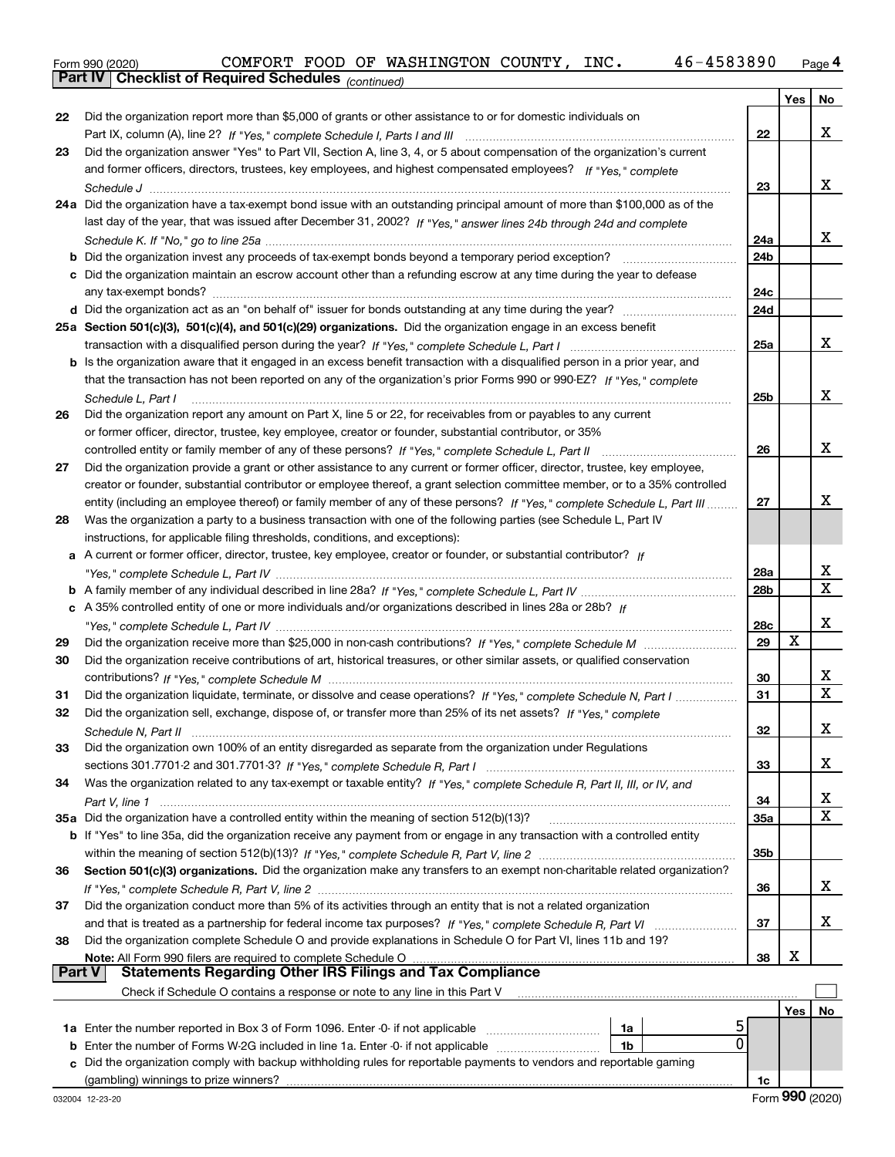| Form 990 (2020) |                                                              |  | COMFORT FOOD OF WASHINGTON COUNTY, | INC. | 46-4583890 | Page 4 |
|-----------------|--------------------------------------------------------------|--|------------------------------------|------|------------|--------|
|                 | <b>Part IV   Checklist of Required Schedules</b> (continued) |  |                                    |      |            |        |

|               | <b>Part IV</b><br>Crieckist of Required Scriedules (continued)                                                                                                                                                                                             |                 |     |              |
|---------------|------------------------------------------------------------------------------------------------------------------------------------------------------------------------------------------------------------------------------------------------------------|-----------------|-----|--------------|
|               |                                                                                                                                                                                                                                                            |                 | Yes | No           |
| 22            | Did the organization report more than \$5,000 of grants or other assistance to or for domestic individuals on                                                                                                                                              |                 |     |              |
|               |                                                                                                                                                                                                                                                            | 22              |     | x            |
| 23            | Did the organization answer "Yes" to Part VII, Section A, line 3, 4, or 5 about compensation of the organization's current                                                                                                                                 |                 |     |              |
|               | and former officers, directors, trustees, key employees, and highest compensated employees? If "Yes," complete                                                                                                                                             |                 |     |              |
|               |                                                                                                                                                                                                                                                            | 23              |     | x            |
|               | 24a Did the organization have a tax-exempt bond issue with an outstanding principal amount of more than \$100,000 as of the                                                                                                                                |                 |     |              |
|               | last day of the year, that was issued after December 31, 2002? If "Yes," answer lines 24b through 24d and complete                                                                                                                                         |                 |     |              |
|               |                                                                                                                                                                                                                                                            | 24a             |     | x            |
|               | <b>b</b> Did the organization invest any proceeds of tax-exempt bonds beyond a temporary period exception?                                                                                                                                                 | 24b             |     |              |
|               | c Did the organization maintain an escrow account other than a refunding escrow at any time during the year to defease                                                                                                                                     |                 |     |              |
|               | any tax-exempt bonds?                                                                                                                                                                                                                                      | 24c             |     |              |
|               | d Did the organization act as an "on behalf of" issuer for bonds outstanding at any time during the year?                                                                                                                                                  | 24d             |     |              |
|               | 25a Section 501(c)(3), 501(c)(4), and 501(c)(29) organizations. Did the organization engage in an excess benefit                                                                                                                                           |                 |     | x            |
|               |                                                                                                                                                                                                                                                            | 25a             |     |              |
|               | b Is the organization aware that it engaged in an excess benefit transaction with a disqualified person in a prior year, and                                                                                                                               |                 |     |              |
|               | that the transaction has not been reported on any of the organization's prior Forms 990 or 990-EZ? If "Yes," complete                                                                                                                                      |                 |     | x            |
|               | Schedule L, Part I                                                                                                                                                                                                                                         | 25b             |     |              |
| 26            | Did the organization report any amount on Part X, line 5 or 22, for receivables from or payables to any current                                                                                                                                            |                 |     |              |
|               | or former officer, director, trustee, key employee, creator or founder, substantial contributor, or 35%                                                                                                                                                    | 26              |     | x            |
|               |                                                                                                                                                                                                                                                            |                 |     |              |
| 27            | Did the organization provide a grant or other assistance to any current or former officer, director, trustee, key employee,<br>creator or founder, substantial contributor or employee thereof, a grant selection committee member, or to a 35% controlled |                 |     |              |
|               | entity (including an employee thereof) or family member of any of these persons? If "Yes," complete Schedule L, Part III                                                                                                                                   | 27              |     | x            |
| 28            | Was the organization a party to a business transaction with one of the following parties (see Schedule L, Part IV                                                                                                                                          |                 |     |              |
|               | instructions, for applicable filing thresholds, conditions, and exceptions):                                                                                                                                                                               |                 |     |              |
|               | a A current or former officer, director, trustee, key employee, creator or founder, or substantial contributor? If                                                                                                                                         |                 |     |              |
|               |                                                                                                                                                                                                                                                            | 28a             |     | x            |
|               |                                                                                                                                                                                                                                                            | 28 <sub>b</sub> |     | $\mathbf{X}$ |
|               | c A 35% controlled entity of one or more individuals and/or organizations described in lines 28a or 28b? If                                                                                                                                                |                 |     |              |
|               |                                                                                                                                                                                                                                                            | 28c             |     | x            |
| 29            |                                                                                                                                                                                                                                                            | 29              | Χ   |              |
| 30            | Did the organization receive contributions of art, historical treasures, or other similar assets, or qualified conservation                                                                                                                                |                 |     |              |
|               |                                                                                                                                                                                                                                                            | 30              |     | x            |
| 31            | Did the organization liquidate, terminate, or dissolve and cease operations? If "Yes," complete Schedule N, Part I                                                                                                                                         | 31              |     | х            |
| 32            | Did the organization sell, exchange, dispose of, or transfer more than 25% of its net assets? If "Yes," complete                                                                                                                                           |                 |     |              |
|               | Schedule N. Part II                                                                                                                                                                                                                                        | 32              |     | х            |
| 33            | Did the organization own 100% of an entity disregarded as separate from the organization under Regulations                                                                                                                                                 |                 |     |              |
|               |                                                                                                                                                                                                                                                            | 33              |     | x            |
| 34            | Was the organization related to any tax-exempt or taxable entity? If "Yes," complete Schedule R, Part II, III, or IV, and                                                                                                                                  |                 |     |              |
|               |                                                                                                                                                                                                                                                            | 34              |     | x            |
|               | 35a Did the organization have a controlled entity within the meaning of section 512(b)(13)?                                                                                                                                                                | <b>35a</b>      |     | X            |
|               | <b>b</b> If "Yes" to line 35a, did the organization receive any payment from or engage in any transaction with a controlled entity                                                                                                                         |                 |     |              |
|               |                                                                                                                                                                                                                                                            | 35b             |     |              |
| 36            | Section 501(c)(3) organizations. Did the organization make any transfers to an exempt non-charitable related organization?                                                                                                                                 |                 |     |              |
|               |                                                                                                                                                                                                                                                            | 36              |     | x            |
| 37            | Did the organization conduct more than 5% of its activities through an entity that is not a related organization                                                                                                                                           |                 |     |              |
|               |                                                                                                                                                                                                                                                            | 37              |     | x            |
| 38            | Did the organization complete Schedule O and provide explanations in Schedule O for Part VI, lines 11b and 19?                                                                                                                                             |                 |     |              |
|               | Note: All Form 990 filers are required to complete Schedule O                                                                                                                                                                                              | 38              | х   |              |
| <b>Part V</b> | <b>Statements Regarding Other IRS Filings and Tax Compliance</b>                                                                                                                                                                                           |                 |     |              |
|               | Check if Schedule O contains a response or note to any line in this Part V                                                                                                                                                                                 |                 |     |              |
|               |                                                                                                                                                                                                                                                            |                 | Yes | No           |
|               | 1a                                                                                                                                                                                                                                                         |                 |     |              |
|               | 0<br><b>b</b> Enter the number of Forms W-2G included in line 1a. Enter -0- if not applicable <i>manumumumum</i><br>1b                                                                                                                                     |                 |     |              |
|               | c Did the organization comply with backup withholding rules for reportable payments to vendors and reportable gaming                                                                                                                                       |                 |     |              |
|               | (gambling) winnings to prize winners?                                                                                                                                                                                                                      | 1c              |     |              |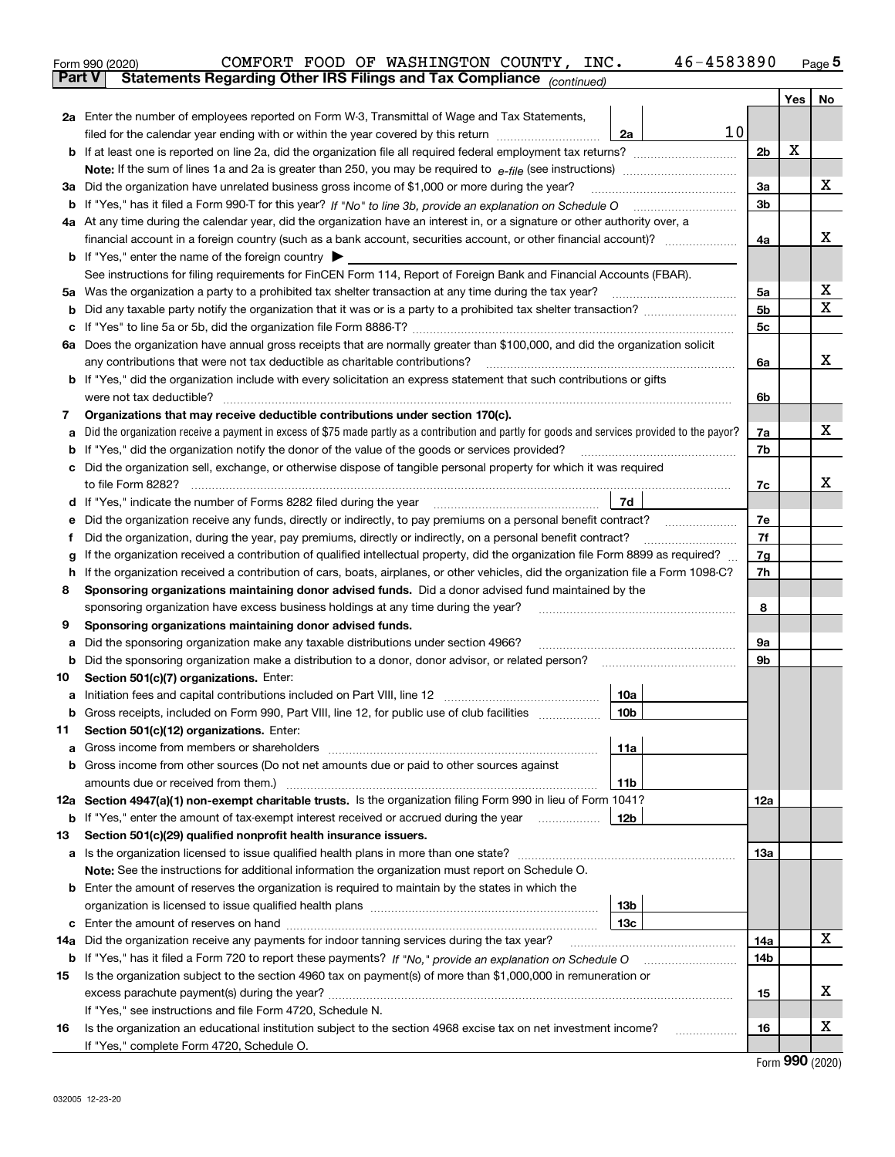|               | 46-4583890<br>COMFORT FOOD OF WASHINGTON COUNTY, INC.<br>Form 990 (2020)                                                                                     |                |     | $_{\text{Page}}$ 5 |
|---------------|--------------------------------------------------------------------------------------------------------------------------------------------------------------|----------------|-----|--------------------|
| <b>Part V</b> | Statements Regarding Other IRS Filings and Tax Compliance (continued)                                                                                        |                |     |                    |
|               |                                                                                                                                                              |                | Yes | No                 |
|               | 2a Enter the number of employees reported on Form W-3, Transmittal of Wage and Tax Statements,                                                               |                |     |                    |
|               | 10<br>filed for the calendar year ending with or within the year covered by this return<br>2a                                                                |                |     |                    |
|               |                                                                                                                                                              | 2 <sub>b</sub> | X   |                    |
|               |                                                                                                                                                              |                |     |                    |
| За            | Did the organization have unrelated business gross income of \$1,000 or more during the year?                                                                | 3a             |     | x                  |
| b             |                                                                                                                                                              | 3 <sub>b</sub> |     |                    |
|               | 4a At any time during the calendar year, did the organization have an interest in, or a signature or other authority over, a                                 |                |     |                    |
|               |                                                                                                                                                              | 4a             |     | х                  |
|               | <b>b</b> If "Yes," enter the name of the foreign country $\blacktriangleright$                                                                               |                |     |                    |
|               | See instructions for filing requirements for FinCEN Form 114, Report of Foreign Bank and Financial Accounts (FBAR).                                          |                |     |                    |
|               | 5a Was the organization a party to a prohibited tax shelter transaction at any time during the tax year?                                                     | 5a             |     | х                  |
| b             |                                                                                                                                                              | 5 <sub>b</sub> |     | X                  |
| c             |                                                                                                                                                              | 5c             |     |                    |
|               | 6a Does the organization have annual gross receipts that are normally greater than \$100,000, and did the organization solicit                               |                |     |                    |
|               | any contributions that were not tax deductible as charitable contributions?                                                                                  | 6a             |     | x                  |
|               | <b>b</b> If "Yes," did the organization include with every solicitation an express statement that such contributions or gifts                                |                |     |                    |
|               | were not tax deductible?                                                                                                                                     | 6b             |     |                    |
| 7             | Organizations that may receive deductible contributions under section 170(c).                                                                                |                |     |                    |
| а             | Did the organization receive a payment in excess of \$75 made partly as a contribution and partly for goods and services provided to the payor?              | 7a             |     | x                  |
| b             | If "Yes," did the organization notify the donor of the value of the goods or services provided?                                                              | 7b             |     |                    |
|               | c Did the organization sell, exchange, or otherwise dispose of tangible personal property for which it was required                                          |                |     |                    |
|               |                                                                                                                                                              | 7c             |     | х                  |
|               | 7d<br>d If "Yes," indicate the number of Forms 8282 filed during the year manufactured in the set of the summanum of                                         |                |     |                    |
| е             | Did the organization receive any funds, directly or indirectly, to pay premiums on a personal benefit contract?                                              | 7e             |     |                    |
| f             | Did the organization, during the year, pay premiums, directly or indirectly, on a personal benefit contract?                                                 | 7f             |     |                    |
| g             | If the organization received a contribution of qualified intellectual property, did the organization file Form 8899 as required?                             | 7g             |     |                    |
| h.            | If the organization received a contribution of cars, boats, airplanes, or other vehicles, did the organization file a Form 1098-C?                           | 7h             |     |                    |
| 8             | Sponsoring organizations maintaining donor advised funds. Did a donor advised fund maintained by the                                                         |                |     |                    |
|               | sponsoring organization have excess business holdings at any time during the year?                                                                           | 8              |     |                    |
| 9             | Sponsoring organizations maintaining donor advised funds.                                                                                                    |                |     |                    |
| а             | Did the sponsoring organization make any taxable distributions under section 4966?                                                                           | 9a             |     |                    |
| b             | Did the sponsoring organization make a distribution to a donor, donor advisor, or related person?                                                            | 9b             |     |                    |
| 10            | Section 501(c)(7) organizations. Enter:                                                                                                                      |                |     |                    |
|               | 10a                                                                                                                                                          |                |     |                    |
|               |                                                                                                                                                              |                |     |                    |
| 11            | Section 501(c)(12) organizations. Enter:                                                                                                                     |                |     |                    |
| a             | 11a                                                                                                                                                          |                |     |                    |
|               | <b>b</b> Gross income from other sources (Do not net amounts due or paid to other sources against                                                            |                |     |                    |
|               | 11 <sub>b</sub>                                                                                                                                              |                |     |                    |
|               | 12a Section 4947(a)(1) non-exempt charitable trusts. Is the organization filing Form 990 in lieu of Form 1041?                                               | 12a            |     |                    |
| b             | 12b<br>If "Yes," enter the amount of tax-exempt interest received or accrued during the year                                                                 |                |     |                    |
| 13            | Section 501(c)(29) qualified nonprofit health insurance issuers.                                                                                             |                |     |                    |
| а             | Is the organization licensed to issue qualified health plans in more than one state?                                                                         | 13а            |     |                    |
|               | Note: See the instructions for additional information the organization must report on Schedule O.                                                            |                |     |                    |
|               | <b>b</b> Enter the amount of reserves the organization is required to maintain by the states in which the                                                    |                |     |                    |
|               | 13b                                                                                                                                                          |                |     |                    |
|               | 13c                                                                                                                                                          |                |     | X                  |
| 14a           | Did the organization receive any payments for indoor tanning services during the tax year?                                                                   | 14a            |     |                    |
| b             |                                                                                                                                                              | 14b            |     |                    |
| 15            | Is the organization subject to the section 4960 tax on payment(s) of more than \$1,000,000 in remuneration or                                                |                |     | х                  |
|               |                                                                                                                                                              | 15             |     |                    |
|               | If "Yes," see instructions and file Form 4720, Schedule N.                                                                                                   |                |     | х                  |
| 16            | Is the organization an educational institution subject to the section 4968 excise tax on net investment income?<br>If "Yes," complete Form 4720, Schedule O. | 16             |     |                    |
|               |                                                                                                                                                              |                |     |                    |

|  |  | Form 990 (2020) |
|--|--|-----------------|
|--|--|-----------------|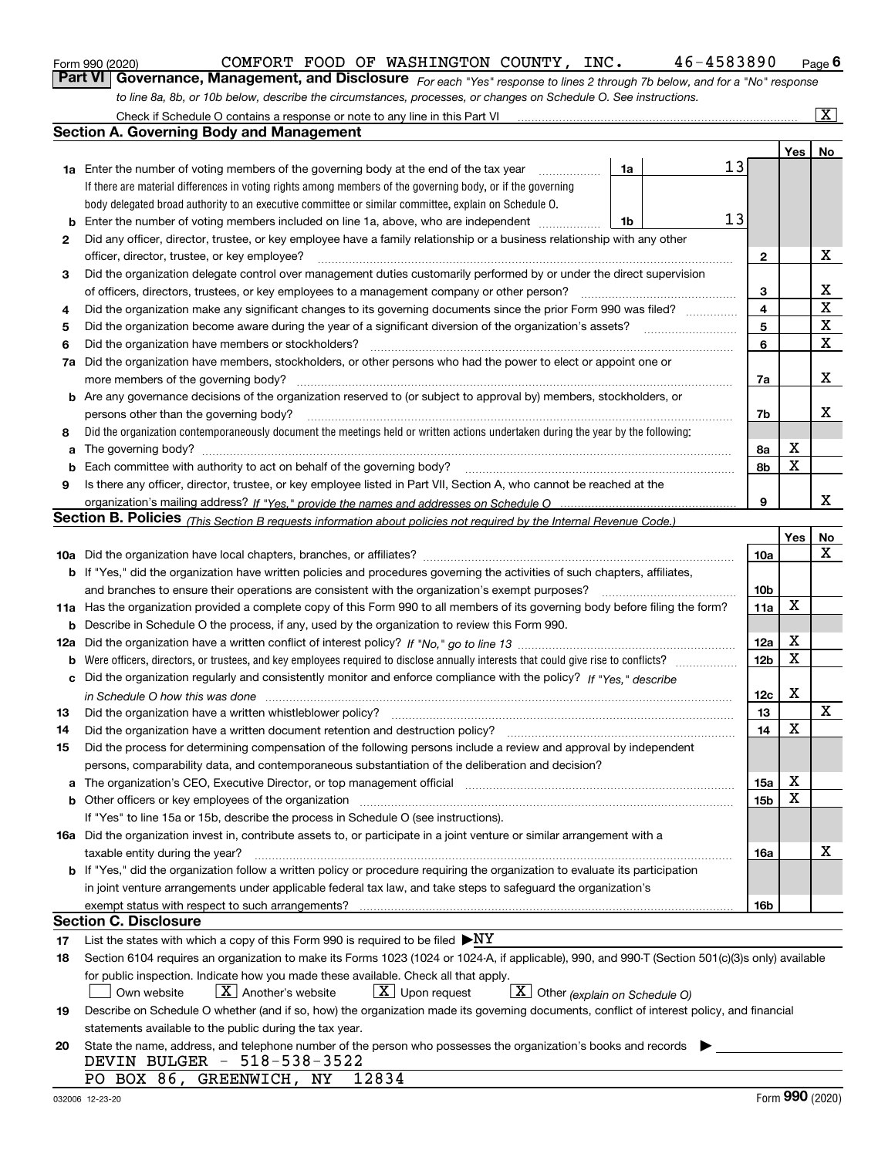|  | Form 990 (2020) |
|--|-----------------|
|  |                 |

| Form 990 (2020) |  |  | COMFORT FOOD OF WASHINGTON COUNTY, INC.                                                                          |  | 46-4583890                                                                                                                  | $P_{\text{aqe}}$ 6 |
|-----------------|--|--|------------------------------------------------------------------------------------------------------------------|--|-----------------------------------------------------------------------------------------------------------------------------|--------------------|
|                 |  |  |                                                                                                                  |  | Part VI Governance, Management, and Disclosure For each "Yes" response to lines 2 through 7b below, and for a "No" response |                    |
|                 |  |  | to line 8a, 8b, or 10b below, describe the circumstances, processes, or changes on Schedule O. See instructions. |  |                                                                                                                             |                    |

|    | Check if Schedule O contains a response or note to any line in this Part VI                                                                                                                                                    |                 |             | $\overline{\text{X}}$   |
|----|--------------------------------------------------------------------------------------------------------------------------------------------------------------------------------------------------------------------------------|-----------------|-------------|-------------------------|
|    | Section A. Governing Body and Management                                                                                                                                                                                       |                 |             |                         |
|    |                                                                                                                                                                                                                                |                 | Yes         | No                      |
|    | 13<br>1a<br><b>1a</b> Enter the number of voting members of the governing body at the end of the tax year <i>manumum</i>                                                                                                       |                 |             |                         |
|    | If there are material differences in voting rights among members of the governing body, or if the governing                                                                                                                    |                 |             |                         |
|    | body delegated broad authority to an executive committee or similar committee, explain on Schedule O.                                                                                                                          |                 |             |                         |
| b  | 13<br>Enter the number of voting members included on line 1a, above, who are independent<br>1b                                                                                                                                 |                 |             |                         |
| 2  | Did any officer, director, trustee, or key employee have a family relationship or a business relationship with any other                                                                                                       |                 |             |                         |
|    | officer, director, trustee, or key employee?                                                                                                                                                                                   | $\mathbf{2}$    |             | Х                       |
| 3  | Did the organization delegate control over management duties customarily performed by or under the direct supervision                                                                                                          |                 |             |                         |
|    | of officers, directors, trustees, or key employees to a management company or other person?                                                                                                                                    | 3               |             | х                       |
| 4  | Did the organization make any significant changes to its governing documents since the prior Form 990 was filed?                                                                                                               | 4               |             | $\overline{\mathbf{x}}$ |
| 5  | Did the organization become aware during the year of a significant diversion of the organization's assets?                                                                                                                     | 5               |             | $\mathbf X$             |
| 6  | Did the organization have members or stockholders?                                                                                                                                                                             | 6               |             | $\mathbf X$             |
| 7a | Did the organization have members, stockholders, or other persons who had the power to elect or appoint one or                                                                                                                 |                 |             |                         |
|    | more members of the governing body?                                                                                                                                                                                            | 7a              |             | х                       |
|    | <b>b</b> Are any governance decisions of the organization reserved to (or subject to approval by) members, stockholders, or                                                                                                    |                 |             |                         |
|    | persons other than the governing body?                                                                                                                                                                                         | 7b              |             | х                       |
| 8  | Did the organization contemporaneously document the meetings held or written actions undertaken during the year by the following:                                                                                              |                 |             |                         |
| a  | The governing body?                                                                                                                                                                                                            | 8a              | х           |                         |
| b  | Each committee with authority to act on behalf of the governing body?                                                                                                                                                          | 8b              | $\mathbf X$ |                         |
| 9  | Is there any officer, director, trustee, or key employee listed in Part VII, Section A, who cannot be reached at the                                                                                                           |                 |             |                         |
|    |                                                                                                                                                                                                                                | 9               |             | x                       |
|    | Section B. Policies <sub>(This Section B requests information about policies not required by the Internal Revenue Code.)</sub>                                                                                                 |                 |             |                         |
|    |                                                                                                                                                                                                                                |                 | Yes         | No                      |
|    |                                                                                                                                                                                                                                | 10a             |             | х                       |
|    | <b>b</b> If "Yes," did the organization have written policies and procedures governing the activities of such chapters, affiliates,                                                                                            |                 |             |                         |
|    | and branches to ensure their operations are consistent with the organization's exempt purposes?                                                                                                                                | 10b             |             |                         |
|    | 11a Has the organization provided a complete copy of this Form 990 to all members of its governing body before filing the form?                                                                                                | 11a             | X           |                         |
|    | <b>b</b> Describe in Schedule O the process, if any, used by the organization to review this Form 990.                                                                                                                         |                 |             |                         |
|    |                                                                                                                                                                                                                                | 12a             | х           |                         |
|    |                                                                                                                                                                                                                                | 12 <sub>b</sub> | X           |                         |
|    | c Did the organization regularly and consistently monitor and enforce compliance with the policy? If "Yes," describe                                                                                                           |                 |             |                         |
|    | in Schedule O how this was done <i>manual content of the content of the content of the content of the content of t</i>                                                                                                         | 12c             | х           |                         |
| 13 | Did the organization have a written whistleblower policy?                                                                                                                                                                      | 13              |             | X                       |
| 14 | Did the organization have a written document retention and destruction policy?                                                                                                                                                 | 14              | X           |                         |
| 15 | Did the process for determining compensation of the following persons include a review and approval by independent                                                                                                             |                 |             |                         |
|    | persons, comparability data, and contemporaneous substantiation of the deliberation and decision?                                                                                                                              |                 |             |                         |
|    | a The organization's CEO, Executive Director, or top management official manufactured content content of the organization's CEO, Executive Director, or top management official manufactured content of the state of the state | 15a             | х           |                         |
|    | b Other officers or key employees of the organization manufactured content to the organization manufactured content of the organization manufactured content of the organization manufactured content of the organization manu | 15b             | X           |                         |
|    | If "Yes" to line 15a or 15b, describe the process in Schedule O (see instructions).                                                                                                                                            |                 |             |                         |
|    | 16a Did the organization invest in, contribute assets to, or participate in a joint venture or similar arrangement with a                                                                                                      |                 |             |                         |
|    | taxable entity during the year?                                                                                                                                                                                                | 16a             |             | х                       |
|    | b If "Yes," did the organization follow a written policy or procedure requiring the organization to evaluate its participation                                                                                                 |                 |             |                         |
|    | in joint venture arrangements under applicable federal tax law, and take steps to safeguard the organization's                                                                                                                 |                 |             |                         |
|    |                                                                                                                                                                                                                                | 16b             |             |                         |
|    | Section C. Disclosure                                                                                                                                                                                                          |                 |             |                         |
| 17 | List the states with which a copy of this Form 990 is required to be filed $\blacktriangleright$ NY                                                                                                                            |                 |             |                         |
| 18 | Section 6104 requires an organization to make its Forms 1023 (1024 or 1024-A, if applicable), 990, and 990-T (Section 501(c)(3)s only) available                                                                               |                 |             |                         |
|    | for public inspection. Indicate how you made these available. Check all that apply.                                                                                                                                            |                 |             |                         |
|    | $\lfloor x \rfloor$ Another's website<br>$X$ Upon request<br>$X$ Other (explain on Schedule O)<br>Own website                                                                                                                  |                 |             |                         |
| 19 | Describe on Schedule O whether (and if so, how) the organization made its governing documents, conflict of interest policy, and financial                                                                                      |                 |             |                         |
|    | statements available to the public during the tax year.                                                                                                                                                                        |                 |             |                         |
| 20 | State the name, address, and telephone number of the person who possesses the organization's books and records                                                                                                                 |                 |             |                         |
|    | DEVIN BULGER - 518-538-3522                                                                                                                                                                                                    |                 |             |                         |
|    | 12834<br>PO BOX 86, GREENWICH, NY                                                                                                                                                                                              |                 |             |                         |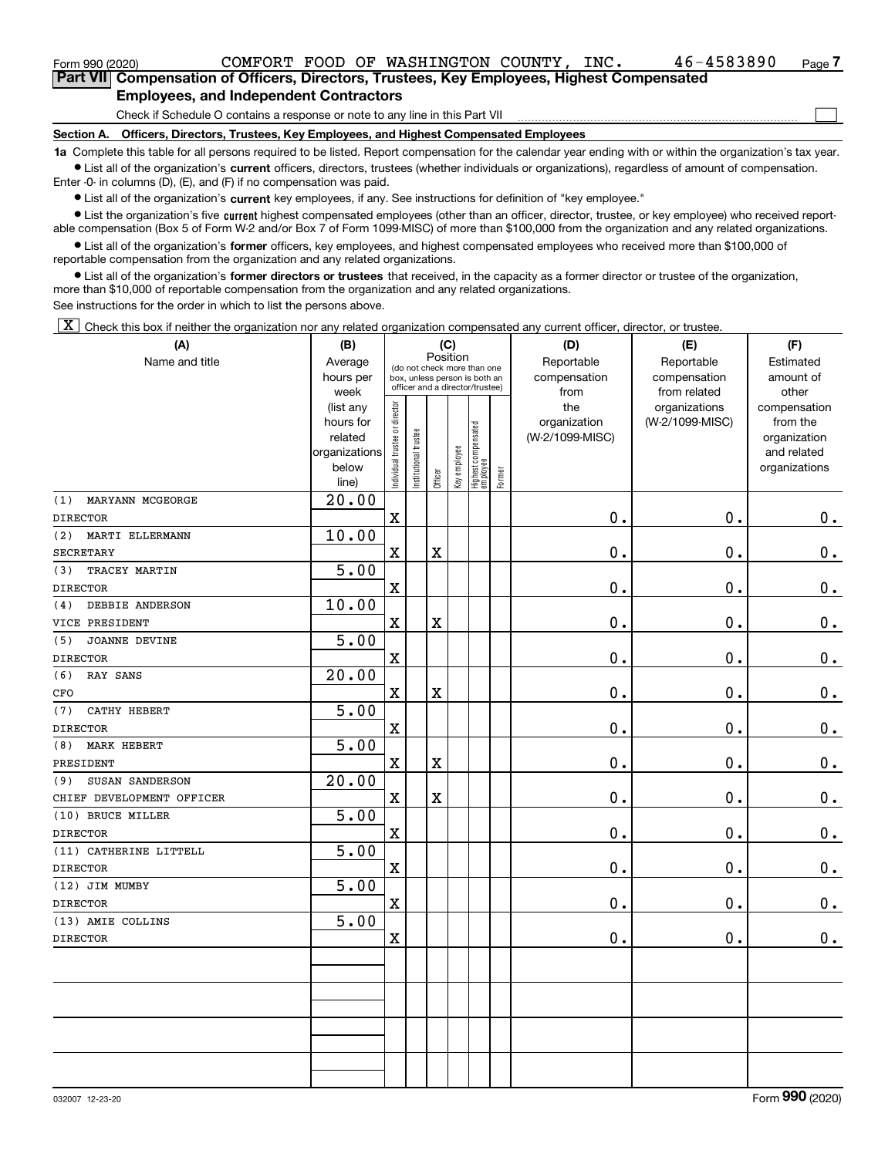| Form 990 (2020) |  |  | COMFORT FOOD OF WASHINGTON COUNTY, INC.                                                    |  | 46-4583890 | Page 7 |
|-----------------|--|--|--------------------------------------------------------------------------------------------|--|------------|--------|
|                 |  |  | Part VII Compensation of Officers, Directors, Trustees, Key Employees, Highest Compensated |  |            |        |

#### **Employees, and Independent Contractors**

Check if Schedule O contains a response or note to any line in this Part VII

**Section A. Officers, Directors, Trustees, Key Employees, and Highest Compensated Employees**

**1a**  Complete this table for all persons required to be listed. Report compensation for the calendar year ending with or within the organization's tax year. **•** List all of the organization's current officers, directors, trustees (whether individuals or organizations), regardless of amount of compensation.

Enter -0- in columns (D), (E), and (F) if no compensation was paid.

 $\bullet$  List all of the organization's  $\,$ current key employees, if any. See instructions for definition of "key employee."

**•** List the organization's five current highest compensated employees (other than an officer, director, trustee, or key employee) who received reportable compensation (Box 5 of Form W-2 and/or Box 7 of Form 1099-MISC) of more than \$100,000 from the organization and any related organizations.

**•** List all of the organization's former officers, key employees, and highest compensated employees who received more than \$100,000 of reportable compensation from the organization and any related organizations.

**former directors or trustees**  ¥ List all of the organization's that received, in the capacity as a former director or trustee of the organization, more than \$10,000 of reportable compensation from the organization and any related organizations.

See instructions for the order in which to list the persons above.

 $\boxed{\textbf{X}}$  Check this box if neither the organization nor any related organization compensated any current officer, director, or trustee.

| (A)                         | (B)                      |                                |                                                                  |             | (C)          |                                 |        | (D)             | (E)             | (F)                         |
|-----------------------------|--------------------------|--------------------------------|------------------------------------------------------------------|-------------|--------------|---------------------------------|--------|-----------------|-----------------|-----------------------------|
| Name and title              | Average                  |                                |                                                                  |             | Position     | (do not check more than one     |        | Reportable      | Reportable      | Estimated                   |
|                             | hours per                |                                | box, unless person is both an<br>officer and a director/trustee) |             |              |                                 |        | compensation    | compensation    | amount of                   |
|                             | week                     |                                |                                                                  |             |              |                                 |        | from            | from related    | other                       |
|                             | (list any                |                                |                                                                  |             |              |                                 |        | the             | organizations   | compensation                |
|                             | hours for                |                                |                                                                  |             |              |                                 |        | organization    | (W-2/1099-MISC) | from the                    |
|                             | related<br>organizations |                                |                                                                  |             |              |                                 |        | (W-2/1099-MISC) |                 | organization<br>and related |
|                             | below                    |                                |                                                                  |             |              |                                 |        |                 |                 | organizations               |
|                             | line)                    | Individual trustee or director | Institutional trustee                                            | Officer     | Key employee | Highest compensated<br>employee | Former |                 |                 |                             |
| MARYANN MCGEORGE<br>(1)     | 20.00                    |                                |                                                                  |             |              |                                 |        |                 |                 |                             |
| <b>DIRECTOR</b>             |                          | $\mathbf X$                    |                                                                  |             |              |                                 |        | 0.              | 0.              | 0.                          |
| MARTI ELLERMANN<br>(2)      | 10.00                    |                                |                                                                  |             |              |                                 |        |                 |                 |                             |
| SECRETARY                   |                          | $\mathbf X$                    |                                                                  | $\mathbf x$ |              |                                 |        | $0$ .           | $\mathbf 0$ .   | 0.                          |
| TRACEY MARTIN<br>(3)        | 5.00                     |                                |                                                                  |             |              |                                 |        |                 |                 |                             |
| <b>DIRECTOR</b>             |                          | $\mathbf X$                    |                                                                  |             |              |                                 |        | 0.              | 0.              | 0.                          |
| DEBBIE ANDERSON<br>(4)      | 10.00                    |                                |                                                                  |             |              |                                 |        |                 |                 |                             |
| VICE PRESIDENT              |                          | $\mathbf X$                    |                                                                  | $\mathbf X$ |              |                                 |        | 0.              | 0.              | 0.                          |
| <b>JOANNE DEVINE</b><br>(5) | $\overline{5.00}$        |                                |                                                                  |             |              |                                 |        |                 |                 |                             |
| <b>DIRECTOR</b>             |                          | $\mathbf x$                    |                                                                  |             |              |                                 |        | $0$ .           | 0.              | 0.                          |
| RAY SANS<br>(6)             | $\overline{20.00}$       |                                |                                                                  |             |              |                                 |        |                 |                 |                             |
| CFO                         |                          | $\mathbf X$                    |                                                                  | X           |              |                                 |        | 0.              | 0.              | 0.                          |
| CATHY HEBERT<br>(7)         | 5.00                     |                                |                                                                  |             |              |                                 |        |                 |                 |                             |
| <b>DIRECTOR</b>             |                          | $\mathbf X$                    |                                                                  |             |              |                                 |        | 0.              | 0.              | 0.                          |
| MARK HEBERT<br>(8)          | 5.00                     |                                |                                                                  |             |              |                                 |        |                 |                 |                             |
| PRESIDENT                   |                          | $\mathbf X$                    |                                                                  | $\mathbf X$ |              |                                 |        | 0.              | 0.              | 0.                          |
| SUSAN SANDERSON<br>(9)      | 20.00                    |                                |                                                                  |             |              |                                 |        |                 |                 |                             |
| CHIEF DEVELOPMENT OFFICER   |                          | $\mathbf X$                    |                                                                  | $\mathbf X$ |              |                                 |        | 0.              | 0.              | $0$ .                       |
| (10) BRUCE MILLER           | 5.00                     |                                |                                                                  |             |              |                                 |        |                 |                 |                             |
| <b>DIRECTOR</b>             |                          | $\mathbf X$                    |                                                                  |             |              |                                 |        | 0.              | $\mathbf 0$ .   | 0.                          |
| (11) CATHERINE LITTELL      | 5.00                     |                                |                                                                  |             |              |                                 |        |                 |                 |                             |
| <b>DIRECTOR</b>             |                          | $\mathbf X$                    |                                                                  |             |              |                                 |        | 0.              | $\mathbf 0$ .   | $\mathbf 0$ .               |
| (12) JIM MUMBY              | 5.00                     |                                |                                                                  |             |              |                                 |        |                 |                 |                             |
| <b>DIRECTOR</b>             |                          | $\mathbf X$                    |                                                                  |             |              |                                 |        | 0.              | 0.              | 0.                          |
| (13) AMIE COLLINS           | 5.00                     |                                |                                                                  |             |              |                                 |        |                 |                 |                             |
| <b>DIRECTOR</b>             |                          | $\mathbf X$                    |                                                                  |             |              |                                 |        | 0.              | 0.              | 0.                          |
|                             |                          |                                |                                                                  |             |              |                                 |        |                 |                 |                             |
|                             |                          |                                |                                                                  |             |              |                                 |        |                 |                 |                             |
|                             |                          |                                |                                                                  |             |              |                                 |        |                 |                 |                             |
|                             |                          |                                |                                                                  |             |              |                                 |        |                 |                 |                             |
|                             |                          |                                |                                                                  |             |              |                                 |        |                 |                 |                             |
|                             |                          |                                |                                                                  |             |              |                                 |        |                 |                 |                             |
|                             |                          |                                |                                                                  |             |              |                                 |        |                 |                 |                             |

 $\mathcal{L}^{\text{max}}$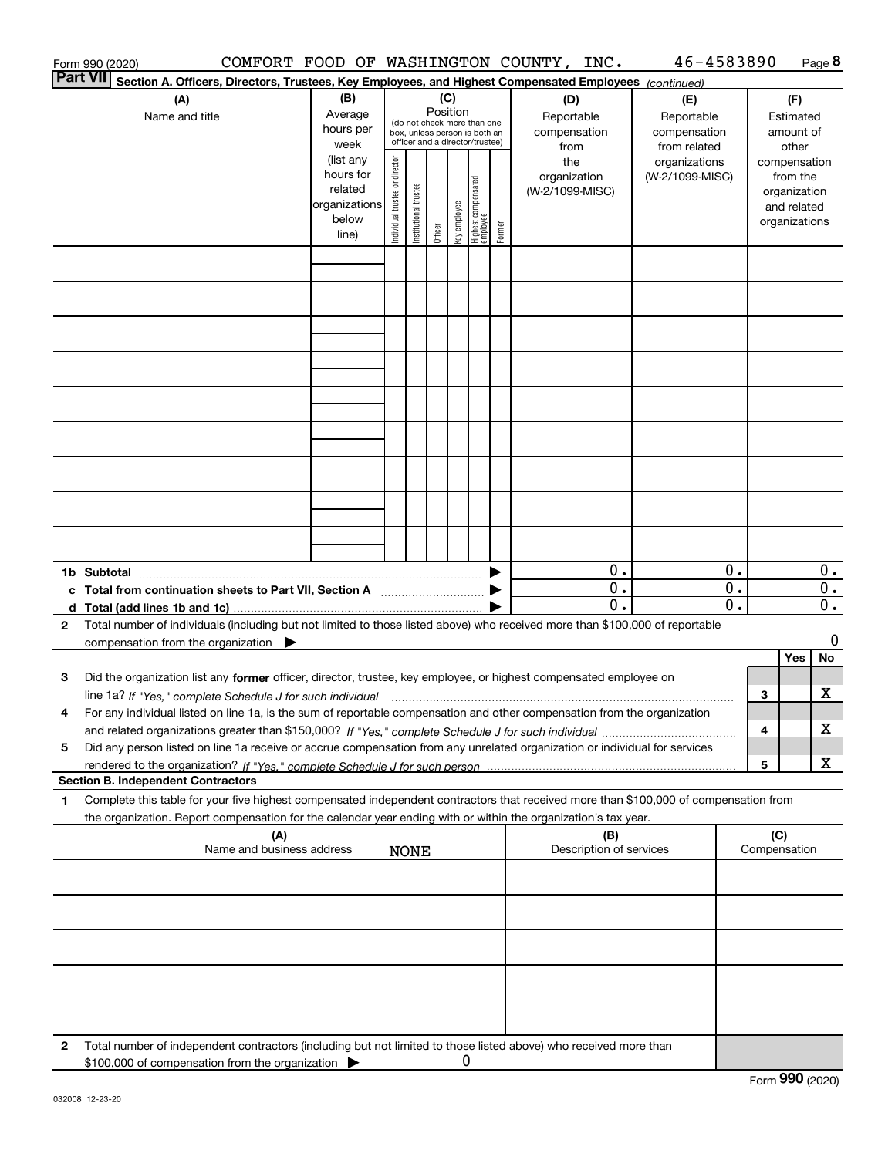|                 | Form 990 (2020)                                                                                                                                                                                                                                        |                                                                      |                                |                       |                 |              |                                                                                                 |        | COMFORT FOOD OF WASHINGTON COUNTY, INC.   | 46-4583890                                        |          |                     |                                                                          | Page 8                 |
|-----------------|--------------------------------------------------------------------------------------------------------------------------------------------------------------------------------------------------------------------------------------------------------|----------------------------------------------------------------------|--------------------------------|-----------------------|-----------------|--------------|-------------------------------------------------------------------------------------------------|--------|-------------------------------------------|---------------------------------------------------|----------|---------------------|--------------------------------------------------------------------------|------------------------|
| <b>Part VII</b> | Section A. Officers, Directors, Trustees, Key Employees, and Highest Compensated Employees (continued)                                                                                                                                                 |                                                                      |                                |                       |                 |              |                                                                                                 |        |                                           |                                                   |          |                     |                                                                          |                        |
|                 | (A)<br>Name and title                                                                                                                                                                                                                                  | (B)<br>Average<br>hours per<br>week                                  |                                |                       | (C)<br>Position |              | (do not check more than one<br>box, unless person is both an<br>officer and a director/trustee) |        | (D)<br>Reportable<br>compensation<br>from | (E)<br>Reportable<br>compensation<br>from related |          |                     | (F)<br>Estimated<br>amount of<br>other                                   |                        |
|                 |                                                                                                                                                                                                                                                        | (list any<br>hours for<br>related<br>organizations<br>below<br>line) | Individual trustee or director | Institutional trustee | Officer         | Key employee | Highest compensated<br>employee                                                                 | Former | the<br>organization<br>(W-2/1099-MISC)    | organizations<br>(W-2/1099-MISC)                  |          |                     | compensation<br>from the<br>organization<br>and related<br>organizations |                        |
|                 |                                                                                                                                                                                                                                                        |                                                                      |                                |                       |                 |              |                                                                                                 |        |                                           |                                                   |          |                     |                                                                          |                        |
|                 |                                                                                                                                                                                                                                                        |                                                                      |                                |                       |                 |              |                                                                                                 |        |                                           |                                                   |          |                     |                                                                          |                        |
|                 |                                                                                                                                                                                                                                                        |                                                                      |                                |                       |                 |              |                                                                                                 |        |                                           |                                                   |          |                     |                                                                          |                        |
|                 |                                                                                                                                                                                                                                                        |                                                                      |                                |                       |                 |              |                                                                                                 |        |                                           |                                                   |          |                     |                                                                          |                        |
|                 |                                                                                                                                                                                                                                                        |                                                                      |                                |                       |                 |              |                                                                                                 |        |                                           |                                                   |          |                     |                                                                          |                        |
|                 |                                                                                                                                                                                                                                                        |                                                                      |                                |                       |                 |              |                                                                                                 |        |                                           |                                                   |          |                     |                                                                          |                        |
|                 |                                                                                                                                                                                                                                                        |                                                                      |                                |                       |                 |              |                                                                                                 |        |                                           |                                                   |          |                     |                                                                          |                        |
|                 |                                                                                                                                                                                                                                                        |                                                                      |                                |                       |                 |              |                                                                                                 |        |                                           |                                                   |          |                     |                                                                          |                        |
|                 | 1b Subtotal<br>c Total from continuation sheets to Part VII, Section A [11] [12] [20] [20]                                                                                                                                                             |                                                                      |                                |                       |                 |              |                                                                                                 |        | 0.<br>0.                                  |                                                   | 0.<br>0. |                     |                                                                          | 0.<br>$\overline{0}$ . |
|                 |                                                                                                                                                                                                                                                        |                                                                      |                                |                       |                 |              |                                                                                                 |        | $\mathbf 0$ .                             |                                                   | 0.       |                     |                                                                          | $0$ .                  |
| $\mathbf{2}$    | Total number of individuals (including but not limited to those listed above) who received more than \$100,000 of reportable<br>compensation from the organization $\blacktriangleright$                                                               |                                                                      |                                |                       |                 |              |                                                                                                 |        |                                           |                                                   |          |                     |                                                                          | 0                      |
|                 |                                                                                                                                                                                                                                                        |                                                                      |                                |                       |                 |              |                                                                                                 |        |                                           |                                                   |          |                     | Yes                                                                      | No                     |
| 3               | Did the organization list any former officer, director, trustee, key employee, or highest compensated employee on<br>line 1a? If "Yes," complete Schedule J for such individual material content content to the set of the schedule                    |                                                                      |                                |                       |                 |              |                                                                                                 |        |                                           |                                                   |          | 3                   |                                                                          | х                      |
| 4               | For any individual listed on line 1a, is the sum of reportable compensation and other compensation from the organization                                                                                                                               |                                                                      |                                |                       |                 |              |                                                                                                 |        |                                           |                                                   |          | 4                   |                                                                          | х                      |
| 5               | Did any person listed on line 1a receive or accrue compensation from any unrelated organization or individual for services                                                                                                                             |                                                                      |                                |                       |                 |              |                                                                                                 |        |                                           |                                                   |          | 5                   |                                                                          | х                      |
|                 | <b>Section B. Independent Contractors</b>                                                                                                                                                                                                              |                                                                      |                                |                       |                 |              |                                                                                                 |        |                                           |                                                   |          |                     |                                                                          |                        |
| 1               | Complete this table for your five highest compensated independent contractors that received more than \$100,000 of compensation from<br>the organization. Report compensation for the calendar year ending with or within the organization's tax year. |                                                                      |                                |                       |                 |              |                                                                                                 |        |                                           |                                                   |          |                     |                                                                          |                        |
|                 | (A)<br>Name and business address                                                                                                                                                                                                                       |                                                                      |                                | <b>NONE</b>           |                 |              |                                                                                                 |        | (B)<br>Description of services            |                                                   |          | (C)<br>Compensation |                                                                          |                        |
|                 |                                                                                                                                                                                                                                                        |                                                                      |                                |                       |                 |              |                                                                                                 |        |                                           |                                                   |          |                     |                                                                          |                        |
|                 |                                                                                                                                                                                                                                                        |                                                                      |                                |                       |                 |              |                                                                                                 |        |                                           |                                                   |          |                     |                                                                          |                        |
|                 |                                                                                                                                                                                                                                                        |                                                                      |                                |                       |                 |              |                                                                                                 |        |                                           |                                                   |          |                     |                                                                          |                        |
|                 |                                                                                                                                                                                                                                                        |                                                                      |                                |                       |                 |              |                                                                                                 |        |                                           |                                                   |          |                     |                                                                          |                        |
| 2               | Total number of independent contractors (including but not limited to those listed above) who received more than<br>\$100,000 of compensation from the organization                                                                                    |                                                                      |                                |                       |                 | 0            |                                                                                                 |        |                                           |                                                   |          |                     |                                                                          |                        |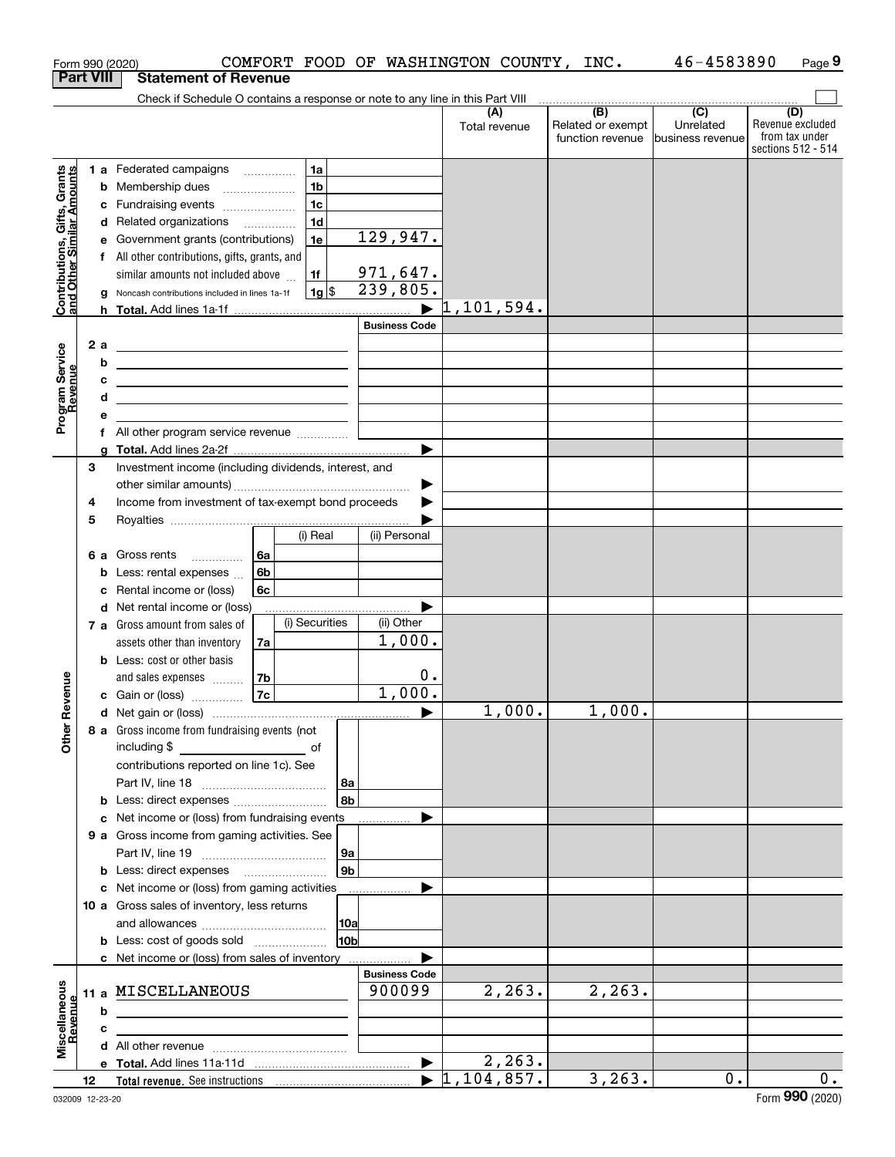|                                                           | Form 990 (2020)  |                                                                               |                                      |                 |                      | COMFORT FOOD OF WASHINGTON COUNTY, INC. |                                       | 46-4583890                    | Page 9                                                          |
|-----------------------------------------------------------|------------------|-------------------------------------------------------------------------------|--------------------------------------|-----------------|----------------------|-----------------------------------------|---------------------------------------|-------------------------------|-----------------------------------------------------------------|
|                                                           | <b>Part VIII</b> | <b>Statement of Revenue</b>                                                   |                                      |                 |                      |                                         |                                       |                               |                                                                 |
|                                                           |                  | Check if Schedule O contains a response or note to any line in this Part VIII |                                      |                 |                      |                                         |                                       |                               |                                                                 |
|                                                           |                  |                                                                               |                                      |                 |                      | (A)<br>Total revenue                    | Related or exempt<br>function revenue | Unrelated<br>business revenue | (D)<br>Revenue excluded<br>from tax under<br>sections 512 - 514 |
|                                                           |                  | 1 a Federated campaigns                                                       |                                      | 1a              |                      |                                         |                                       |                               |                                                                 |
| Contributions, Gifts, Grants<br>and Other Similar Amounts |                  | <b>b</b> Membership dues                                                      | $\ldots \ldots \ldots \ldots \ldots$ | 1 <sub>b</sub>  |                      |                                         |                                       |                               |                                                                 |
|                                                           |                  | c Fundraising events                                                          |                                      | 1 <sub>c</sub>  |                      |                                         |                                       |                               |                                                                 |
|                                                           |                  | d Related organizations                                                       |                                      | 1 <sub>d</sub>  |                      |                                         |                                       |                               |                                                                 |
|                                                           |                  | e Government grants (contributions)                                           |                                      | 1e              | 129,947.             |                                         |                                       |                               |                                                                 |
|                                                           |                  | f All other contributions, gifts, grants, and                                 |                                      |                 |                      |                                         |                                       |                               |                                                                 |
|                                                           |                  | similar amounts not included above                                            |                                      | 1f              | 971,647.             |                                         |                                       |                               |                                                                 |
|                                                           | a                | Noncash contributions included in lines 1a-1f                                 |                                      | $1g$ \$         | 239,805.             |                                         |                                       |                               |                                                                 |
|                                                           |                  |                                                                               |                                      |                 |                      | 1,101,594.                              |                                       |                               |                                                                 |
|                                                           |                  |                                                                               |                                      |                 | <b>Business Code</b> |                                         |                                       |                               |                                                                 |
|                                                           | 2 a              | <u> 1989 - Johann Barn, fransk politik amerikansk politik (</u>               |                                      |                 |                      |                                         |                                       |                               |                                                                 |
|                                                           | b                | <u> 1989 - Johann Stoff, fransk politik (d. 1989)</u>                         |                                      |                 |                      |                                         |                                       |                               |                                                                 |
|                                                           | с                | <u> 1989 - Johann Barn, amerikansk politiker (</u>                            |                                      |                 |                      |                                         |                                       |                               |                                                                 |
|                                                           | d                | <u> 1989 - Johann Stein, mars an de Britannich (b. 1989)</u>                  |                                      |                 |                      |                                         |                                       |                               |                                                                 |
| Program Service<br>Revenue                                | e                |                                                                               |                                      |                 |                      |                                         |                                       |                               |                                                                 |
|                                                           |                  |                                                                               |                                      |                 |                      |                                         |                                       |                               |                                                                 |
|                                                           | a<br>З           |                                                                               |                                      |                 |                      |                                         |                                       |                               |                                                                 |
|                                                           |                  | Investment income (including dividends, interest, and                         |                                      |                 |                      |                                         |                                       |                               |                                                                 |
|                                                           | 4                | Income from investment of tax-exempt bond proceeds                            |                                      |                 |                      |                                         |                                       |                               |                                                                 |
|                                                           | 5                |                                                                               |                                      |                 |                      |                                         |                                       |                               |                                                                 |
|                                                           |                  |                                                                               |                                      | (i) Real        | (ii) Personal        |                                         |                                       |                               |                                                                 |
|                                                           |                  | <b>6 a</b> Gross rents                                                        | l 6a                                 |                 |                      |                                         |                                       |                               |                                                                 |
|                                                           |                  | <b>b</b> Less: rental expenses                                                | 6 <sub>b</sub>                       |                 |                      |                                         |                                       |                               |                                                                 |
|                                                           |                  | c Rental income or (loss)                                                     | 6с                                   |                 |                      |                                         |                                       |                               |                                                                 |
|                                                           |                  | d Net rental income or (loss)                                                 |                                      |                 |                      |                                         |                                       |                               |                                                                 |
|                                                           |                  | 7 a Gross amount from sales of                                                |                                      | (i) Securities  | (ii) Other           |                                         |                                       |                               |                                                                 |
|                                                           |                  | assets other than inventory                                                   | 7a                                   |                 | $\overline{1}$ ,000. |                                         |                                       |                               |                                                                 |
|                                                           |                  | <b>b</b> Less: cost or other basis                                            |                                      |                 |                      |                                         |                                       |                               |                                                                 |
|                                                           |                  | and sales expenses                                                            | 7b                                   |                 | $0$ .                |                                         |                                       |                               |                                                                 |
| evenue                                                    |                  | c Gain or (loss)                                                              | 7c                                   |                 | 1,000.               |                                         |                                       |                               |                                                                 |
|                                                           |                  |                                                                               |                                      |                 |                      | 1,000.                                  | 1,000.                                |                               |                                                                 |
| Other R                                                   |                  | 8 a Gross income from fundraising events (not                                 |                                      |                 |                      |                                         |                                       |                               |                                                                 |
|                                                           |                  | including \$<br><u>of</u> of                                                  |                                      |                 |                      |                                         |                                       |                               |                                                                 |
|                                                           |                  | contributions reported on line 1c). See                                       |                                      |                 |                      |                                         |                                       |                               |                                                                 |
|                                                           |                  |                                                                               |                                      | 8a              |                      |                                         |                                       |                               |                                                                 |
|                                                           |                  | <b>b</b> Less: direct expenses                                                |                                      | 8b              |                      |                                         |                                       |                               |                                                                 |
|                                                           |                  | c Net income or (loss) from fundraising events                                |                                      |                 |                      |                                         |                                       |                               |                                                                 |
|                                                           |                  | 9 a Gross income from gaming activities. See                                  |                                      | 9a              |                      |                                         |                                       |                               |                                                                 |
|                                                           |                  | <b>b</b> Less: direct expenses <b>manually</b>                                |                                      | 9 <sub>b</sub>  |                      |                                         |                                       |                               |                                                                 |
|                                                           |                  | c Net income or (loss) from gaming activities                                 |                                      |                 | .                    |                                         |                                       |                               |                                                                 |
|                                                           |                  | 10 a Gross sales of inventory, less returns                                   |                                      |                 |                      |                                         |                                       |                               |                                                                 |
|                                                           |                  |                                                                               |                                      | 10a             |                      |                                         |                                       |                               |                                                                 |
|                                                           |                  | <b>b</b> Less: cost of goods sold                                             |                                      | 10 <sub>b</sub> |                      |                                         |                                       |                               |                                                                 |
|                                                           |                  | c Net income or (loss) from sales of inventory                                |                                      |                 |                      |                                         |                                       |                               |                                                                 |
|                                                           |                  |                                                                               |                                      |                 | <b>Business Code</b> |                                         |                                       |                               |                                                                 |
| Miscellaneous                                             |                  | 11 a MISCELLANEOUS                                                            |                                      |                 | 900099               | 2, 263.                                 | 2, 263.                               |                               |                                                                 |
| Revenue                                                   | b                | <u> Alexandria (m. 1888)</u>                                                  |                                      |                 |                      |                                         |                                       |                               |                                                                 |
|                                                           | c                | the control of the control of the control of the control of the control of    |                                      |                 |                      |                                         |                                       |                               |                                                                 |
|                                                           |                  |                                                                               |                                      |                 |                      |                                         |                                       |                               |                                                                 |
|                                                           |                  |                                                                               |                                      |                 |                      | 2, 263.                                 |                                       |                               |                                                                 |
|                                                           | 12               |                                                                               |                                      |                 |                      | $\blacktriangleright$ 1,104,857.        | 3,263.                                | $0$ .                         | 0.                                                              |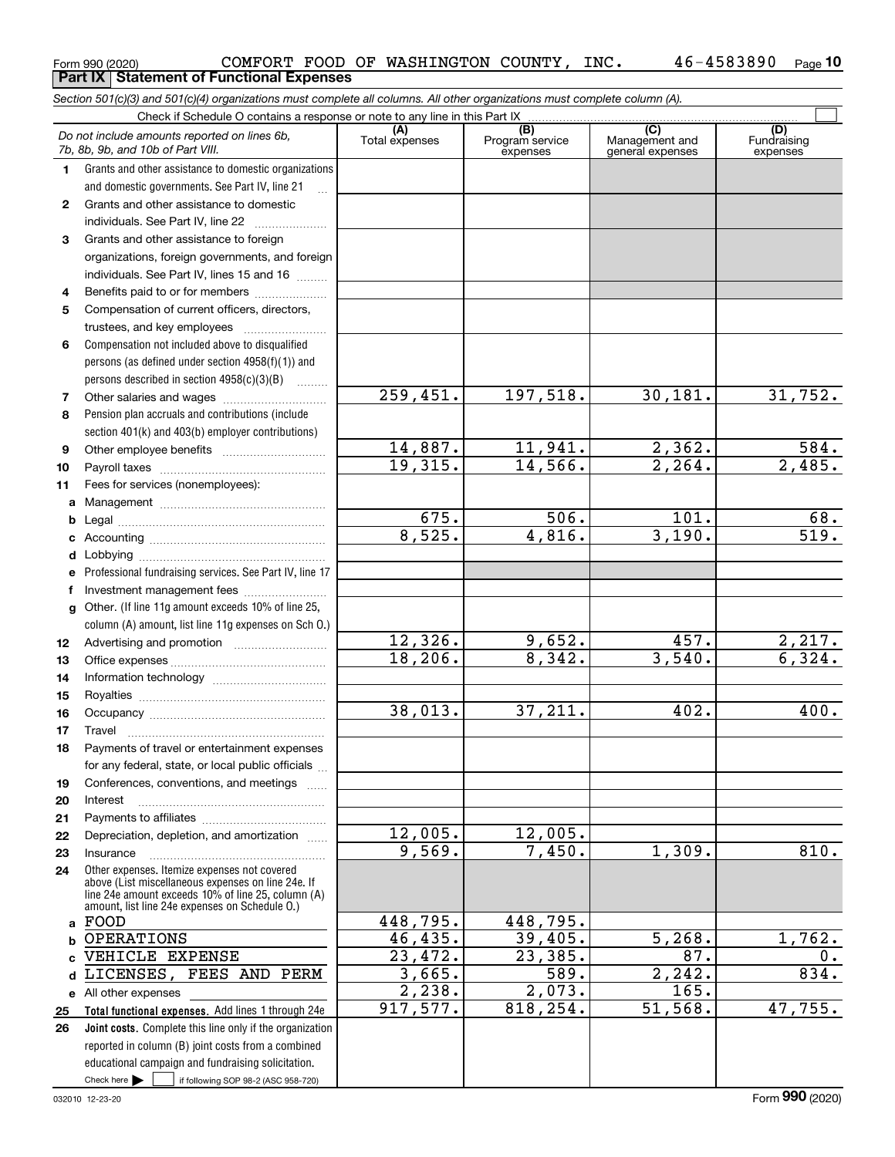|    | Section 501(c)(3) and 501(c)(4) organizations must complete all columns. All other organizations must complete column (A).<br>Check if Schedule O contains a response or note to any line in this Part IX  |                       |                        |                                    |                         |
|----|------------------------------------------------------------------------------------------------------------------------------------------------------------------------------------------------------------|-----------------------|------------------------|------------------------------------|-------------------------|
|    | Do not include amounts reported on lines 6b,                                                                                                                                                               | (A)<br>Total expenses | (B)<br>Program service | (C)                                | (D)                     |
|    | 7b, 8b, 9b, and 10b of Part VIII.                                                                                                                                                                          |                       | expenses               | Management and<br>general expenses | Fundraising<br>expenses |
| 1  | Grants and other assistance to domestic organizations                                                                                                                                                      |                       |                        |                                    |                         |
|    | and domestic governments. See Part IV, line 21                                                                                                                                                             |                       |                        |                                    |                         |
| 2  | Grants and other assistance to domestic                                                                                                                                                                    |                       |                        |                                    |                         |
|    | individuals. See Part IV, line 22                                                                                                                                                                          |                       |                        |                                    |                         |
| 3  | Grants and other assistance to foreign                                                                                                                                                                     |                       |                        |                                    |                         |
|    | organizations, foreign governments, and foreign                                                                                                                                                            |                       |                        |                                    |                         |
|    | individuals. See Part IV, lines 15 and 16                                                                                                                                                                  |                       |                        |                                    |                         |
| 4  | Benefits paid to or for members                                                                                                                                                                            |                       |                        |                                    |                         |
| 5  | Compensation of current officers, directors,                                                                                                                                                               |                       |                        |                                    |                         |
|    | trustees, and key employees                                                                                                                                                                                |                       |                        |                                    |                         |
| 6  | Compensation not included above to disqualified                                                                                                                                                            |                       |                        |                                    |                         |
|    | persons (as defined under section 4958(f)(1)) and                                                                                                                                                          |                       |                        |                                    |                         |
|    | persons described in section $4958(c)(3)(B)$<br>1.1.1.1.1.1.1                                                                                                                                              |                       |                        |                                    |                         |
| 7  |                                                                                                                                                                                                            | 259,451.              | 197,518.               | 30, 181.                           | 31,752.                 |
| 8  | Pension plan accruals and contributions (include                                                                                                                                                           |                       |                        |                                    |                         |
|    | section 401(k) and 403(b) employer contributions)                                                                                                                                                          |                       |                        |                                    |                         |
| 9  |                                                                                                                                                                                                            | 14,887.               | 11,941.                | 2,362.                             | 584.                    |
| 10 |                                                                                                                                                                                                            | 19,315.               | 14,566.                | 2, 264.                            | 2,485.                  |
| 11 | Fees for services (nonemployees):                                                                                                                                                                          |                       |                        |                                    |                         |
| a  |                                                                                                                                                                                                            | 675.                  | 506.                   | 101.                               | 68.                     |
| b  |                                                                                                                                                                                                            | 8,525.                | 4,816.                 | 3,190.                             | $\overline{519}$ .      |
| c  |                                                                                                                                                                                                            |                       |                        |                                    |                         |
| d  |                                                                                                                                                                                                            |                       |                        |                                    |                         |
| е  | Professional fundraising services. See Part IV, line 17                                                                                                                                                    |                       |                        |                                    |                         |
| f  | Investment management fees<br>Other. (If line 11g amount exceeds 10% of line 25,                                                                                                                           |                       |                        |                                    |                         |
| g  | column (A) amount, list line 11g expenses on Sch O.)                                                                                                                                                       |                       |                        |                                    |                         |
| 12 |                                                                                                                                                                                                            | 12,326.               | 9,652.                 | 457.                               | 2,217.                  |
| 13 |                                                                                                                                                                                                            | 18,206.               | 8,342.                 | 3,540.                             | 6,324.                  |
| 14 |                                                                                                                                                                                                            |                       |                        |                                    |                         |
| 15 |                                                                                                                                                                                                            |                       |                        |                                    |                         |
| 16 |                                                                                                                                                                                                            | 38,013.               | 37,211.                | 402.                               | 400.                    |
| 17 |                                                                                                                                                                                                            |                       |                        |                                    |                         |
| 18 | Payments of travel or entertainment expenses                                                                                                                                                               |                       |                        |                                    |                         |
|    | for any federal, state, or local public officials                                                                                                                                                          |                       |                        |                                    |                         |
| 19 | Conferences, conventions, and meetings                                                                                                                                                                     |                       |                        |                                    |                         |
| 20 | Interest                                                                                                                                                                                                   |                       |                        |                                    |                         |
| 21 |                                                                                                                                                                                                            |                       |                        |                                    |                         |
| 22 | Depreciation, depletion, and amortization                                                                                                                                                                  | 12,005.               | 12,005.                |                                    |                         |
| 23 | Insurance                                                                                                                                                                                                  | 9,569.                | 7,450.                 | 1,309.                             | 810.                    |
| 24 | Other expenses. Itemize expenses not covered<br>above (List miscellaneous expenses on line 24e. If<br>line 24e amount exceeds 10% of line 25, column (A)<br>amount, list line 24e expenses on Schedule 0.) |                       |                        |                                    |                         |
| a  | FOOD                                                                                                                                                                                                       | 448,795.              | 448,795.               |                                    |                         |
| b  | OPERATIONS                                                                                                                                                                                                 | 46,435.               | 39,405.                | 5,268.                             | 1,762.                  |
|    | VEHICLE EXPENSE                                                                                                                                                                                            | 23,472.               | 23,385.                | 87.                                | 0.                      |
| d  | LICENSES,<br>FEES AND PERM                                                                                                                                                                                 | 3,665.                | 589.                   | 2, 242.                            | 834.                    |
|    | e All other expenses                                                                                                                                                                                       | 2,238.                | 2,073.                 | 165.                               |                         |
| 25 | Total functional expenses. Add lines 1 through 24e                                                                                                                                                         | 917,577.              | 818,254.               | 51,568.                            | 47,755.                 |
| 26 | Joint costs. Complete this line only if the organization                                                                                                                                                   |                       |                        |                                    |                         |
|    | reported in column (B) joint costs from a combined                                                                                                                                                         |                       |                        |                                    |                         |
|    | educational campaign and fundraising solicitation.                                                                                                                                                         |                       |                        |                                    |                         |
|    | Check here $\blacktriangleright$<br>if following SOP 98-2 (ASC 958-720)                                                                                                                                    |                       |                        |                                    |                         |

Form 990 (2020) Page **Part IX Statement of Functional Expenses** COMFORT FOOD OF WASHINGTON COUNTY, INC. 46-4583890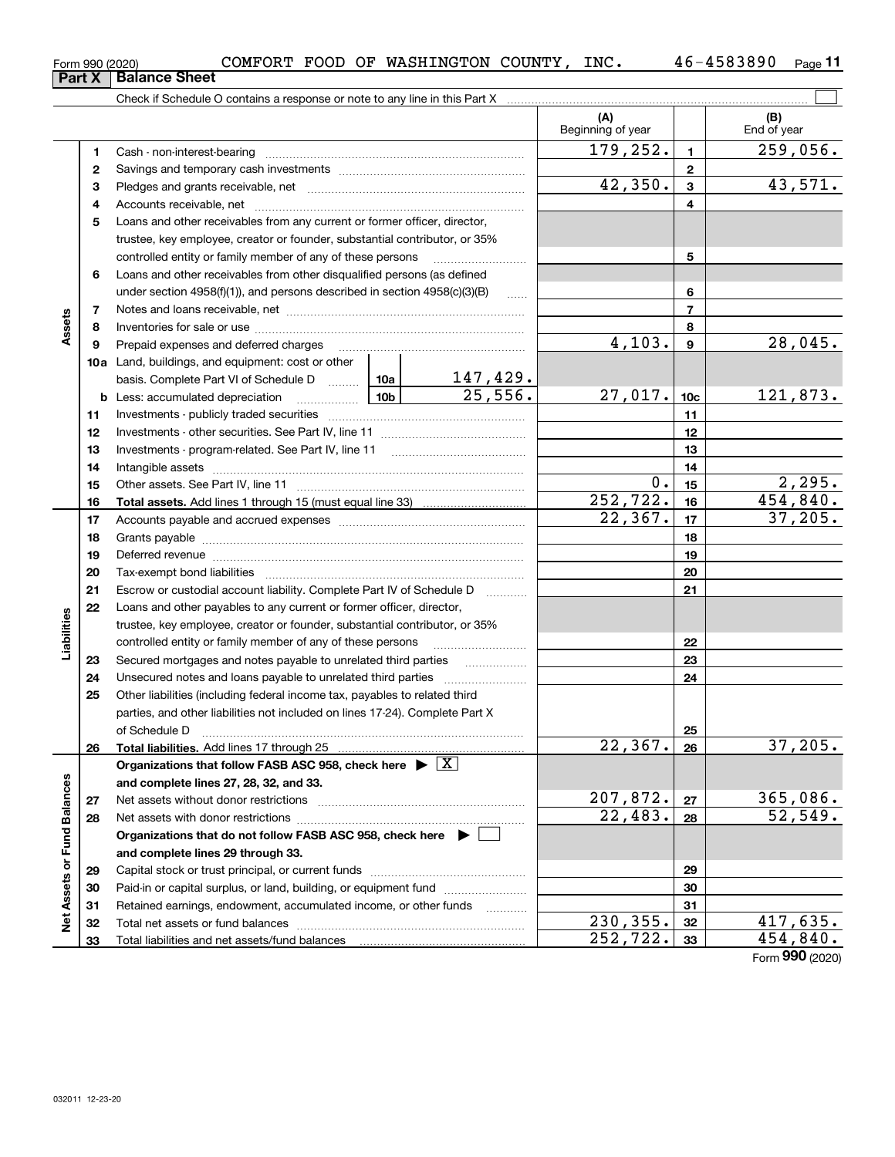| . |                 |  |  |
|---|-----------------|--|--|
|   | l Balance Sheet |  |  |

| Form 990 (2020) |                               | COMFORT |  | FOOD OF WASHINGTON COUNTY, | INC. | 46-4583890 | Page |
|-----------------|-------------------------------|---------|--|----------------------------|------|------------|------|
|                 | <b>Part X   Balance Sheet</b> |         |  |                            |      |            |      |

Check if Schedule O contains a response or note to any line in this Part X

|                             |    |                                                                                                                                                                                                                                |                       | (A)<br>Beginning of year |                | (B)<br>End of year |
|-----------------------------|----|--------------------------------------------------------------------------------------------------------------------------------------------------------------------------------------------------------------------------------|-----------------------|--------------------------|----------------|--------------------|
|                             | 1  | Cash - non-interest-bearing                                                                                                                                                                                                    |                       | 179,252.                 | $\mathbf{1}$   | 259,056.           |
|                             | 2  |                                                                                                                                                                                                                                |                       |                          | $\mathbf{2}$   |                    |
|                             | з  |                                                                                                                                                                                                                                |                       | 42,350.                  | 3              | 43,571.            |
|                             | 4  |                                                                                                                                                                                                                                |                       |                          | 4              |                    |
|                             | 5  | Loans and other receivables from any current or former officer, director,                                                                                                                                                      |                       |                          |                |                    |
|                             |    | trustee, key employee, creator or founder, substantial contributor, or 35%                                                                                                                                                     |                       |                          |                |                    |
|                             |    | controlled entity or family member of any of these persons                                                                                                                                                                     |                       |                          | 5              |                    |
|                             | 6  | Loans and other receivables from other disqualified persons (as defined                                                                                                                                                        |                       |                          |                |                    |
|                             |    | under section $4958(f)(1)$ , and persons described in section $4958(c)(3)(B)$                                                                                                                                                  | .                     |                          | 6              |                    |
|                             | 7  |                                                                                                                                                                                                                                |                       |                          | $\overline{7}$ |                    |
| Assets                      | 8  |                                                                                                                                                                                                                                |                       |                          | 8              |                    |
|                             | 9  | Prepaid expenses and deferred charges                                                                                                                                                                                          |                       | 4,103.                   | 9              | 28,045.            |
|                             |    | 10a Land, buildings, and equipment: cost or other                                                                                                                                                                              |                       |                          |                |                    |
|                             |    | basis. Complete Part VI of Schedule D $\frac{10a}{\cdots}$ 10a   10a   147, 429.                                                                                                                                               |                       |                          |                |                    |
|                             |    | <b>b</b> Less: accumulated depreciation                                                                                                                                                                                        | $\overline{25,556}$ . | 27,017.                  | 10c            | 121,873.           |
|                             | 11 |                                                                                                                                                                                                                                |                       |                          | 11             |                    |
|                             | 12 |                                                                                                                                                                                                                                |                       |                          | 12             |                    |
|                             | 13 |                                                                                                                                                                                                                                |                       |                          | 13             |                    |
|                             | 14 |                                                                                                                                                                                                                                |                       |                          | 14             |                    |
|                             | 15 |                                                                                                                                                                                                                                |                       | 0.                       | 15             | 2,295.             |
|                             | 16 |                                                                                                                                                                                                                                |                       | 252,722.                 | 16             | 454,840.           |
|                             | 17 |                                                                                                                                                                                                                                |                       | 22,367.                  | 17             | 37,205.            |
|                             | 18 |                                                                                                                                                                                                                                |                       |                          | 18             |                    |
|                             | 19 | Deferred revenue manual contracts and contracts are all the contracts and contracts are contracted and contracts are contracted and contract are contracted and contract are contracted and contract are contracted and contra |                       |                          | 19             |                    |
|                             | 20 |                                                                                                                                                                                                                                |                       |                          | 20             |                    |
|                             | 21 | Escrow or custodial account liability. Complete Part IV of Schedule D                                                                                                                                                          | .                     |                          | 21             |                    |
|                             | 22 | Loans and other payables to any current or former officer, director,                                                                                                                                                           |                       |                          |                |                    |
|                             |    | trustee, key employee, creator or founder, substantial contributor, or 35%                                                                                                                                                     |                       |                          |                |                    |
| Liabilities                 |    | controlled entity or family member of any of these persons                                                                                                                                                                     |                       |                          | 22             |                    |
|                             | 23 | Secured mortgages and notes payable to unrelated third parties                                                                                                                                                                 |                       |                          | 23             |                    |
|                             | 24 |                                                                                                                                                                                                                                |                       |                          | 24             |                    |
|                             | 25 | Other liabilities (including federal income tax, payables to related third                                                                                                                                                     |                       |                          |                |                    |
|                             |    | parties, and other liabilities not included on lines 17-24). Complete Part X                                                                                                                                                   |                       |                          |                |                    |
|                             |    | of Schedule D                                                                                                                                                                                                                  |                       |                          | 25             |                    |
|                             | 26 |                                                                                                                                                                                                                                |                       | 22,367.                  | 26             | 37,205.            |
|                             |    | Organizations that follow FASB ASC 958, check here $\blacktriangleright \boxed{X}$                                                                                                                                             |                       |                          |                |                    |
|                             |    | and complete lines 27, 28, 32, and 33.                                                                                                                                                                                         |                       |                          |                |                    |
|                             | 27 | Net assets without donor restrictions                                                                                                                                                                                          |                       | 207,872.                 | 27             | 365,086.           |
|                             | 28 |                                                                                                                                                                                                                                |                       | 22,483.                  | 28             | 52, 549.           |
|                             |    | Organizations that do not follow FASB ASC 958, check here ▶ [                                                                                                                                                                  |                       |                          |                |                    |
|                             |    | and complete lines 29 through 33.                                                                                                                                                                                              |                       |                          |                |                    |
|                             | 29 |                                                                                                                                                                                                                                |                       |                          | 29             |                    |
|                             | 30 | Paid-in or capital surplus, or land, building, or equipment fund                                                                                                                                                               |                       |                          | 30             |                    |
|                             | 31 | Retained earnings, endowment, accumulated income, or other funds                                                                                                                                                               | .                     |                          | 31             |                    |
| Net Assets or Fund Balances | 32 |                                                                                                                                                                                                                                |                       | 230, 355.                | 32             | 417,635.           |
|                             | 33 |                                                                                                                                                                                                                                |                       | 252,722.                 | 33             | 454,840.           |
|                             |    |                                                                                                                                                                                                                                |                       |                          |                | Form 990 (2020)    |

 $\mathcal{L}^{\text{max}}$ 

**Part X Balance B**<br>**Part X Balance**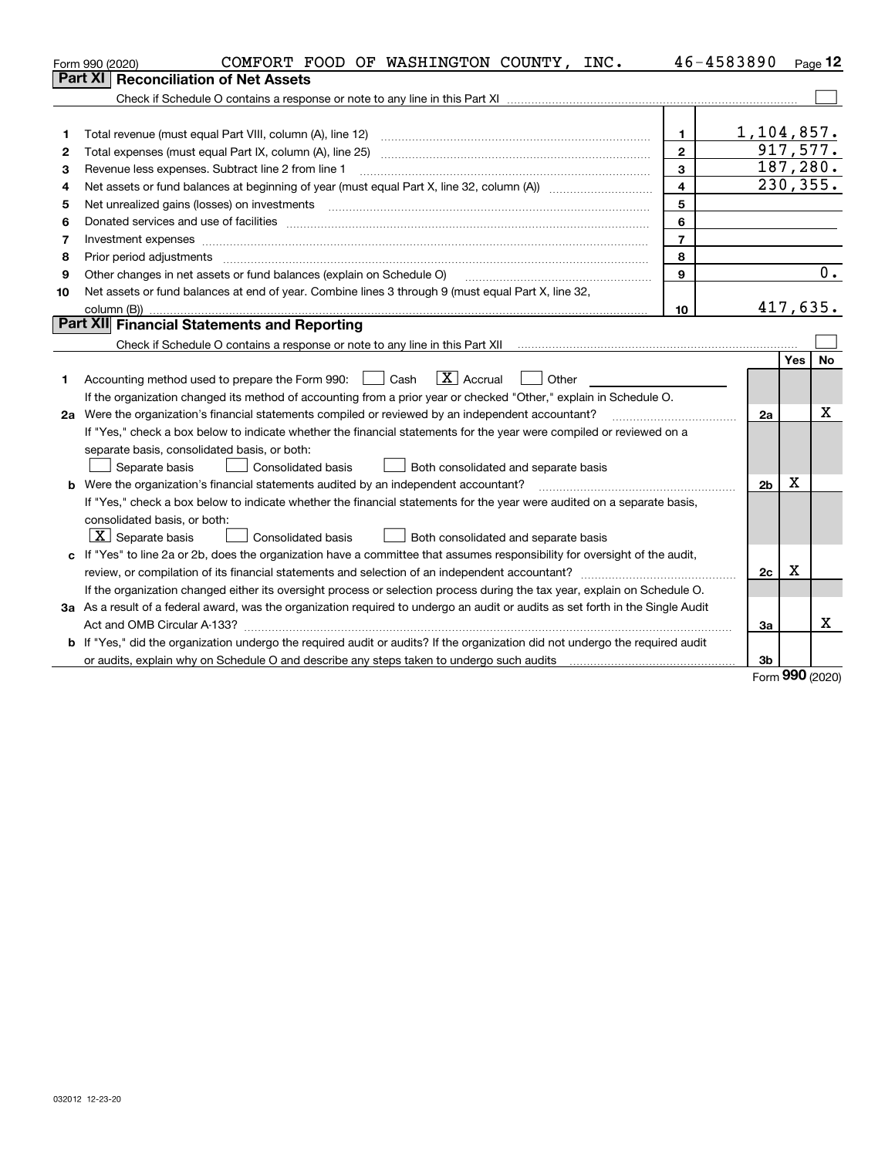|    | COMFORT FOOD OF WASHINGTON COUNTY, INC.<br>Form 990 (2020)                                                                      | 46-4583890              |                |          | $P_{\text{aqe}}$ 12 |
|----|---------------------------------------------------------------------------------------------------------------------------------|-------------------------|----------------|----------|---------------------|
|    | Part XI<br><b>Reconciliation of Net Assets</b>                                                                                  |                         |                |          |                     |
|    |                                                                                                                                 |                         |                |          |                     |
|    |                                                                                                                                 |                         |                |          |                     |
| 1  | Total revenue (must equal Part VIII, column (A), line 12)                                                                       | 1                       | 1, 104, 857.   |          |                     |
| 2  |                                                                                                                                 | $\mathbf{2}$            |                | 917,577. |                     |
| З  | Revenue less expenses. Subtract line 2 from line 1                                                                              | $\overline{\mathbf{3}}$ |                |          | 187,280.            |
| 4  |                                                                                                                                 | $\overline{\mathbf{4}}$ |                |          | 230, 355.           |
| 5  | Net unrealized gains (losses) on investments                                                                                    | 5                       |                |          |                     |
| 6  |                                                                                                                                 | 6                       |                |          |                     |
| 7  |                                                                                                                                 | $\overline{7}$          |                |          |                     |
| 8  | Prior period adjustments                                                                                                        | 8                       |                |          |                     |
| 9  | Other changes in net assets or fund balances (explain on Schedule O)                                                            | $\mathbf{Q}$            |                |          | 0.                  |
| 10 | Net assets or fund balances at end of year. Combine lines 3 through 9 (must equal Part X, line 32,                              |                         |                |          |                     |
|    | column (B))                                                                                                                     | 10                      |                |          | 417,635.            |
|    | Part XII Financial Statements and Reporting                                                                                     |                         |                |          |                     |
|    |                                                                                                                                 |                         |                |          |                     |
|    |                                                                                                                                 |                         |                | Yes      | No                  |
| 1. | $ X $ Accrual<br>Accounting method used to prepare the Form 990: [130] Cash<br>Other                                            |                         |                |          |                     |
|    | If the organization changed its method of accounting from a prior year or checked "Other," explain in Schedule O.               |                         |                |          |                     |
|    | 2a Were the organization's financial statements compiled or reviewed by an independent accountant?                              |                         | 2a             |          | X                   |
|    | If "Yes," check a box below to indicate whether the financial statements for the year were compiled or reviewed on a            |                         |                |          |                     |
|    | separate basis, consolidated basis, or both:                                                                                    |                         |                |          |                     |
|    | Separate basis<br>Consolidated basis<br>Both consolidated and separate basis                                                    |                         |                |          |                     |
|    | <b>b</b> Were the organization's financial statements audited by an independent accountant?                                     |                         | 2 <sub>b</sub> | X        |                     |
|    | If "Yes," check a box below to indicate whether the financial statements for the year were audited on a separate basis,         |                         |                |          |                     |
|    | consolidated basis, or both:                                                                                                    |                         |                |          |                     |
|    | $X$ Separate basis<br><b>Consolidated basis</b><br>Both consolidated and separate basis                                         |                         |                |          |                     |
| c  | If "Yes" to line 2a or 2b, does the organization have a committee that assumes responsibility for oversight of the audit,       |                         |                |          |                     |
|    |                                                                                                                                 |                         | 2c             | Χ        |                     |
|    | If the organization changed either its oversight process or selection process during the tax year, explain on Schedule O.       |                         |                |          |                     |
|    | 3a As a result of a federal award, was the organization required to undergo an audit or audits as set forth in the Single Audit |                         |                |          |                     |
|    |                                                                                                                                 |                         | За             |          | x                   |
|    | b If "Yes," did the organization undergo the required audit or audits? If the organization did not undergo the required audit   |                         |                |          |                     |
|    |                                                                                                                                 |                         | 3b             |          |                     |

Form (2020) **990**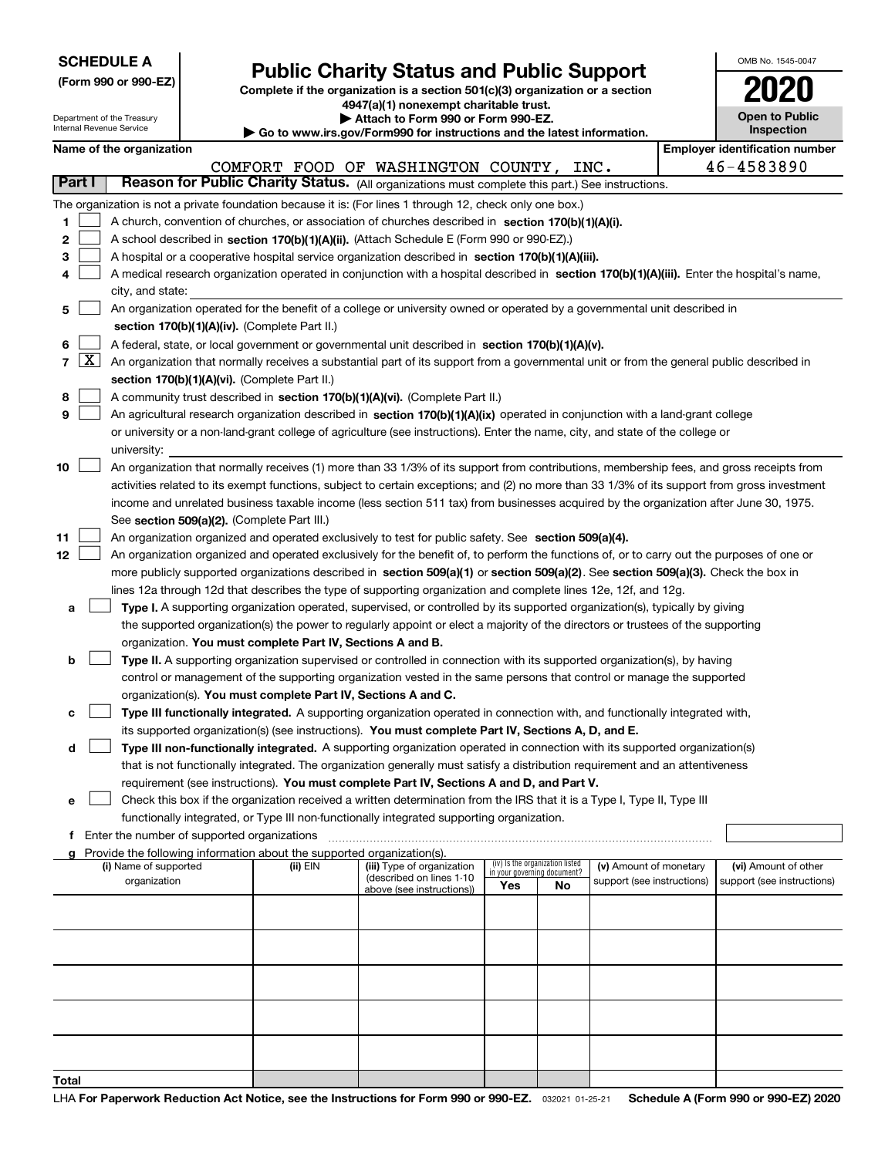|  | <b>SCHEDULE A</b> |
|--|-------------------|
|--|-------------------|

|  |  |  | (Form 990 or 990-EZ) |
|--|--|--|----------------------|
|--|--|--|----------------------|

# **Public Character**

| $\triangleright$ Allach to Form occurs the children EL.                 |
|-------------------------------------------------------------------------|
| ▶ Go to www.irs.gov/Form990 for instructions and the latest information |
|                                                                         |

| <b>JUILDULL A</b>                                                              |                                                                                                                                                                                                                                                      |                       |
|--------------------------------------------------------------------------------|------------------------------------------------------------------------------------------------------------------------------------------------------------------------------------------------------------------------------------------------------|-----------------------|
| (Form 990 or 990-EZ)<br>Department of the Treasury<br>Internal Revenue Service | <b>Public Charity Status and Public Support</b><br>Complete if the organization is a section 501(c)(3) organization or a section<br>4947(a)(1) nonexempt charitable trust.<br>Attach to Form 990 or Form 990-EZ.                                     | <b>Open to Public</b> |
|                                                                                | Go to www.irs.gov/Form990 for instructions and the latest information.                                                                                                                                                                               | Inspection            |
| Name of the organization                                                       | <b>Employer identification number</b>                                                                                                                                                                                                                |                       |
|                                                                                | COMFORT FOOD OF WASHINGTON COUNTY, INC.                                                                                                                                                                                                              | 46-4583890            |
| Part I                                                                         | Reason for Public Charity Status. (All organizations must complete this part.) See instructions.                                                                                                                                                     |                       |
|                                                                                | The organization is not a private foundation because it is: (For lines 1 through 12, check only one box.)                                                                                                                                            |                       |
| 1.                                                                             | A church, convention of churches, or association of churches described in section 170(b)(1)(A)(i).                                                                                                                                                   |                       |
| 2                                                                              | A school described in section 170(b)(1)(A)(ii). (Attach Schedule E (Form 990 or 990-EZ).)                                                                                                                                                            |                       |
| 3                                                                              | A hospital or a cooperative hospital service organization described in section 170(b)(1)(A)(iii).                                                                                                                                                    |                       |
| 4                                                                              | A medical research organization operated in conjunction with a hospital described in section 170(b)(1)(A)(iii). Enter the hospital's name,                                                                                                           |                       |
|                                                                                | city, and state:                                                                                                                                                                                                                                     |                       |
| 5                                                                              | An organization operated for the benefit of a college or university owned or operated by a governmental unit described in                                                                                                                            |                       |
|                                                                                | section 170(b)(1)(A)(iv). (Complete Part II.)                                                                                                                                                                                                        |                       |
| 6                                                                              | A federal, state, or local government or governmental unit described in section 170(b)(1)(A)(v).                                                                                                                                                     |                       |
| $\boxed{\text{X}}$<br>$\overline{7}$                                           | An organization that normally receives a substantial part of its support from a governmental unit or from the general public described in                                                                                                            |                       |
|                                                                                | section 170(b)(1)(A)(vi). (Complete Part II.)                                                                                                                                                                                                        |                       |
| 8                                                                              | A community trust described in section 170(b)(1)(A)(vi). (Complete Part II.)                                                                                                                                                                         |                       |
| 9                                                                              | An agricultural research organization described in section 170(b)(1)(A)(ix) operated in conjunction with a land-grant college                                                                                                                        |                       |
|                                                                                | or university or a non-land-grant college of agriculture (see instructions). Enter the name, city, and state of the college or                                                                                                                       |                       |
| university:                                                                    |                                                                                                                                                                                                                                                      |                       |
| 10                                                                             | An organization that normally receives (1) more than 33 1/3% of its support from contributions, membership fees, and gross receipts from                                                                                                             |                       |
|                                                                                | activities related to its exempt functions, subject to certain exceptions; and (2) no more than 33 1/3% of its support from gross investment                                                                                                         |                       |
|                                                                                | income and unrelated business taxable income (less section 511 tax) from businesses acquired by the organization after June 30, 1975.                                                                                                                |                       |
|                                                                                | See section 509(a)(2). (Complete Part III.)                                                                                                                                                                                                          |                       |
| 11                                                                             | An organization organized and operated exclusively to test for public safety. See section 509(a)(4).                                                                                                                                                 |                       |
| 12                                                                             | An organization organized and operated exclusively for the benefit of, to perform the functions of, or to carry out the purposes of one or                                                                                                           |                       |
|                                                                                | more publicly supported organizations described in section 509(a)(1) or section 509(a)(2). See section 509(a)(3). Check the box in<br>lines 12a through 12d that describes the type of supporting organization and complete lines 12e, 12f, and 12g. |                       |
|                                                                                |                                                                                                                                                                                                                                                      |                       |
| а                                                                              | Type I. A supporting organization operated, supervised, or controlled by its supported organization(s), typically by giving                                                                                                                          |                       |
|                                                                                | the supported organization(s) the power to regularly appoint or elect a majority of the directors or trustees of the supporting<br>organization. You must complete Part IV, Sections A and B.                                                        |                       |
|                                                                                |                                                                                                                                                                                                                                                      |                       |
| b                                                                              | Type II. A supporting organization supervised or controlled in connection with its supported organization(s), by having<br>control or management of the supporting organization vested in the same persons that control or manage the supported      |                       |
|                                                                                | organization(s). You must complete Part IV, Sections A and C.                                                                                                                                                                                        |                       |
| с                                                                              | Type III functionally integrated. A supporting organization operated in connection with, and functionally integrated with,                                                                                                                           |                       |
|                                                                                | its supported organization(s) (see instructions). You must complete Part IV, Sections A, D, and E.                                                                                                                                                   |                       |
|                                                                                |                                                                                                                                                                                                                                                      |                       |

**dType III non-functionally integrated.** A supporting organization operated in connection with its supported organization(s) requirement (see instructions). **You must complete Part IV, Sections A and D, and Part V.** that is not functionally integrated. The organization generally must satisfy a distribution requirement and an attentiveness  $\mathcal{L}^{\text{max}}$ 

**e**Check this box if the organization received a written determination from the IRS that it is a Type I, Type II, Type III functionally integrated, or Type III non-functionally integrated supporting organization.  $\mathcal{L}^{\text{max}}$ 

**f**Enter the number of supported organizations ~~~~~~~~~~~~~~~~~~~~~~~~~~~~~~~~~~~~~

(iv) Is the organization listed vour governing document **(i)i)** Name of supported **and in the limit of the state of the container and interval (vi) and the organization**  $\frac{1}{2}$  **(vi) and**  $\frac{1}{2}$  **(vi) Amount of monetary**  $\frac{1}{2}$  **(vi)** organization (described on lines 1-10 above (see instructions)) (v) Amount of monetary support (see instructions) (vi) Amount of other support (see instructions) EIN **gYes No** Provide the following information about the supported organization(s).

OMB No. 1545-0047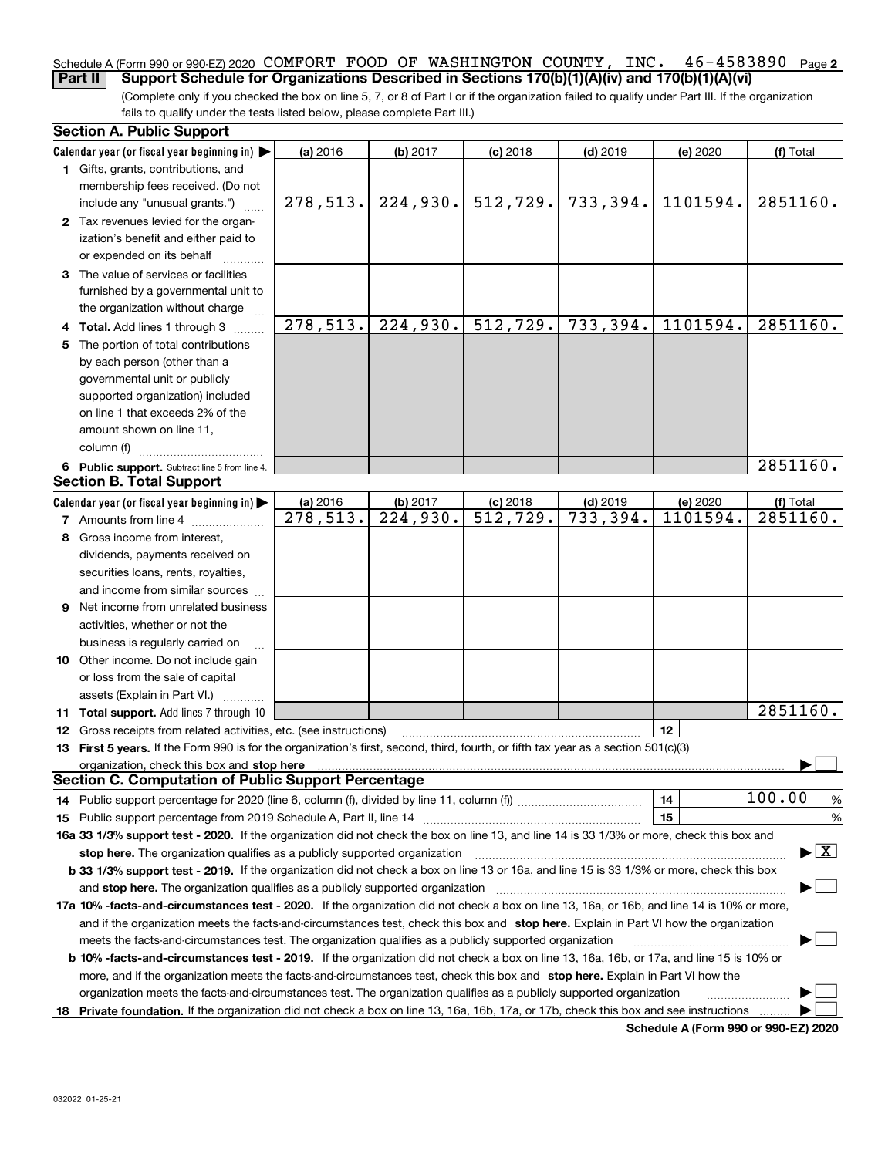#### **2** Schedule A (Form 990 or 990-EZ) 2020 Page COMFORT FOOD OF WASHINGTON COUNTY, INC. 46-4583890**Part II Support Schedule for Organizations Described in Sections 170(b)(1)(A)(iv) and 170(b)(1)(A)(vi)**

(Complete only if you checked the box on line 5, 7, or 8 of Part I or if the organization failed to qualify under Part III. If the organization fails to qualify under the tests listed below, please complete Part III.)

|    | <b>Section A. Public Support</b>                                                                                                                                                                                       |                        |                         |            |                         |          |                                          |
|----|------------------------------------------------------------------------------------------------------------------------------------------------------------------------------------------------------------------------|------------------------|-------------------------|------------|-------------------------|----------|------------------------------------------|
|    | Calendar year (or fiscal year beginning in) $\blacktriangleright$                                                                                                                                                      | (a) 2016               | (b) 2017                | $(c)$ 2018 | $(d)$ 2019              | (e) 2020 | (f) Total                                |
|    | <b>1</b> Gifts, grants, contributions, and                                                                                                                                                                             |                        |                         |            |                         |          |                                          |
|    | membership fees received. (Do not                                                                                                                                                                                      |                        |                         |            |                         |          |                                          |
|    | include any "unusual grants.")                                                                                                                                                                                         | 278, 513.              | 224,930.                | 512,729.   | 733,394.                | 1101594. | 2851160.                                 |
|    | 2 Tax revenues levied for the organ-                                                                                                                                                                                   |                        |                         |            |                         |          |                                          |
|    | ization's benefit and either paid to                                                                                                                                                                                   |                        |                         |            |                         |          |                                          |
|    | or expended on its behalf                                                                                                                                                                                              |                        |                         |            |                         |          |                                          |
|    | 3 The value of services or facilities                                                                                                                                                                                  |                        |                         |            |                         |          |                                          |
|    | furnished by a governmental unit to                                                                                                                                                                                    |                        |                         |            |                         |          |                                          |
|    | the organization without charge                                                                                                                                                                                        |                        |                         |            |                         |          |                                          |
|    | 4 Total. Add lines 1 through 3                                                                                                                                                                                         | 278,513.               | 224,930.                | 512,729.   | $\overline{733}$ , 394. | 1101594. | 2851160.                                 |
| 5. | The portion of total contributions                                                                                                                                                                                     |                        |                         |            |                         |          |                                          |
|    | by each person (other than a                                                                                                                                                                                           |                        |                         |            |                         |          |                                          |
|    | governmental unit or publicly                                                                                                                                                                                          |                        |                         |            |                         |          |                                          |
|    | supported organization) included                                                                                                                                                                                       |                        |                         |            |                         |          |                                          |
|    | on line 1 that exceeds 2% of the                                                                                                                                                                                       |                        |                         |            |                         |          |                                          |
|    | amount shown on line 11,                                                                                                                                                                                               |                        |                         |            |                         |          |                                          |
|    | column (f)                                                                                                                                                                                                             |                        |                         |            |                         |          |                                          |
|    | 6 Public support. Subtract line 5 from line 4.                                                                                                                                                                         |                        |                         |            |                         |          | 2851160.                                 |
|    | <b>Section B. Total Support</b>                                                                                                                                                                                        |                        |                         |            |                         |          |                                          |
|    | Calendar year (or fiscal year beginning in)                                                                                                                                                                            | (a) 2016               | (b) 2017                | $(c)$ 2018 | $(d)$ 2019              | (e) 2020 | (f) Total                                |
|    | <b>7</b> Amounts from line 4                                                                                                                                                                                           | $\overline{278,513}$ . | $\overline{224}$ , 930. | 512,729.   | $\overline{733}$ , 394. | 1101594. | 2851160.                                 |
|    | 8 Gross income from interest,                                                                                                                                                                                          |                        |                         |            |                         |          |                                          |
|    | dividends, payments received on                                                                                                                                                                                        |                        |                         |            |                         |          |                                          |
|    | securities loans, rents, royalties,                                                                                                                                                                                    |                        |                         |            |                         |          |                                          |
|    | and income from similar sources                                                                                                                                                                                        |                        |                         |            |                         |          |                                          |
|    | 9 Net income from unrelated business                                                                                                                                                                                   |                        |                         |            |                         |          |                                          |
|    | activities, whether or not the                                                                                                                                                                                         |                        |                         |            |                         |          |                                          |
|    | business is regularly carried on                                                                                                                                                                                       |                        |                         |            |                         |          |                                          |
|    | <b>10</b> Other income. Do not include gain                                                                                                                                                                            |                        |                         |            |                         |          |                                          |
|    | or loss from the sale of capital                                                                                                                                                                                       |                        |                         |            |                         |          |                                          |
|    | assets (Explain in Part VI.) <b>Constant</b>                                                                                                                                                                           |                        |                         |            |                         |          |                                          |
|    | <b>11 Total support.</b> Add lines 7 through 10                                                                                                                                                                        |                        |                         |            |                         |          | 2851160.                                 |
|    | <b>12</b> Gross receipts from related activities, etc. (see instructions)                                                                                                                                              |                        |                         |            |                         | 12       |                                          |
|    | 13 First 5 years. If the Form 990 is for the organization's first, second, third, fourth, or fifth tax year as a section 501(c)(3)                                                                                     |                        |                         |            |                         |          |                                          |
|    | organization, check this box and stop here                                                                                                                                                                             |                        |                         |            |                         |          |                                          |
|    | <b>Section C. Computation of Public Support Percentage</b>                                                                                                                                                             |                        |                         |            |                         |          |                                          |
|    | 14 Public support percentage for 2020 (line 6, column (f), divided by line 11, column (f) <i>mummumumum</i>                                                                                                            |                        |                         |            |                         | 14       | 100.00<br>%                              |
|    |                                                                                                                                                                                                                        |                        |                         |            |                         | 15       | %                                        |
|    | 16a 33 1/3% support test - 2020. If the organization did not check the box on line 13, and line 14 is 33 1/3% or more, check this box and                                                                              |                        |                         |            |                         |          |                                          |
|    |                                                                                                                                                                                                                        |                        |                         |            |                         |          | $\blacktriangleright$ $\boxed{\text{X}}$ |
|    | stop here. The organization qualifies as a publicly supported organization<br>b 33 1/3% support test - 2019. If the organization did not check a box on line 13 or 16a, and line 15 is 33 1/3% or more, check this box |                        |                         |            |                         |          |                                          |
|    | and stop here. The organization qualifies as a publicly supported organization                                                                                                                                         |                        |                         |            |                         |          |                                          |
|    | 17a 10% -facts-and-circumstances test - 2020. If the organization did not check a box on line 13, 16a, or 16b, and line 14 is 10% or more,                                                                             |                        |                         |            |                         |          |                                          |
|    | and if the organization meets the facts-and-circumstances test, check this box and stop here. Explain in Part VI how the organization                                                                                  |                        |                         |            |                         |          |                                          |
|    | meets the facts-and-circumstances test. The organization qualifies as a publicly supported organization                                                                                                                |                        |                         |            |                         |          |                                          |
|    | <b>b 10% -facts-and-circumstances test - 2019.</b> If the organization did not check a box on line 13, 16a, 16b, or 17a, and line 15 is 10% or                                                                         |                        |                         |            |                         |          |                                          |
|    | more, and if the organization meets the facts-and-circumstances test, check this box and stop here. Explain in Part VI how the                                                                                         |                        |                         |            |                         |          |                                          |
|    | organization meets the facts-and-circumstances test. The organization qualifies as a publicly supported organization                                                                                                   |                        |                         |            |                         |          |                                          |
|    |                                                                                                                                                                                                                        |                        |                         |            |                         |          |                                          |
|    | 18 Private foundation. If the organization did not check a box on line 13, 16a, 16b, 17a, or 17b, check this box and see instructions                                                                                  |                        |                         |            |                         |          |                                          |

**Schedule A (Form 990 or 990-EZ) 2020**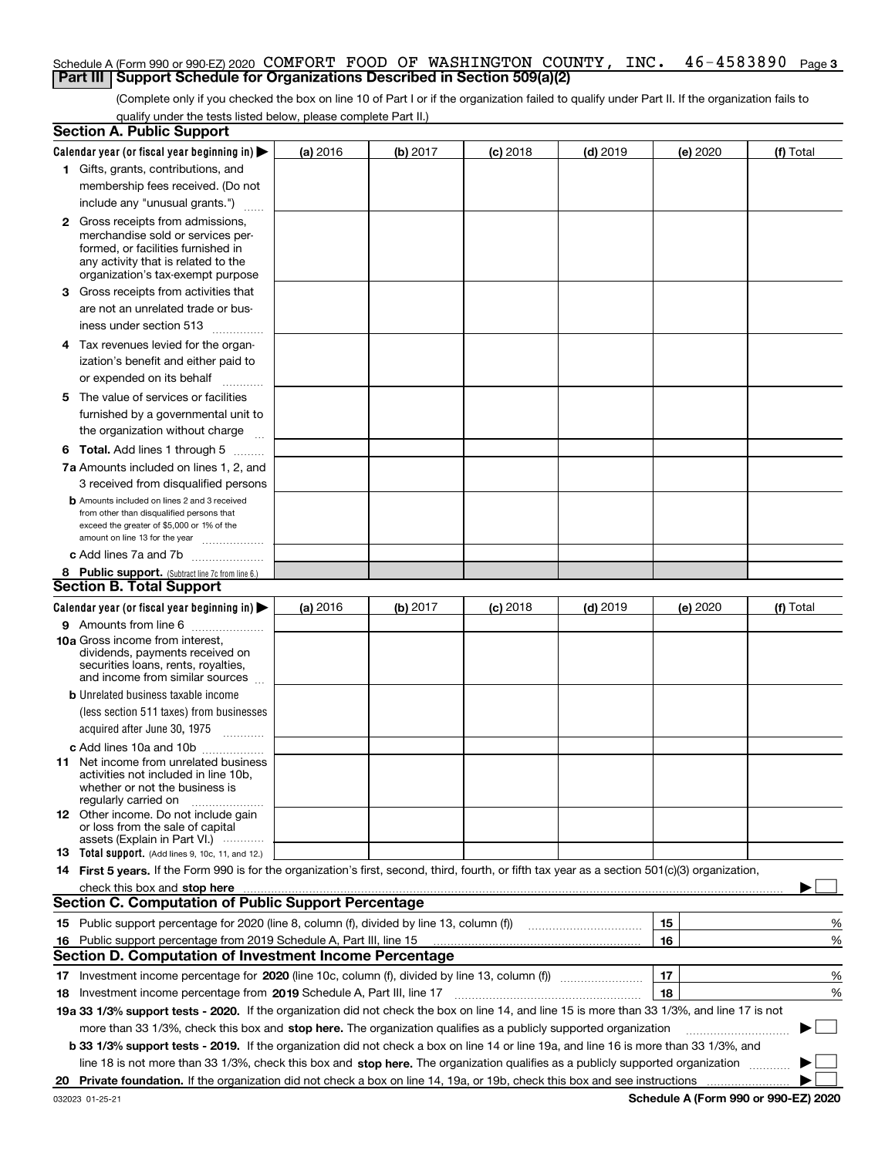#### **3** Schedule A (Form 990 or 990-EZ) 2020 Page COMFORT FOOD OF WASHINGTON COUNTY, INC. 46-4583890**Part III** | Support Schedule for Organizations Described in Section 509(a)(2)

(Complete only if you checked the box on line 10 of Part I or if the organization failed to qualify under Part II. If the organization fails to qualify under the tests listed below, please complete Part II.)

| <b>Section A. Public Support</b>                                                                                                                                                                                                      |          |          |                 |            |          |           |
|---------------------------------------------------------------------------------------------------------------------------------------------------------------------------------------------------------------------------------------|----------|----------|-----------------|------------|----------|-----------|
| Calendar year (or fiscal year beginning in) $\blacktriangleright$                                                                                                                                                                     | (a) 2016 | (b) 2017 | <b>(c)</b> 2018 | $(d)$ 2019 | (e) 2020 | (f) Total |
| 1 Gifts, grants, contributions, and                                                                                                                                                                                                   |          |          |                 |            |          |           |
| membership fees received. (Do not                                                                                                                                                                                                     |          |          |                 |            |          |           |
| include any "unusual grants.")                                                                                                                                                                                                        |          |          |                 |            |          |           |
| <b>2</b> Gross receipts from admissions,                                                                                                                                                                                              |          |          |                 |            |          |           |
| merchandise sold or services per-                                                                                                                                                                                                     |          |          |                 |            |          |           |
| formed, or facilities furnished in                                                                                                                                                                                                    |          |          |                 |            |          |           |
| any activity that is related to the<br>organization's tax-exempt purpose                                                                                                                                                              |          |          |                 |            |          |           |
| 3 Gross receipts from activities that                                                                                                                                                                                                 |          |          |                 |            |          |           |
| are not an unrelated trade or bus-                                                                                                                                                                                                    |          |          |                 |            |          |           |
| iness under section 513                                                                                                                                                                                                               |          |          |                 |            |          |           |
|                                                                                                                                                                                                                                       |          |          |                 |            |          |           |
| 4 Tax revenues levied for the organ-<br>ization's benefit and either paid to                                                                                                                                                          |          |          |                 |            |          |           |
| or expended on its behalf                                                                                                                                                                                                             |          |          |                 |            |          |           |
| .                                                                                                                                                                                                                                     |          |          |                 |            |          |           |
| 5 The value of services or facilities                                                                                                                                                                                                 |          |          |                 |            |          |           |
| furnished by a governmental unit to                                                                                                                                                                                                   |          |          |                 |            |          |           |
| the organization without charge                                                                                                                                                                                                       |          |          |                 |            |          |           |
| <b>6 Total.</b> Add lines 1 through 5                                                                                                                                                                                                 |          |          |                 |            |          |           |
| 7a Amounts included on lines 1, 2, and                                                                                                                                                                                                |          |          |                 |            |          |           |
| 3 received from disqualified persons                                                                                                                                                                                                  |          |          |                 |            |          |           |
| <b>b</b> Amounts included on lines 2 and 3 received<br>from other than disqualified persons that                                                                                                                                      |          |          |                 |            |          |           |
| exceed the greater of \$5,000 or 1% of the                                                                                                                                                                                            |          |          |                 |            |          |           |
| amount on line 13 for the year                                                                                                                                                                                                        |          |          |                 |            |          |           |
| c Add lines 7a and 7b                                                                                                                                                                                                                 |          |          |                 |            |          |           |
| 8 Public support. (Subtract line 7c from line 6.)                                                                                                                                                                                     |          |          |                 |            |          |           |
| <b>Section B. Total Support</b>                                                                                                                                                                                                       |          |          |                 |            |          |           |
| Calendar year (or fiscal year beginning in) $\blacktriangleright$                                                                                                                                                                     | (a) 2016 | (b) 2017 | $(c)$ 2018      | $(d)$ 2019 | (e) 2020 | (f) Total |
| 9 Amounts from line 6                                                                                                                                                                                                                 |          |          |                 |            |          |           |
| 10a Gross income from interest,                                                                                                                                                                                                       |          |          |                 |            |          |           |
| dividends, payments received on<br>securities loans, rents, royalties,                                                                                                                                                                |          |          |                 |            |          |           |
| and income from similar sources                                                                                                                                                                                                       |          |          |                 |            |          |           |
| <b>b</b> Unrelated business taxable income                                                                                                                                                                                            |          |          |                 |            |          |           |
| (less section 511 taxes) from businesses                                                                                                                                                                                              |          |          |                 |            |          |           |
| acquired after June 30, 1975                                                                                                                                                                                                          |          |          |                 |            |          |           |
| c Add lines 10a and 10b                                                                                                                                                                                                               |          |          |                 |            |          |           |
| 11 Net income from unrelated business                                                                                                                                                                                                 |          |          |                 |            |          |           |
| activities not included in line 10b.                                                                                                                                                                                                  |          |          |                 |            |          |           |
| whether or not the business is<br>regularly carried on                                                                                                                                                                                |          |          |                 |            |          |           |
| 12 Other income. Do not include gain                                                                                                                                                                                                  |          |          |                 |            |          |           |
| or loss from the sale of capital                                                                                                                                                                                                      |          |          |                 |            |          |           |
| assets (Explain in Part VI.)<br><b>13</b> Total support. (Add lines 9, 10c, 11, and 12.)                                                                                                                                              |          |          |                 |            |          |           |
| 14 First 5 years. If the Form 990 is for the organization's first, second, third, fourth, or fifth tax year as a section 501(c)(3) organization,                                                                                      |          |          |                 |            |          |           |
| check this box and stop here measurements are constructed as the state of the state of the state of the state o                                                                                                                       |          |          |                 |            |          |           |
| <b>Section C. Computation of Public Support Percentage</b>                                                                                                                                                                            |          |          |                 |            |          |           |
| 15 Public support percentage for 2020 (line 8, column (f), divided by line 13, column (f))                                                                                                                                            |          |          |                 |            | 15       | %         |
| 16 Public support percentage from 2019 Schedule A, Part III, line 15                                                                                                                                                                  |          |          |                 |            | 16       | %         |
| <b>Section D. Computation of Investment Income Percentage</b>                                                                                                                                                                         |          |          |                 |            |          |           |
|                                                                                                                                                                                                                                       |          |          |                 |            | 17       | %         |
|                                                                                                                                                                                                                                       |          |          |                 |            | 18       | %         |
| <b>18</b> Investment income percentage from <b>2019</b> Schedule A, Part III, line 17<br>19a 33 1/3% support tests - 2020. If the organization did not check the box on line 14, and line 15 is more than 33 1/3%, and line 17 is not |          |          |                 |            |          |           |
|                                                                                                                                                                                                                                       |          |          |                 |            |          |           |
| more than 33 1/3%, check this box and stop here. The organization qualifies as a publicly supported organization                                                                                                                      |          |          |                 |            |          | ▶         |
| b 33 1/3% support tests - 2019. If the organization did not check a box on line 14 or line 19a, and line 16 is more than 33 1/3%, and                                                                                                 |          |          |                 |            |          |           |
| line 18 is not more than 33 1/3%, check this box and stop here. The organization qualifies as a publicly supported organization                                                                                                       |          |          |                 |            |          |           |
|                                                                                                                                                                                                                                       |          |          |                 |            |          |           |

**Schedule A (Form 990 or 990-EZ) 2020**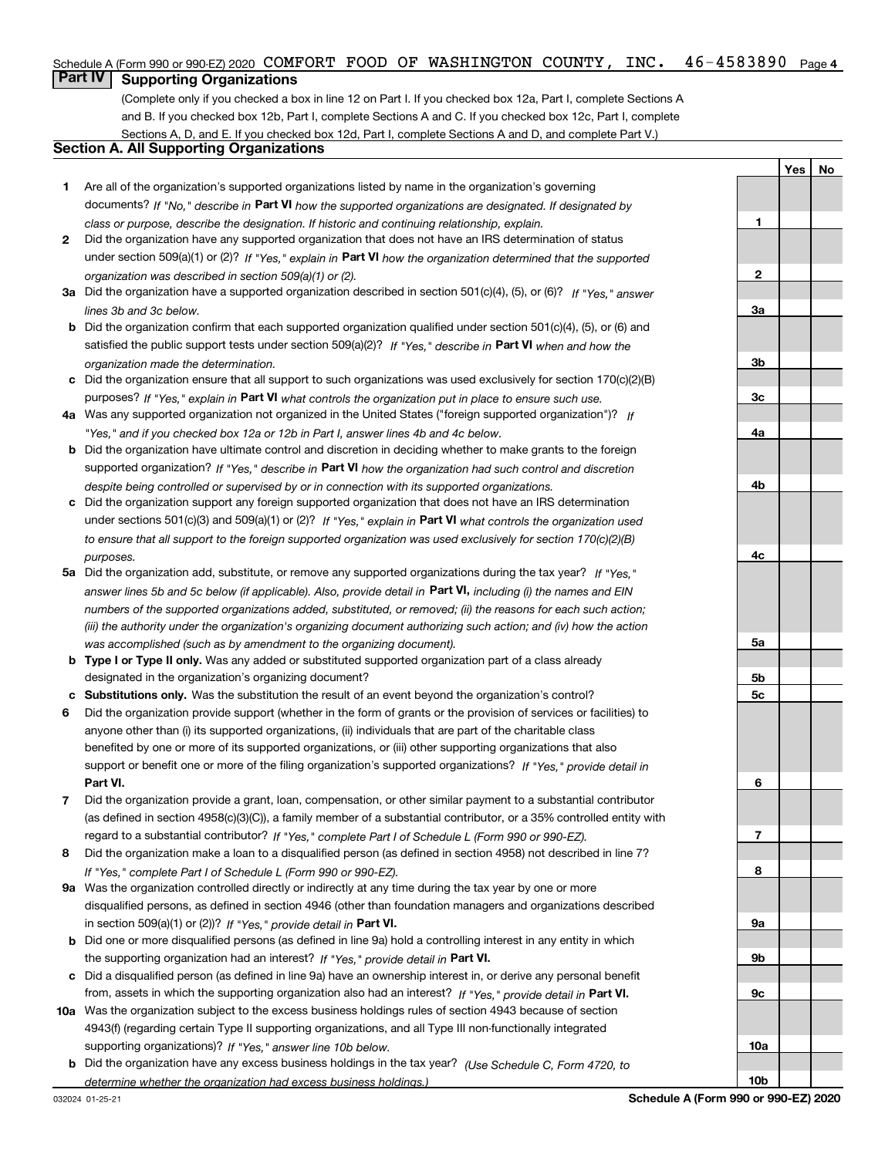#### **4**Schedule A (Form 990 or 990-EZ) 2020 Page COMFORT FOOD OF WASHINGTON COUNTY, INC. 46-4583890

### **Part IV Supporting Organizations**

(Complete only if you checked a box in line 12 on Part I. If you checked box 12a, Part I, complete Sections A and B. If you checked box 12b, Part I, complete Sections A and C. If you checked box 12c, Part I, complete Sections A, D, and E. If you checked box 12d, Part I, complete Sections A and D, and complete Part V.)

#### **Section A. All Supporting Organizations**

- **1** Are all of the organization's supported organizations listed by name in the organization's governing documents? If "No," describe in **Part VI** how the supported organizations are designated. If designated by *class or purpose, describe the designation. If historic and continuing relationship, explain.*
- **2** Did the organization have any supported organization that does not have an IRS determination of status under section 509(a)(1) or (2)? If "Yes," explain in Part VI how the organization determined that the supported *organization was described in section 509(a)(1) or (2).*
- **3a** Did the organization have a supported organization described in section 501(c)(4), (5), or (6)? If "Yes," answer *lines 3b and 3c below.*
- **b** Did the organization confirm that each supported organization qualified under section 501(c)(4), (5), or (6) and satisfied the public support tests under section 509(a)(2)? If "Yes," describe in **Part VI** when and how the *organization made the determination.*
- **c**Did the organization ensure that all support to such organizations was used exclusively for section 170(c)(2)(B) purposes? If "Yes," explain in **Part VI** what controls the organization put in place to ensure such use.
- **4a***If* Was any supported organization not organized in the United States ("foreign supported organization")? *"Yes," and if you checked box 12a or 12b in Part I, answer lines 4b and 4c below.*
- **b** Did the organization have ultimate control and discretion in deciding whether to make grants to the foreign supported organization? If "Yes," describe in **Part VI** how the organization had such control and discretion *despite being controlled or supervised by or in connection with its supported organizations.*
- **c** Did the organization support any foreign supported organization that does not have an IRS determination under sections 501(c)(3) and 509(a)(1) or (2)? If "Yes," explain in **Part VI** what controls the organization used *to ensure that all support to the foreign supported organization was used exclusively for section 170(c)(2)(B) purposes.*
- **5a***If "Yes,"* Did the organization add, substitute, or remove any supported organizations during the tax year? answer lines 5b and 5c below (if applicable). Also, provide detail in **Part VI,** including (i) the names and EIN *numbers of the supported organizations added, substituted, or removed; (ii) the reasons for each such action; (iii) the authority under the organization's organizing document authorizing such action; and (iv) how the action was accomplished (such as by amendment to the organizing document).*
- **b** Type I or Type II only. Was any added or substituted supported organization part of a class already designated in the organization's organizing document?
- **cSubstitutions only.**  Was the substitution the result of an event beyond the organization's control?
- **6** Did the organization provide support (whether in the form of grants or the provision of services or facilities) to **Part VI.** *If "Yes," provide detail in* support or benefit one or more of the filing organization's supported organizations? anyone other than (i) its supported organizations, (ii) individuals that are part of the charitable class benefited by one or more of its supported organizations, or (iii) other supporting organizations that also
- **7**Did the organization provide a grant, loan, compensation, or other similar payment to a substantial contributor *If "Yes," complete Part I of Schedule L (Form 990 or 990-EZ).* regard to a substantial contributor? (as defined in section 4958(c)(3)(C)), a family member of a substantial contributor, or a 35% controlled entity with
- **8** Did the organization make a loan to a disqualified person (as defined in section 4958) not described in line 7? *If "Yes," complete Part I of Schedule L (Form 990 or 990-EZ).*
- **9a** Was the organization controlled directly or indirectly at any time during the tax year by one or more in section 509(a)(1) or (2))? If "Yes," *provide detail in* <code>Part VI.</code> disqualified persons, as defined in section 4946 (other than foundation managers and organizations described
- **b** Did one or more disqualified persons (as defined in line 9a) hold a controlling interest in any entity in which the supporting organization had an interest? If "Yes," provide detail in P**art VI**.
- **c**Did a disqualified person (as defined in line 9a) have an ownership interest in, or derive any personal benefit from, assets in which the supporting organization also had an interest? If "Yes," provide detail in P**art VI.**
- **10a** Was the organization subject to the excess business holdings rules of section 4943 because of section supporting organizations)? If "Yes," answer line 10b below. 4943(f) (regarding certain Type II supporting organizations, and all Type III non-functionally integrated
- **b** Did the organization have any excess business holdings in the tax year? (Use Schedule C, Form 4720, to *determine whether the organization had excess business holdings.)*

**YesNo**

**1**

**10b**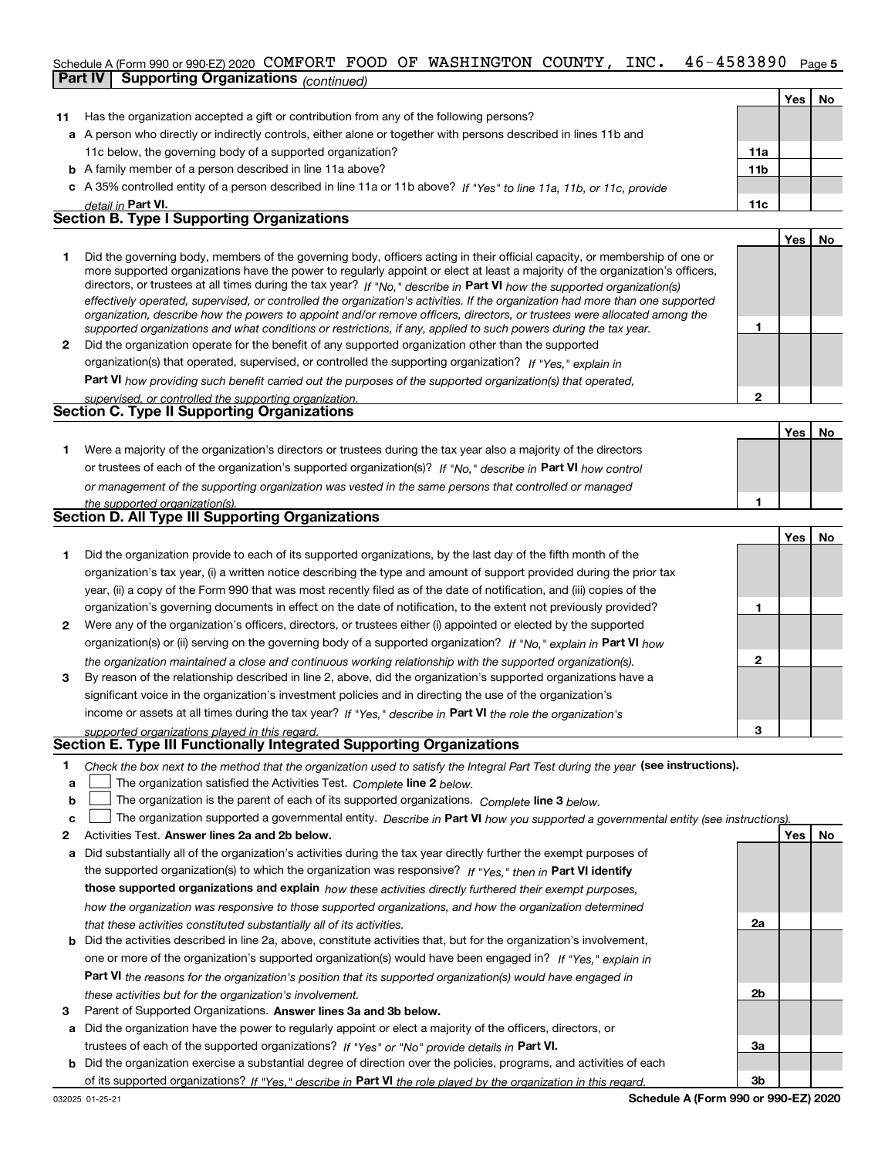#### 46-4583890 Page 5 Schedule A (Form 990 or 990-EZ) 2020  $\,$  COMFORT  $\,$  FOOD  $\,$  OF  $\,$  WASHINGTON  $\,$  COUNTY  $\,$  ,  $\,$  INC  $\,$   $\,$   $\,$   $\,4\,6$   $4\,5\,8\,3\,8\,9\,0$   $\,$   $_{\rm{Page}}$ **Part IV Supporting Organizations** *(continued)*

|    |                                                                                                                      |                 | Yes | No. |
|----|----------------------------------------------------------------------------------------------------------------------|-----------------|-----|-----|
| 11 | Has the organization accepted a gift or contribution from any of the following persons?                              |                 |     |     |
|    | a A person who directly or indirectly controls, either alone or together with persons described in lines 11b and     |                 |     |     |
|    | 11c below, the governing body of a supported organization?                                                           | 11a             |     |     |
|    | <b>b</b> A family member of a person described in line 11a above?                                                    | 11 <sub>b</sub> |     |     |
|    | c A 35% controlled entity of a person described in line 11a or 11b above? If "Yes" to line 11a, 11b, or 11c, provide |                 |     |     |
|    | detail in Part VI.                                                                                                   | 11c             |     |     |
|    | <b>Section B. Type I Supporting Organizations</b>                                                                    |                 |     |     |
|    |                                                                                                                      |                 | Yes | N٥  |

| Did the governing body, members of the governing body, officers acting in their official capacity, or membership of one or<br>more supported organizations have the power to regularly appoint or elect at least a majority of the organization's officers,<br>directors, or trustees at all times during the tax year? If "No," describe in Part VI how the supported organization(s)<br>effectively operated, supervised, or controlled the organization's activities. If the organization had more than one supported |                                                                                                                                                                                                                                              |  |
|--------------------------------------------------------------------------------------------------------------------------------------------------------------------------------------------------------------------------------------------------------------------------------------------------------------------------------------------------------------------------------------------------------------------------------------------------------------------------------------------------------------------------|----------------------------------------------------------------------------------------------------------------------------------------------------------------------------------------------------------------------------------------------|--|
|                                                                                                                                                                                                                                                                                                                                                                                                                                                                                                                          | organization, describe how the powers to appoint and/or remove officers, directors, or trustees were allocated among the<br>supported organizations and what conditions or restrictions, if any, applied to such powers during the tax year. |  |
| 2                                                                                                                                                                                                                                                                                                                                                                                                                                                                                                                        | Did the organization operate for the benefit of any supported organization other than the supported                                                                                                                                          |  |
|                                                                                                                                                                                                                                                                                                                                                                                                                                                                                                                          | $\alpha$ requirection(a) that operated ouncesinged as controlled the quanorization organization? $\mu$ is $\mu$                                                                                                                              |  |

*If "Yes," explain in* organization(s) that operated, supervised, or controlled the supporting organization?

**Part VI**  *how providing such benefit carried out the purposes of the supported organization(s) that operated, supervised, or controlled the supporting organization.*

| supervised. Or corrirolled the supporting organization. |  |
|---------------------------------------------------------|--|
| Section C. Type II Supporting Organizations             |  |

**Yes No 1**or trustees of each of the organization's supported organization(s)? If "No," describe in **Part VI** how control **1***or management of the supporting organization was vested in the same persons that controlled or managed the supported organization(s).* Were a majority of the organization's directors or trustees during the tax year also a majority of the directors

|              |                                                                                                                        |   | Yes | No |
|--------------|------------------------------------------------------------------------------------------------------------------------|---|-----|----|
|              | Did the organization provide to each of its supported organizations, by the last day of the fifth month of the         |   |     |    |
|              | organization's tax year, (i) a written notice describing the type and amount of support provided during the prior tax  |   |     |    |
|              | year, (ii) a copy of the Form 990 that was most recently filed as of the date of notification, and (iii) copies of the |   |     |    |
|              | organization's governing documents in effect on the date of notification, to the extent not previously provided?       |   |     |    |
| $\mathbf{2}$ | Were any of the organization's officers, directors, or trustees either (i) appointed or elected by the supported       |   |     |    |
|              | organization(s) or (ii) serving on the governing body of a supported organization? If "No," explain in Part VI how     |   |     |    |
|              | the organization maintained a close and continuous working relationship with the supported organization(s).            | 2 |     |    |
| 3            | By reason of the relationship described in line 2, above, did the organization's supported organizations have a        |   |     |    |
|              | significant voice in the organization's investment policies and in directing the use of the organization's             |   |     |    |
|              | income or assets at all times during the tax year? If "Yes," describe in Part VI the role the organization's           |   |     |    |
|              | supported organizations played in this regard.                                                                         | 3 |     |    |

# *supported organizations played in this regard.* **Section E. Type III Functionally Integrated Supporting Organizations**

- **1**Check the box next to the method that the organization used to satisfy the Integral Part Test during the year (see instructions).
- **alinupy** The organization satisfied the Activities Test. Complete line 2 below.
- **bThe organization is the parent of each of its supported organizations. Complete line 3 below.**

|  |  |  | $\mathbf{c}$ The organization supported a governmental entity. Describe in Part VI how you supported a governmental entity (see instructions). |  |
|--|--|--|------------------------------------------------------------------------------------------------------------------------------------------------|--|
|--|--|--|------------------------------------------------------------------------------------------------------------------------------------------------|--|

- **2Answer lines 2a and 2b below. Yes No** Activities Test.
- **a** Did substantially all of the organization's activities during the tax year directly further the exempt purposes of the supported organization(s) to which the organization was responsive? If "Yes," then in **Part VI identify those supported organizations and explain**  *how these activities directly furthered their exempt purposes, how the organization was responsive to those supported organizations, and how the organization determined that these activities constituted substantially all of its activities.*
- **b** Did the activities described in line 2a, above, constitute activities that, but for the organization's involvement, **Part VI**  *the reasons for the organization's position that its supported organization(s) would have engaged in* one or more of the organization's supported organization(s) would have been engaged in? If "Yes," e*xplain in these activities but for the organization's involvement.*
- **3** Parent of Supported Organizations. Answer lines 3a and 3b below.
- **a** Did the organization have the power to regularly appoint or elect a majority of the officers, directors, or trustees of each of the supported organizations? If "Yes" or "No" provide details in **Part VI.**
- **b** Did the organization exercise a substantial degree of direction over the policies, programs, and activities of each of its supported organizations? If "Yes," describe in Part VI the role played by the organization in this regard.

**2a**

**2b**

**3a**

**3b**

**2**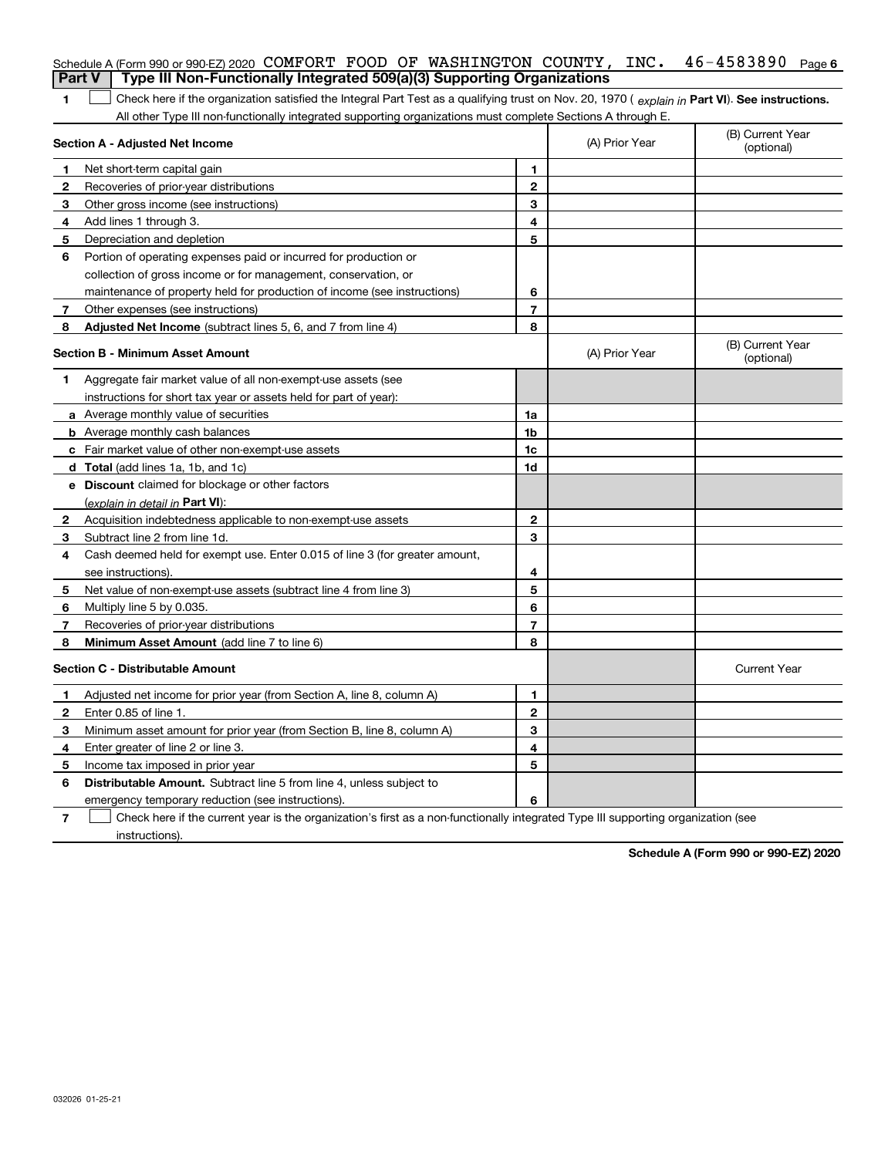|        | Schedule A (Form 990 or 990-EZ) 2020 COMFORT FOOD OF WASHINGTON COUNTY, INC.                                                                   |                |                | 46-4583890<br>Page 6           |
|--------|------------------------------------------------------------------------------------------------------------------------------------------------|----------------|----------------|--------------------------------|
| Part V | Type III Non-Functionally Integrated 509(a)(3) Supporting Organizations                                                                        |                |                |                                |
| 1.     | Check here if the organization satisfied the Integral Part Test as a qualifying trust on Nov. 20, 1970 (explain in Part VI). See instructions. |                |                |                                |
|        | All other Type III non-functionally integrated supporting organizations must complete Sections A through E.                                    |                |                |                                |
|        | <b>Section A - Adjusted Net Income</b>                                                                                                         |                | (A) Prior Year | (B) Current Year<br>(optional) |
| 1      | Net short-term capital gain                                                                                                                    | 1              |                |                                |
| 2      | Recoveries of prior-year distributions                                                                                                         | $\mathbf{2}$   |                |                                |
| 3      | Other gross income (see instructions)                                                                                                          | 3              |                |                                |
| 4      | Add lines 1 through 3.                                                                                                                         | 4              |                |                                |
| 5      | Depreciation and depletion                                                                                                                     | 5              |                |                                |
| 6      | Portion of operating expenses paid or incurred for production or                                                                               |                |                |                                |
|        | collection of gross income or for management, conservation, or                                                                                 |                |                |                                |
|        | maintenance of property held for production of income (see instructions)                                                                       | 6              |                |                                |
| 7      | Other expenses (see instructions)                                                                                                              | $\overline{7}$ |                |                                |
| 8      | Adjusted Net Income (subtract lines 5, 6, and 7 from line 4)                                                                                   | 8              |                |                                |
|        | <b>Section B - Minimum Asset Amount</b>                                                                                                        |                | (A) Prior Year | (B) Current Year<br>(optional) |
| 1      | Aggregate fair market value of all non-exempt-use assets (see                                                                                  |                |                |                                |
|        | instructions for short tax year or assets held for part of year):                                                                              |                |                |                                |
|        | a Average monthly value of securities                                                                                                          | 1a             |                |                                |
|        | <b>b</b> Average monthly cash balances                                                                                                         | 1b             |                |                                |
|        | <b>c</b> Fair market value of other non-exempt-use assets                                                                                      | 1c             |                |                                |
|        | d Total (add lines 1a, 1b, and 1c)                                                                                                             | 1d             |                |                                |
|        | e Discount claimed for blockage or other factors                                                                                               |                |                |                                |
|        | (explain in detail in Part VI):                                                                                                                |                |                |                                |
| 2      | Acquisition indebtedness applicable to non-exempt-use assets                                                                                   | $\mathbf{2}$   |                |                                |
| 3      | Subtract line 2 from line 1d.                                                                                                                  | 3              |                |                                |
| 4      | Cash deemed held for exempt use. Enter 0.015 of line 3 (for greater amount,                                                                    |                |                |                                |
|        | see instructions).                                                                                                                             | 4              |                |                                |
| 5      | Net value of non-exempt-use assets (subtract line 4 from line 3)                                                                               | 5              |                |                                |
| 6      | Multiply line 5 by 0.035.                                                                                                                      | 6              |                |                                |
| 7      | Recoveries of prior-year distributions                                                                                                         | $\overline{7}$ |                |                                |
| 8      | Minimum Asset Amount (add line 7 to line 6)                                                                                                    | 8              |                |                                |
|        | <b>Section C - Distributable Amount</b>                                                                                                        |                |                | <b>Current Year</b>            |
| 1.     | Adjusted net income for prior year (from Section A, line 8, column A)                                                                          | 1              |                |                                |
|        | Enter 0.85 of line 1.                                                                                                                          | 2              |                |                                |
| 3      | Minimum asset amount for prior year (from Section B, line 8, column A)                                                                         | 3              |                |                                |
| 4      | Enter greater of line 2 or line 3.                                                                                                             | 4              |                |                                |
| 5      | Income tax imposed in prior year                                                                                                               | 5              |                |                                |
| 6      | <b>Distributable Amount.</b> Subtract line 5 from line 4, unless subject to                                                                    |                |                |                                |
|        | emergency temporary reduction (see instructions).                                                                                              | 6              |                |                                |
| 7      | Check here if the current year is the organization's first as a non-functionally integrated Type III supporting organization (see              |                |                |                                |

instructions).

**Schedule A (Form 990 or 990-EZ) 2020**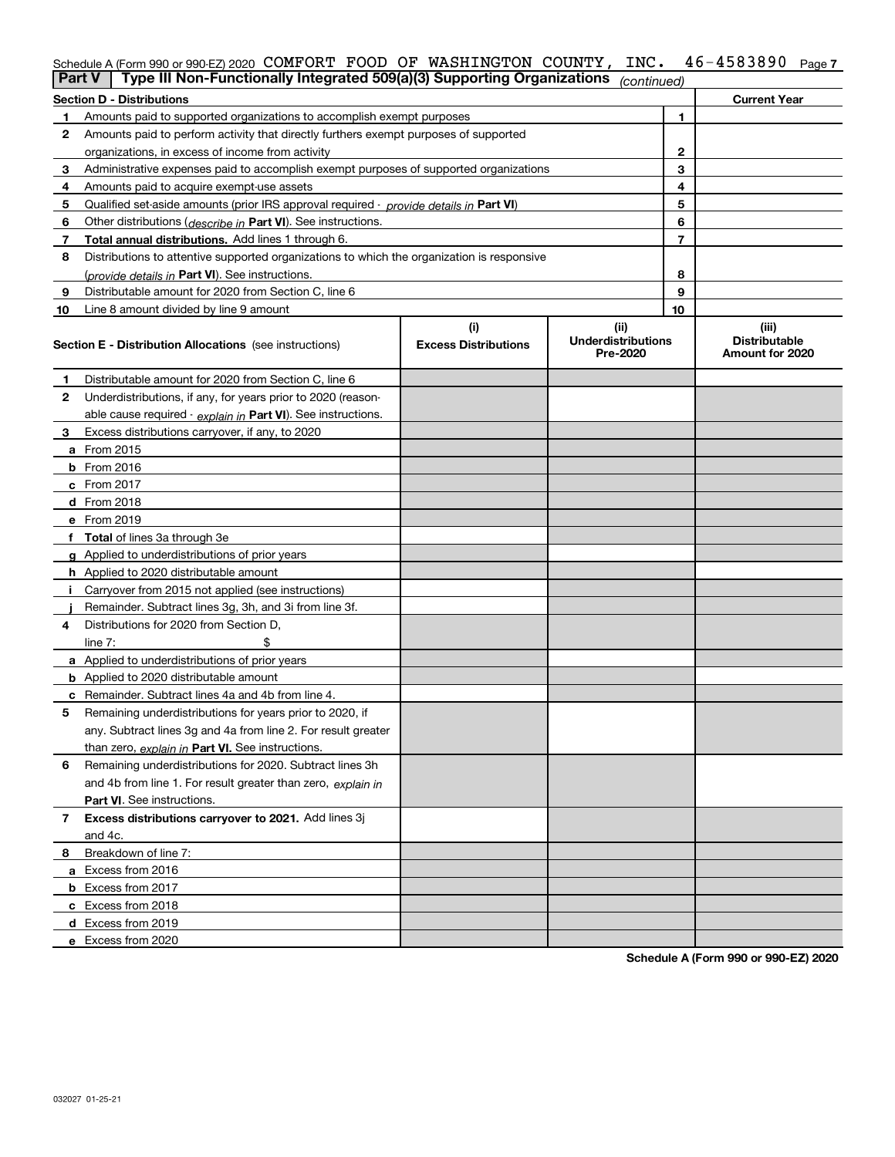|    | Schedule A (Form 990 or 990-EZ) 2020 COMFORT FOOD OF WASHINGTON COUNTY,                    |                                    | INC.                                          |    | $46 - 4583890$<br>Page 7                         |
|----|--------------------------------------------------------------------------------------------|------------------------------------|-----------------------------------------------|----|--------------------------------------------------|
|    | Type III Non-Functionally Integrated 509(a)(3) Supporting Organizations<br><b>Part V</b>   |                                    | (continued)                                   |    |                                                  |
|    | <b>Section D - Distributions</b>                                                           |                                    |                                               |    | <b>Current Year</b>                              |
|    | Amounts paid to supported organizations to accomplish exempt purposes                      |                                    |                                               |    |                                                  |
| 2  | Amounts paid to perform activity that directly furthers exempt purposes of supported       |                                    |                                               |    |                                                  |
|    | organizations, in excess of income from activity                                           |                                    |                                               | 2  |                                                  |
| 3  | Administrative expenses paid to accomplish exempt purposes of supported organizations      |                                    |                                               | з  |                                                  |
| 4  | Amounts paid to acquire exempt-use assets                                                  |                                    |                                               | 4  |                                                  |
| 5  | Qualified set-aside amounts (prior IRS approval required - provide details in Part VI)     |                                    |                                               | 5  |                                                  |
| 6  | Other distributions ( <i>describe in</i> Part VI). See instructions.                       |                                    |                                               | 6  |                                                  |
|    | Total annual distributions. Add lines 1 through 6.                                         |                                    |                                               | 7  |                                                  |
| 8  | Distributions to attentive supported organizations to which the organization is responsive |                                    |                                               |    |                                                  |
|    | (provide details in Part VI). See instructions.                                            |                                    |                                               | 8  |                                                  |
| 9  | Distributable amount for 2020 from Section C, line 6                                       |                                    |                                               | 9  |                                                  |
| 10 | Line 8 amount divided by line 9 amount                                                     |                                    |                                               | 10 |                                                  |
|    | <b>Section E - Distribution Allocations</b> (see instructions)                             | (i)<br><b>Excess Distributions</b> | (ii)<br><b>Underdistributions</b><br>Pre-2020 |    | (iii)<br><b>Distributable</b><br>Amount for 2020 |
|    | Distributable amount for 2020 from Section C, line 6                                       |                                    |                                               |    |                                                  |
| 2  | Underdistributions, if any, for years prior to 2020 (reason-                               |                                    |                                               |    |                                                  |

**8**Breakdown of line 7:

and 4c.

**a** Excess from 2016 **b** Excess from 2017 **c**Excess from 2018 **d**Excess from 2019 **e**Excess from 2020

**Part VI** . See instructions.

**3**Excess distributions carryover, if any, to 2020

**g**Applied to underdistributions of prior years **h** Applied to 2020 distributable amount

**a** Applied to underdistributions of prior years **b** Applied to 2020 distributable amount

**c** Remainder. Subtract lines 4a and 4b from line 4.

<u>than zero, *explain in* Part VI. See instructions.</u>

**a** From 2015 **b** From 2016 **c**From 2017 **d** From 2018 **e** From 2019

**i**

<u>able cause required - *explain in* Part VI). See instructions.</u>

**4**Distributions for 2020 from Section D,

 $line 7:$   $\frac{1}{2}$ 

**f Total**  of lines 3a through 3e

**5** Remaining underdistributions for years prior to 2020, if

**j** Remainder. Subtract lines 3g, 3h, and 3i from line 3f.

Carryover from 2015 not applied (see instructions)

**6** Remaining underdistributions for 2020. Subtract lines 3h

and 4b from line 1. For result greater than zero, *explain in* 

any. Subtract lines 3g and 4a from line 2. For result greater

**7Excess distributions carryover to 2021.**  Add lines 3j

**Schedule A (Form 990 or 990-EZ) 2020**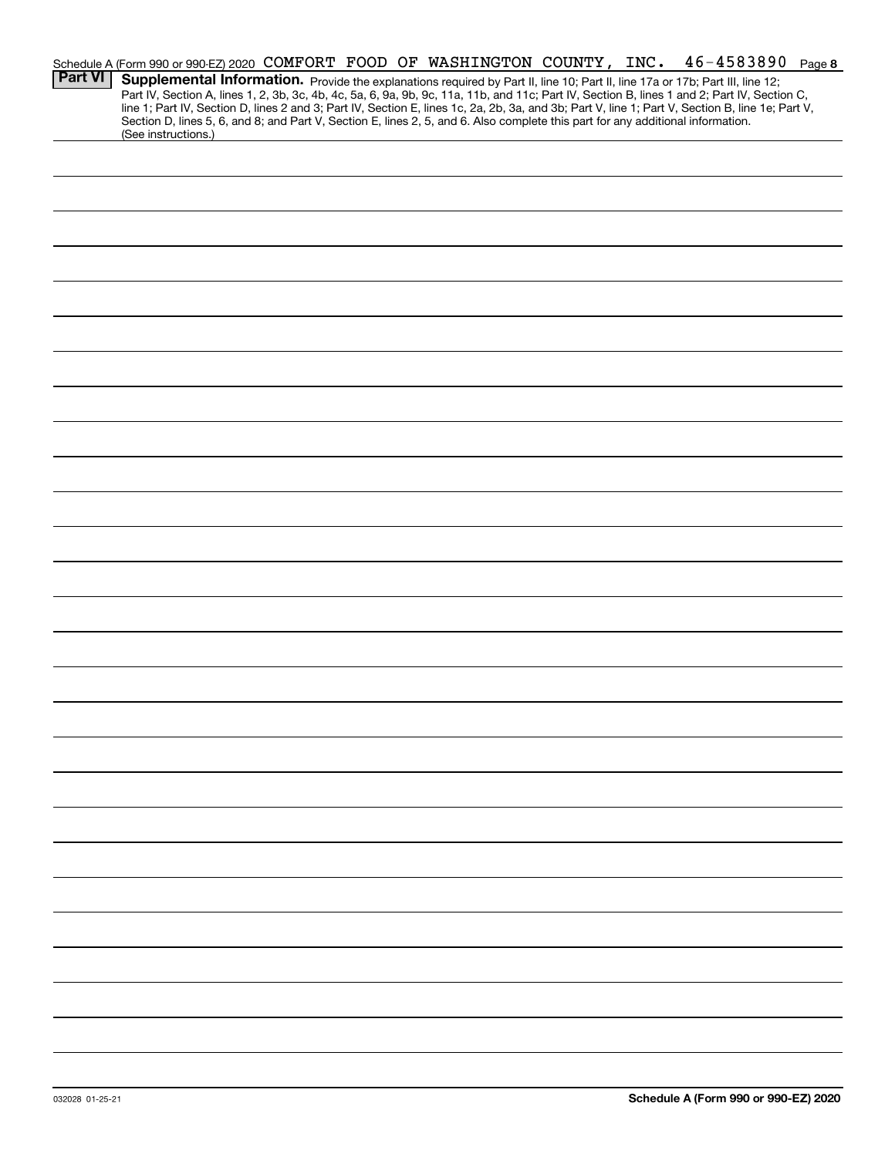|                | $46 - 4583890$ Page 8<br>Schedule A (Form 990 or 990-EZ) 2020 COMFORT FOOD OF WASHINGTON COUNTY, INC.                                                                                                                                                                                            |
|----------------|--------------------------------------------------------------------------------------------------------------------------------------------------------------------------------------------------------------------------------------------------------------------------------------------------|
| <b>Part VI</b> | Supplemental Information. Provide the explanations required by Part II, line 10; Part II, line 17a or 17b; Part III, line 12;                                                                                                                                                                    |
|                | Part IV, Section A, lines 1, 2, 3b, 3c, 4b, 4c, 5a, 6, 9a, 9b, 9c, 11a, 11b, and 11c; Part IV, Section B, lines 1 and 2; Part IV, Section C,<br>line 1; Part IV, Section D, lines 2 and 3; Part IV, Section E, lines 1c, 2a, 2b, 3a, and 3b; Part V, line 1; Part V, Section B, line 1e; Part V, |
|                | Section D, lines 5, 6, and 8; and Part V, Section E, lines 2, 5, and 6. Also complete this part for any additional information.                                                                                                                                                                  |
|                | (See instructions.)                                                                                                                                                                                                                                                                              |
|                |                                                                                                                                                                                                                                                                                                  |
|                |                                                                                                                                                                                                                                                                                                  |
|                |                                                                                                                                                                                                                                                                                                  |
|                |                                                                                                                                                                                                                                                                                                  |
|                |                                                                                                                                                                                                                                                                                                  |
|                |                                                                                                                                                                                                                                                                                                  |
|                |                                                                                                                                                                                                                                                                                                  |
|                |                                                                                                                                                                                                                                                                                                  |
|                |                                                                                                                                                                                                                                                                                                  |
|                |                                                                                                                                                                                                                                                                                                  |
|                |                                                                                                                                                                                                                                                                                                  |
|                |                                                                                                                                                                                                                                                                                                  |
|                |                                                                                                                                                                                                                                                                                                  |
|                |                                                                                                                                                                                                                                                                                                  |
|                |                                                                                                                                                                                                                                                                                                  |
|                |                                                                                                                                                                                                                                                                                                  |
|                |                                                                                                                                                                                                                                                                                                  |
|                |                                                                                                                                                                                                                                                                                                  |
|                |                                                                                                                                                                                                                                                                                                  |
|                |                                                                                                                                                                                                                                                                                                  |
|                |                                                                                                                                                                                                                                                                                                  |
|                |                                                                                                                                                                                                                                                                                                  |
|                |                                                                                                                                                                                                                                                                                                  |
|                |                                                                                                                                                                                                                                                                                                  |
|                |                                                                                                                                                                                                                                                                                                  |
|                |                                                                                                                                                                                                                                                                                                  |
|                |                                                                                                                                                                                                                                                                                                  |
|                |                                                                                                                                                                                                                                                                                                  |
|                |                                                                                                                                                                                                                                                                                                  |
|                |                                                                                                                                                                                                                                                                                                  |
|                |                                                                                                                                                                                                                                                                                                  |
|                |                                                                                                                                                                                                                                                                                                  |
|                |                                                                                                                                                                                                                                                                                                  |
|                |                                                                                                                                                                                                                                                                                                  |
|                |                                                                                                                                                                                                                                                                                                  |
|                |                                                                                                                                                                                                                                                                                                  |
|                |                                                                                                                                                                                                                                                                                                  |
|                |                                                                                                                                                                                                                                                                                                  |
|                |                                                                                                                                                                                                                                                                                                  |
|                |                                                                                                                                                                                                                                                                                                  |
|                |                                                                                                                                                                                                                                                                                                  |
|                |                                                                                                                                                                                                                                                                                                  |
|                |                                                                                                                                                                                                                                                                                                  |
|                |                                                                                                                                                                                                                                                                                                  |
|                |                                                                                                                                                                                                                                                                                                  |
|                |                                                                                                                                                                                                                                                                                                  |
|                |                                                                                                                                                                                                                                                                                                  |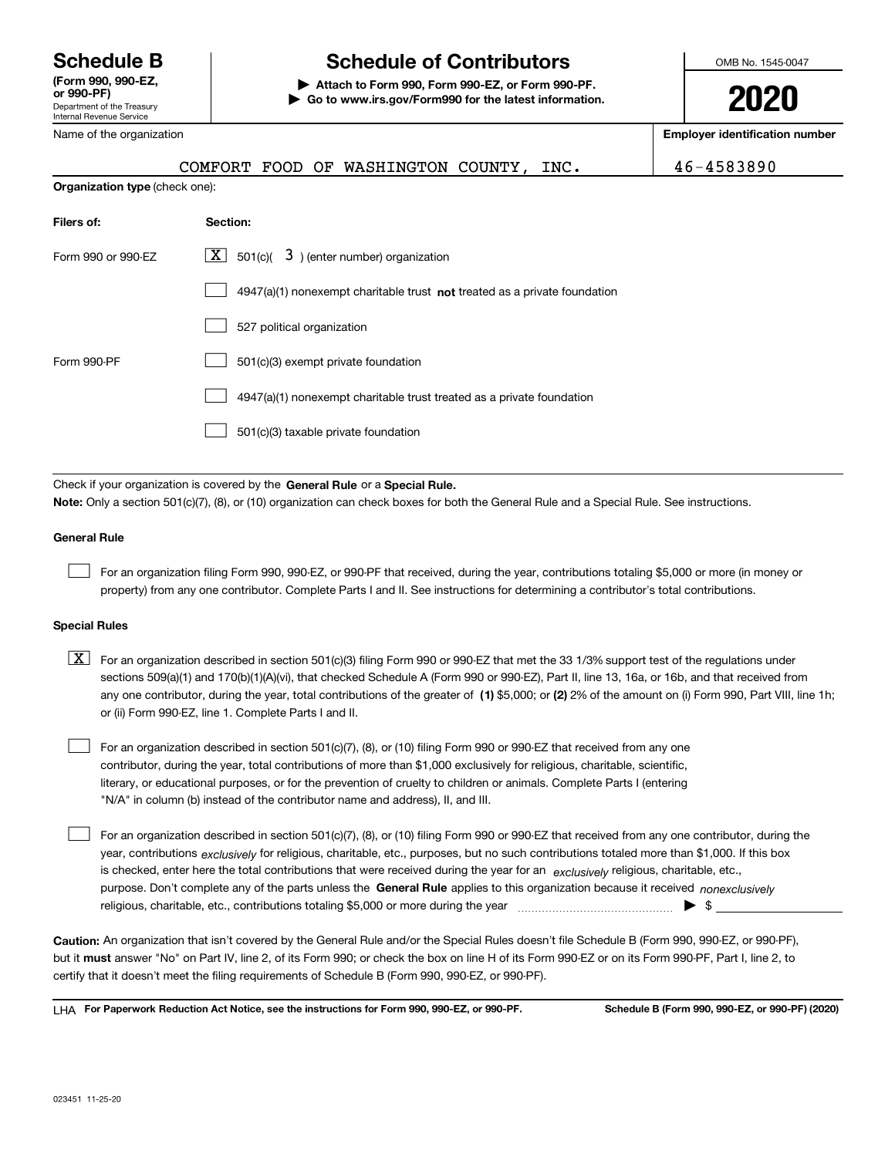Department of the Treasury Internal Revenue Service **(Form 990, 990-EZ, or 990-PF)** Name of the organization

# **Schedule B Schedule of Contributors**

**| Attach to Form 990, Form 990-EZ, or Form 990-PF. | Go to www.irs.gov/Form990 for the latest information.** OMB No. 1545-0047

**2020**

**Employer identification number**

|                                | COMFORT FOOD OF WASHINGTON COUNTY,<br>INC.                                                                                                                                                                                                                                                                                                                                                                                                                                                               | 46-4583890 |
|--------------------------------|----------------------------------------------------------------------------------------------------------------------------------------------------------------------------------------------------------------------------------------------------------------------------------------------------------------------------------------------------------------------------------------------------------------------------------------------------------------------------------------------------------|------------|
| Organization type (check one): |                                                                                                                                                                                                                                                                                                                                                                                                                                                                                                          |            |
| Filers of:                     | Section:                                                                                                                                                                                                                                                                                                                                                                                                                                                                                                 |            |
| Form 990 or 990-EZ             | $\lfloor \mathbf{X} \rfloor$ 501(c)( 3) (enter number) organization                                                                                                                                                                                                                                                                                                                                                                                                                                      |            |
|                                | $4947(a)(1)$ nonexempt charitable trust <b>not</b> treated as a private foundation                                                                                                                                                                                                                                                                                                                                                                                                                       |            |
|                                | 527 political organization                                                                                                                                                                                                                                                                                                                                                                                                                                                                               |            |
| Form 990-PF                    | 501(c)(3) exempt private foundation                                                                                                                                                                                                                                                                                                                                                                                                                                                                      |            |
|                                | 4947(a)(1) nonexempt charitable trust treated as a private foundation                                                                                                                                                                                                                                                                                                                                                                                                                                    |            |
|                                | 501(c)(3) taxable private foundation                                                                                                                                                                                                                                                                                                                                                                                                                                                                     |            |
|                                |                                                                                                                                                                                                                                                                                                                                                                                                                                                                                                          |            |
|                                | Check if your organization is covered by the General Rule or a Special Rule.<br><b>Note:</b> Only a section 501(c)(7), (8), or (10) organization can check boxes for both the General Rule and a Special Rule. See instructions.                                                                                                                                                                                                                                                                         |            |
| <b>General Rule</b>            |                                                                                                                                                                                                                                                                                                                                                                                                                                                                                                          |            |
|                                | For an organization filing Form 990, 990-EZ, or 990-PF that received, during the year, contributions totaling \$5,000 or more (in money or<br>property) from any one contributor. Complete Parts I and II. See instructions for determining a contributor's total contributions.                                                                                                                                                                                                                         |            |
| <b>Special Rules</b>           |                                                                                                                                                                                                                                                                                                                                                                                                                                                                                                          |            |
| X                              | For an organization described in section 501(c)(3) filing Form 990 or 990-EZ that met the 33 1/3% support test of the regulations under<br>sections 509(a)(1) and 170(b)(1)(A)(vi), that checked Schedule A (Form 990 or 990-EZ), Part II, line 13, 16a, or 16b, and that received from<br>any one contributor, during the year, total contributions of the greater of (1) \$5,000; or (2) 2% of the amount on (i) Form 990, Part VIII, line 1h<br>or (ii) Form 990-EZ, line 1. Complete Parts I and II. |            |
|                                | For an organization described in section 501(c)(7), (8), or (10) filing Form 990 or 990-EZ that received from any one<br>contributor, during the year, total contributions of more than \$1,000 exclusively for religious, charitable, scientific,<br>literary, or educational purposes, or for the prevention of cruelty to children or animals. Complete Parts I (entering<br>"N/A" in column (b) instead of the contributor name and address), II, and III.                                           |            |
|                                | For an organization described in section 501(c)(7), (8), or (10) filing Form 990 or 990-EZ that received from any one contributor, during the<br>oer contributions and the religious oberitable ato purposes but no quab contributions totaled mars than @1,000 If this boy.                                                                                                                                                                                                                             |            |

| T OF an Organization described in section 50 (G)(7), (G), OF(TO) ming Form 550 OF550 LZ that received from any One Continuum, during the    |
|---------------------------------------------------------------------------------------------------------------------------------------------|
| year, contributions exclusively for religious, charitable, etc., purposes, but no such contributions totaled more than \$1,000. If this box |
| is checked, enter here the total contributions that were received during the year for an $exclusively$ religious, charitable, etc.,         |
| purpose. Don't complete any of the parts unless the General Rule applies to this organization because it received nonexclusively            |
| religious, charitable, etc., contributions totaling \$5,000 or more during the year<br>$\blacktriangleright$ s                              |

**Caution:**  An organization that isn't covered by the General Rule and/or the Special Rules doesn't file Schedule B (Form 990, 990-EZ, or 990-PF),  **must** but it answer "No" on Part IV, line 2, of its Form 990; or check the box on line H of its Form 990-EZ or on its Form 990-PF, Part I, line 2, to certify that it doesn't meet the filing requirements of Schedule B (Form 990, 990-EZ, or 990-PF).

**For Paperwork Reduction Act Notice, see the instructions for Form 990, 990-EZ, or 990-PF. Schedule B (Form 990, 990-EZ, or 990-PF) (2020)** LHA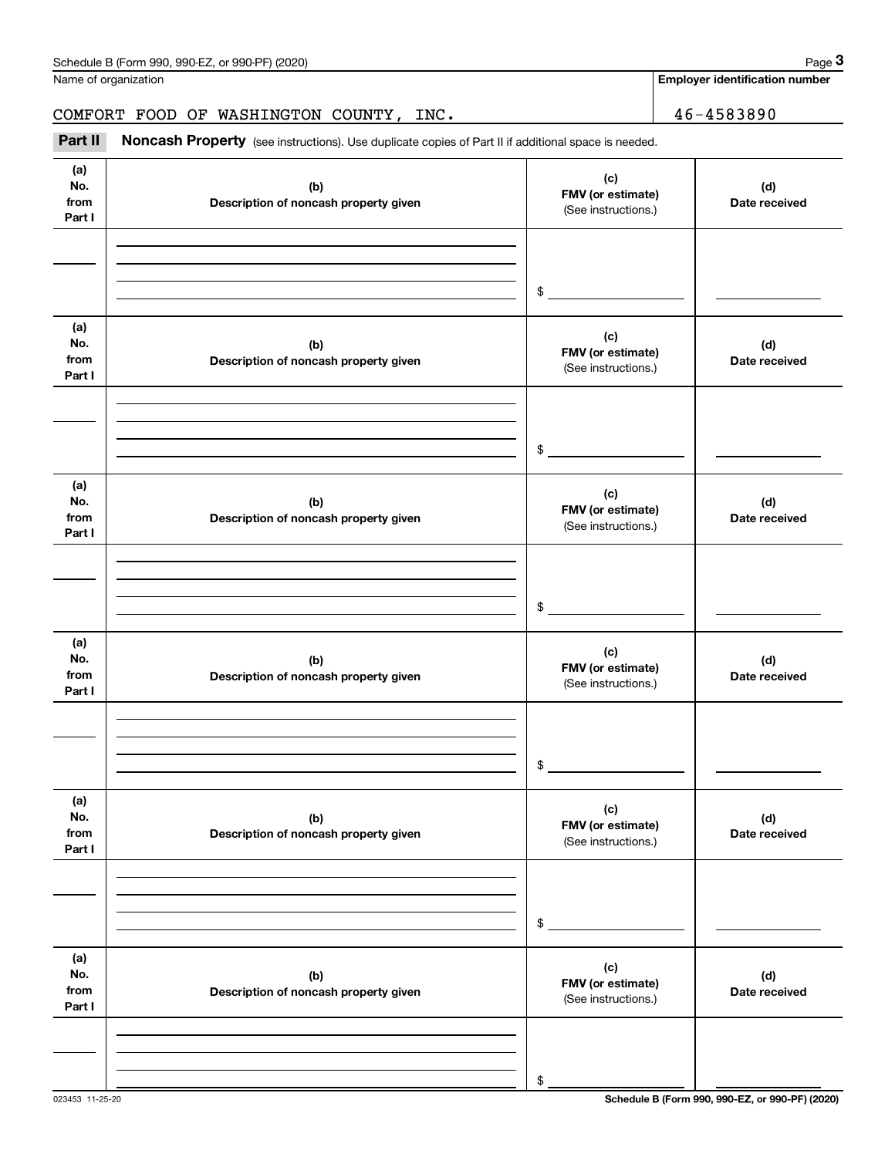|                              | Schedule B (Form 990, 990-EZ, or 990-PF) (2020)                                                     |                                                 | Page 3                                |
|------------------------------|-----------------------------------------------------------------------------------------------------|-------------------------------------------------|---------------------------------------|
|                              | Name of organization                                                                                |                                                 | <b>Employer identification number</b> |
|                              | COMFORT FOOD OF WASHINGTON COUNTY, INC.                                                             |                                                 | 46-4583890                            |
| Part II                      | Noncash Property (see instructions). Use duplicate copies of Part II if additional space is needed. |                                                 |                                       |
| (a)<br>No.<br>from<br>Part I | (b)<br>Description of noncash property given                                                        | (c)<br>FMV (or estimate)<br>(See instructions.) | (d)<br>Date received                  |
|                              |                                                                                                     | \$                                              |                                       |
| (a)<br>No.<br>from<br>Part I | (b)<br>Description of noncash property given                                                        | (c)<br>FMV (or estimate)<br>(See instructions.) | (d)<br>Date received                  |
|                              |                                                                                                     | \$                                              |                                       |
| (a)<br>No.<br>from<br>Part I | (b)<br>Description of noncash property given                                                        | (c)<br>FMV (or estimate)<br>(See instructions.) | (d)<br>Date received                  |
|                              |                                                                                                     | \$                                              |                                       |
| (a)<br>No.<br>from<br>Part I | (b)<br>Description of noncash property given                                                        | (c)<br>FMV (or estimate)<br>(See instructions.) | (d)<br>Date received                  |
|                              |                                                                                                     | \$                                              |                                       |
| (a)<br>No.<br>from<br>Part I | (b)<br>Description of noncash property given                                                        | (c)<br>FMV (or estimate)<br>(See instructions.) | (d)<br>Date received                  |
|                              |                                                                                                     | \$                                              |                                       |
| (a)<br>No.<br>from<br>Part I | (b)<br>Description of noncash property given                                                        | (c)<br>FMV (or estimate)<br>(See instructions.) | (d)<br>Date received                  |
|                              |                                                                                                     | \$                                              |                                       |

023453 11-25-20 **Schedule B (Form 990, 990-EZ, or 990-PF) (2020)**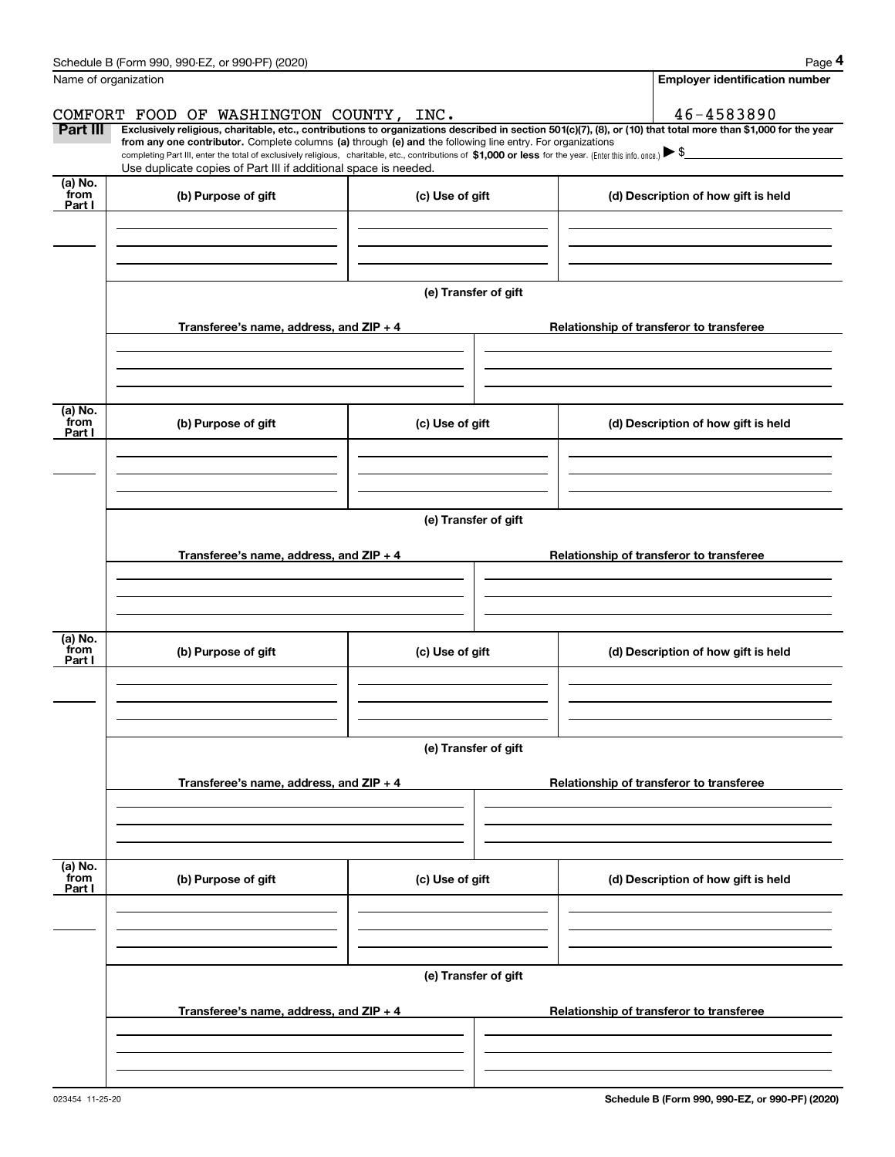|                 | Schedule B (Form 990, 990-EZ, or 990-PF) (2020)                                                                                                              |                      | Page 4                                                                                                                                                         |
|-----------------|--------------------------------------------------------------------------------------------------------------------------------------------------------------|----------------------|----------------------------------------------------------------------------------------------------------------------------------------------------------------|
|                 | Name of organization                                                                                                                                         |                      | <b>Employer identification number</b>                                                                                                                          |
|                 | COMFORT FOOD OF WASHINGTON COUNTY, INC.                                                                                                                      |                      | 46-4583890                                                                                                                                                     |
| Part III        | from any one contributor. Complete columns (a) through (e) and the following line entry. For organizations                                                   |                      | Exclusively religious, charitable, etc., contributions to organizations described in section 501(c)(7), (8), or (10) that total more than \$1,000 for the year |
|                 | completing Part III, enter the total of exclusively religious, charitable, etc., contributions of \$1,000 or less for the year. (Enter this info. once.) \\$ |                      |                                                                                                                                                                |
| (a) No.         | Use duplicate copies of Part III if additional space is needed.                                                                                              |                      |                                                                                                                                                                |
| from<br>Part I  | (b) Purpose of gift                                                                                                                                          | (c) Use of gift      | (d) Description of how gift is held                                                                                                                            |
|                 |                                                                                                                                                              |                      |                                                                                                                                                                |
|                 |                                                                                                                                                              |                      |                                                                                                                                                                |
|                 |                                                                                                                                                              |                      |                                                                                                                                                                |
|                 |                                                                                                                                                              | (e) Transfer of gift |                                                                                                                                                                |
|                 |                                                                                                                                                              |                      |                                                                                                                                                                |
|                 | Transferee's name, address, and ZIP + 4                                                                                                                      |                      | Relationship of transferor to transferee                                                                                                                       |
|                 |                                                                                                                                                              |                      |                                                                                                                                                                |
|                 |                                                                                                                                                              |                      |                                                                                                                                                                |
| (a) No.         |                                                                                                                                                              |                      |                                                                                                                                                                |
| from<br>Part I  | (b) Purpose of gift                                                                                                                                          | (c) Use of gift      | (d) Description of how gift is held                                                                                                                            |
|                 |                                                                                                                                                              |                      |                                                                                                                                                                |
|                 |                                                                                                                                                              |                      |                                                                                                                                                                |
|                 |                                                                                                                                                              |                      |                                                                                                                                                                |
|                 |                                                                                                                                                              | (e) Transfer of gift |                                                                                                                                                                |
|                 |                                                                                                                                                              |                      |                                                                                                                                                                |
|                 | Transferee's name, address, and ZIP + 4                                                                                                                      |                      | Relationship of transferor to transferee                                                                                                                       |
|                 |                                                                                                                                                              |                      |                                                                                                                                                                |
|                 |                                                                                                                                                              |                      |                                                                                                                                                                |
| (a) No.         |                                                                                                                                                              |                      |                                                                                                                                                                |
| from<br>Part I  | (b) Purpose of gift                                                                                                                                          | (c) Use of gift      | (d) Description of how gift is held                                                                                                                            |
|                 |                                                                                                                                                              |                      |                                                                                                                                                                |
|                 |                                                                                                                                                              |                      |                                                                                                                                                                |
|                 |                                                                                                                                                              |                      |                                                                                                                                                                |
|                 |                                                                                                                                                              | (e) Transfer of gift |                                                                                                                                                                |
|                 | Transferee's name, address, and ZIP + 4                                                                                                                      |                      | Relationship of transferor to transferee                                                                                                                       |
|                 |                                                                                                                                                              |                      |                                                                                                                                                                |
|                 |                                                                                                                                                              |                      |                                                                                                                                                                |
|                 |                                                                                                                                                              |                      |                                                                                                                                                                |
| (a) No.<br>from |                                                                                                                                                              |                      |                                                                                                                                                                |
| Part I          | (b) Purpose of gift                                                                                                                                          | (c) Use of gift      | (d) Description of how gift is held                                                                                                                            |
|                 |                                                                                                                                                              |                      |                                                                                                                                                                |
|                 |                                                                                                                                                              |                      |                                                                                                                                                                |
|                 |                                                                                                                                                              |                      |                                                                                                                                                                |
|                 |                                                                                                                                                              | (e) Transfer of gift |                                                                                                                                                                |
|                 | Transferee's name, address, and $ZIP + 4$                                                                                                                    |                      | Relationship of transferor to transferee                                                                                                                       |
|                 |                                                                                                                                                              |                      |                                                                                                                                                                |
|                 |                                                                                                                                                              |                      |                                                                                                                                                                |
|                 |                                                                                                                                                              |                      |                                                                                                                                                                |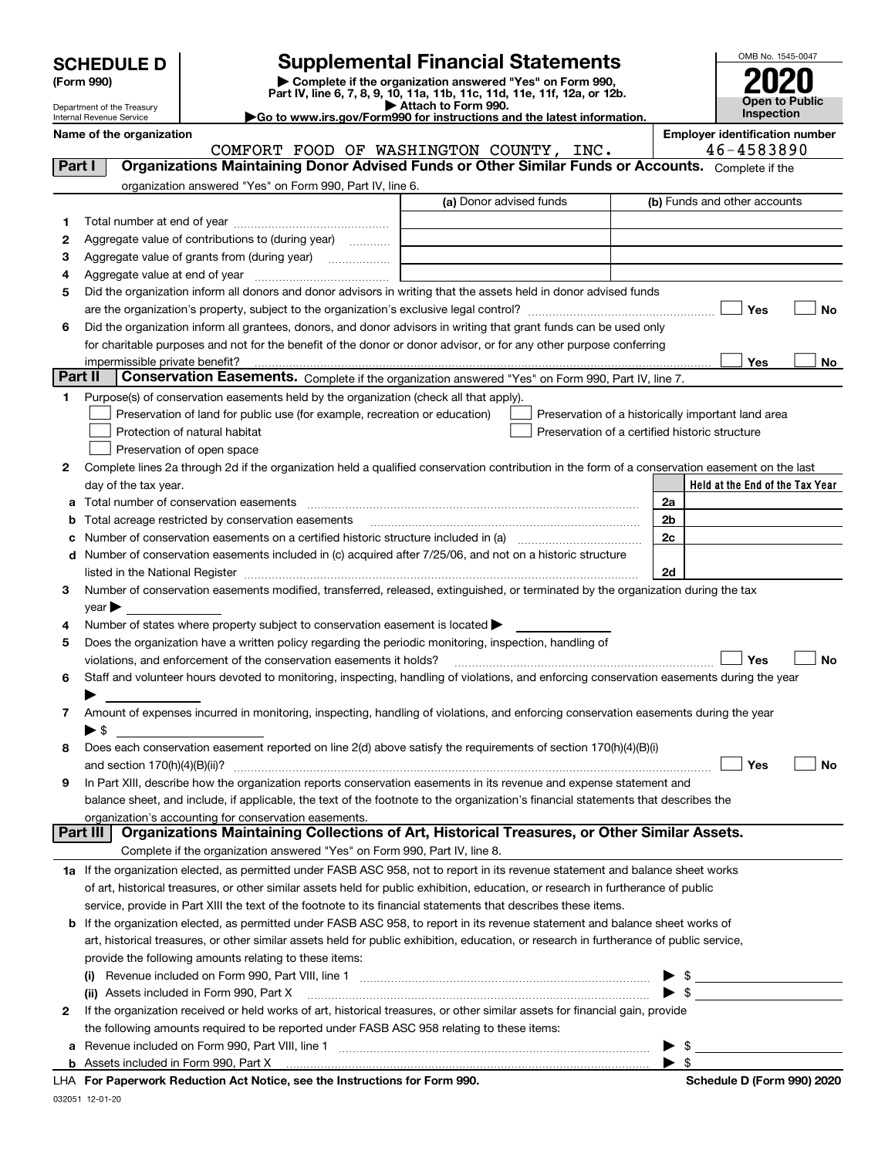| <b>SCHEDULE D</b> |  |
|-------------------|--|
|-------------------|--|

| (Form 990) |  |
|------------|--|
|------------|--|

032051 12-01-20

## **SCHEDULE D Supplemental Financial Statements**

(Form 990)<br>
Pepartment of the Treasury<br>
Department of the Treasury<br>
Department of the Treasury<br>
Department of the Treasury<br> **Co to www.irs.gov/Form990 for instructions and the latest information.**<br> **Co to www.irs.gov/Form9** 



Department of the Treasury Internal Revenue Service

**Name of the organization Employer identification number** COMFORT FOOD OF WASHINGTON COUNTY, INC. 46-4583890

| Part I       |                            | Organizations Maintaining Donor Advised Funds or Other Similar Funds or Accounts. Complete if the                                                                                                                             |                         |                                                    |
|--------------|----------------------------|-------------------------------------------------------------------------------------------------------------------------------------------------------------------------------------------------------------------------------|-------------------------|----------------------------------------------------|
|              |                            | organization answered "Yes" on Form 990, Part IV, line 6.                                                                                                                                                                     |                         |                                                    |
|              |                            |                                                                                                                                                                                                                               | (a) Donor advised funds | (b) Funds and other accounts                       |
| 1.           |                            |                                                                                                                                                                                                                               |                         |                                                    |
| 2            |                            | Aggregate value of contributions to (during year)                                                                                                                                                                             |                         |                                                    |
| 3            |                            |                                                                                                                                                                                                                               |                         |                                                    |
| 4            |                            |                                                                                                                                                                                                                               |                         |                                                    |
| 5            |                            | Did the organization inform all donors and donor advisors in writing that the assets held in donor advised funds                                                                                                              |                         |                                                    |
|              |                            |                                                                                                                                                                                                                               |                         | Yes<br>No                                          |
| 6            |                            | Did the organization inform all grantees, donors, and donor advisors in writing that grant funds can be used only                                                                                                             |                         |                                                    |
|              |                            | for charitable purposes and not for the benefit of the donor or donor advisor, or for any other purpose conferring                                                                                                            |                         |                                                    |
|              |                            |                                                                                                                                                                                                                               |                         | Yes<br>No                                          |
| Part II      |                            | Conservation Easements. Complete if the organization answered "Yes" on Form 990, Part IV, line 7.                                                                                                                             |                         |                                                    |
| 1.           |                            | Purpose(s) of conservation easements held by the organization (check all that apply).                                                                                                                                         |                         |                                                    |
|              |                            | Preservation of land for public use (for example, recreation or education)                                                                                                                                                    |                         | Preservation of a historically important land area |
|              |                            | Protection of natural habitat                                                                                                                                                                                                 |                         | Preservation of a certified historic structure     |
|              |                            | Preservation of open space                                                                                                                                                                                                    |                         |                                                    |
| 2            |                            | Complete lines 2a through 2d if the organization held a qualified conservation contribution in the form of a conservation easement on the last                                                                                |                         |                                                    |
|              |                            | day of the tax year.                                                                                                                                                                                                          |                         | Held at the End of the Tax Year                    |
| а            |                            |                                                                                                                                                                                                                               |                         | 2a                                                 |
|              |                            | Total acreage restricted by conservation easements                                                                                                                                                                            |                         | 2b                                                 |
| c            |                            | Number of conservation easements on a certified historic structure included in (a) manufacture included in (a)                                                                                                                |                         | 2c                                                 |
| d            |                            | Number of conservation easements included in (c) acquired after 7/25/06, and not on a historic structure                                                                                                                      |                         |                                                    |
|              |                            | listed in the National Register [11, 1200] [12] The National Register [11, 1200] [12] The National Register [11, 1200] [12] The National Register [11, 1200] [12] The National Register [11, 1200] [12] The National Register |                         | 2d                                                 |
| 3            |                            | Number of conservation easements modified, transferred, released, extinguished, or terminated by the organization during the tax                                                                                              |                         |                                                    |
|              | $year \blacktriangleright$ |                                                                                                                                                                                                                               |                         |                                                    |
| 4            |                            | Number of states where property subject to conservation easement is located >                                                                                                                                                 |                         |                                                    |
| 5            |                            | Does the organization have a written policy regarding the periodic monitoring, inspection, handling of                                                                                                                        |                         |                                                    |
|              |                            | violations, and enforcement of the conservation easements it holds?                                                                                                                                                           |                         | Yes<br>No                                          |
| 6            |                            | Staff and volunteer hours devoted to monitoring, inspecting, handling of violations, and enforcing conservation easements during the year                                                                                     |                         |                                                    |
|              |                            |                                                                                                                                                                                                                               |                         |                                                    |
| 7            |                            | Amount of expenses incurred in monitoring, inspecting, handling of violations, and enforcing conservation easements during the year                                                                                           |                         |                                                    |
|              | ▶ \$                       |                                                                                                                                                                                                                               |                         |                                                    |
| 8            |                            | Does each conservation easement reported on line 2(d) above satisfy the requirements of section 170(h)(4)(B)(i)                                                                                                               |                         |                                                    |
|              |                            |                                                                                                                                                                                                                               |                         | Yes<br>No                                          |
| 9            |                            | In Part XIII, describe how the organization reports conservation easements in its revenue and expense statement and                                                                                                           |                         |                                                    |
|              |                            | balance sheet, and include, if applicable, the text of the footnote to the organization's financial statements that describes the                                                                                             |                         |                                                    |
|              | <b>Part III</b>            | organization's accounting for conservation easements.<br>Organizations Maintaining Collections of Art, Historical Treasures, or Other Similar Assets.                                                                         |                         |                                                    |
|              |                            | Complete if the organization answered "Yes" on Form 990, Part IV, line 8.                                                                                                                                                     |                         |                                                    |
|              |                            | 1a If the organization elected, as permitted under FASB ASC 958, not to report in its revenue statement and balance sheet works                                                                                               |                         |                                                    |
|              |                            | of art, historical treasures, or other similar assets held for public exhibition, education, or research in furtherance of public                                                                                             |                         |                                                    |
|              |                            | service, provide in Part XIII the text of the footnote to its financial statements that describes these items.                                                                                                                |                         |                                                    |
|              |                            | <b>b</b> If the organization elected, as permitted under FASB ASC 958, to report in its revenue statement and balance sheet works of                                                                                          |                         |                                                    |
|              |                            | art, historical treasures, or other similar assets held for public exhibition, education, or research in furtherance of public service,                                                                                       |                         |                                                    |
|              |                            | provide the following amounts relating to these items:                                                                                                                                                                        |                         |                                                    |
|              |                            |                                                                                                                                                                                                                               |                         | $\sim$                                             |
|              |                            | (ii) Assets included in Form 990, Part X                                                                                                                                                                                      |                         |                                                    |
| $\mathbf{2}$ |                            | If the organization received or held works of art, historical treasures, or other similar assets for financial gain, provide                                                                                                  |                         |                                                    |
|              |                            | the following amounts required to be reported under FASB ASC 958 relating to these items:                                                                                                                                     |                         |                                                    |
|              |                            |                                                                                                                                                                                                                               |                         | \$                                                 |
|              |                            |                                                                                                                                                                                                                               |                         | $\blacktriangleright$ s                            |
|              |                            | LHA For Paperwork Reduction Act Notice, see the Instructions for Form 990.                                                                                                                                                    |                         | Schedule D (Form 990) 2020                         |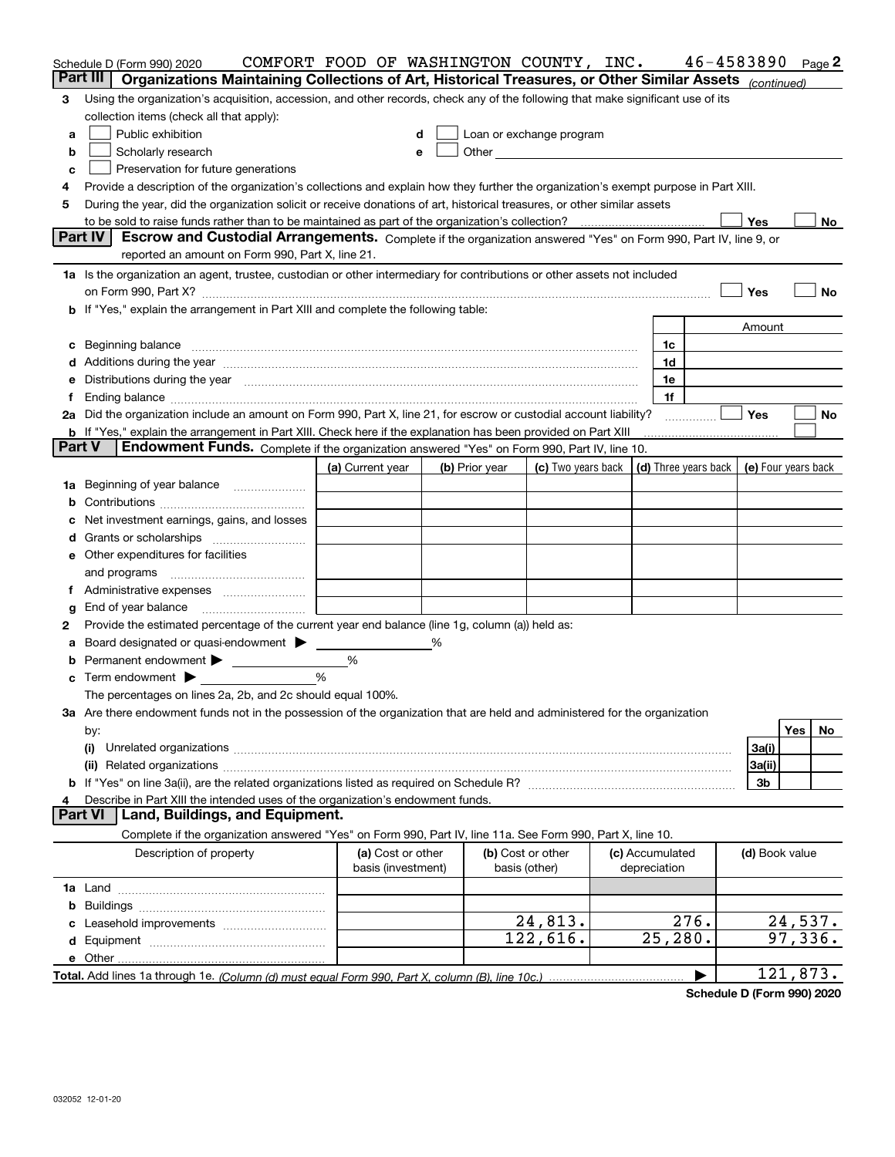|          | Schedule D (Form 990) 2020                                                                                                                                                                                                           | COMFORT FOOD OF WASHINGTON COUNTY, INC. |   |                |                                                   |                 | 46-4583890                                               |                |          | Page 2 |
|----------|--------------------------------------------------------------------------------------------------------------------------------------------------------------------------------------------------------------------------------------|-----------------------------------------|---|----------------|---------------------------------------------------|-----------------|----------------------------------------------------------|----------------|----------|--------|
| Part III | Organizations Maintaining Collections of Art, Historical Treasures, or Other Similar Assets (continued)                                                                                                                              |                                         |   |                |                                                   |                 |                                                          |                |          |        |
| 3        | Using the organization's acquisition, accession, and other records, check any of the following that make significant use of its                                                                                                      |                                         |   |                |                                                   |                 |                                                          |                |          |        |
|          | collection items (check all that apply):                                                                                                                                                                                             |                                         |   |                |                                                   |                 |                                                          |                |          |        |
| a        | Public exhibition                                                                                                                                                                                                                    |                                         | d |                | Loan or exchange program                          |                 |                                                          |                |          |        |
| b        | Scholarly research                                                                                                                                                                                                                   |                                         | e |                | Other <u>with the contract of the contract of</u> |                 |                                                          |                |          |        |
| c        | Preservation for future generations                                                                                                                                                                                                  |                                         |   |                |                                                   |                 |                                                          |                |          |        |
|          | Provide a description of the organization's collections and explain how they further the organization's exempt purpose in Part XIII.                                                                                                 |                                         |   |                |                                                   |                 |                                                          |                |          |        |
| 5        | During the year, did the organization solicit or receive donations of art, historical treasures, or other similar assets                                                                                                             |                                         |   |                |                                                   |                 |                                                          |                |          |        |
|          | to be sold to raise funds rather than to be maintained as part of the organization's collection?                                                                                                                                     |                                         |   |                |                                                   |                 |                                                          | Yes            |          | No     |
|          | Part IV<br>Escrow and Custodial Arrangements. Complete if the organization answered "Yes" on Form 990, Part IV, line 9, or                                                                                                           |                                         |   |                |                                                   |                 |                                                          |                |          |        |
|          | reported an amount on Form 990, Part X, line 21.                                                                                                                                                                                     |                                         |   |                |                                                   |                 |                                                          |                |          |        |
|          | 1a Is the organization an agent, trustee, custodian or other intermediary for contributions or other assets not included                                                                                                             |                                         |   |                |                                                   |                 |                                                          |                |          |        |
|          | on Form 990, Part X? [11] matter contracts and contracts and contracts are contracted as a function of the set of the set of the set of the set of the set of the set of the set of the set of the set of the set of the set o       |                                         |   |                |                                                   |                 |                                                          | Yes            |          | No     |
|          | b If "Yes," explain the arrangement in Part XIII and complete the following table:                                                                                                                                                   |                                         |   |                |                                                   |                 |                                                          |                |          |        |
|          |                                                                                                                                                                                                                                      |                                         |   |                |                                                   |                 |                                                          | Amount         |          |        |
|          | c Beginning balance                                                                                                                                                                                                                  |                                         |   |                |                                                   | 1c              |                                                          |                |          |        |
|          |                                                                                                                                                                                                                                      |                                         |   |                |                                                   | 1d              |                                                          |                |          |        |
|          | Distributions during the year manufactured and continuum and contact the year manufactured and contact the year                                                                                                                      |                                         |   |                |                                                   | 1e              |                                                          |                |          |        |
|          |                                                                                                                                                                                                                                      |                                         |   |                |                                                   | 1f              |                                                          |                |          |        |
|          | 2a Did the organization include an amount on Form 990, Part X, line 21, for escrow or custodial account liability?                                                                                                                   |                                         |   |                |                                                   |                 |                                                          | Yes            |          | No     |
| Part V   | <b>b</b> If "Yes," explain the arrangement in Part XIII. Check here if the explanation has been provided on Part XIII                                                                                                                |                                         |   |                |                                                   |                 |                                                          |                |          |        |
|          | Endowment Funds. Complete if the organization answered "Yes" on Form 990, Part IV, line 10.                                                                                                                                          |                                         |   |                |                                                   |                 |                                                          |                |          |        |
|          |                                                                                                                                                                                                                                      | (a) Current year                        |   | (b) Prior year | (c) Two years back                                |                 | $\vert$ (d) Three years back $\vert$ (e) Four years back |                |          |        |
| 1a       | Beginning of year balance                                                                                                                                                                                                            |                                         |   |                |                                                   |                 |                                                          |                |          |        |
| b        |                                                                                                                                                                                                                                      |                                         |   |                |                                                   |                 |                                                          |                |          |        |
|          | Net investment earnings, gains, and losses                                                                                                                                                                                           |                                         |   |                |                                                   |                 |                                                          |                |          |        |
|          |                                                                                                                                                                                                                                      |                                         |   |                |                                                   |                 |                                                          |                |          |        |
|          | e Other expenditures for facilities                                                                                                                                                                                                  |                                         |   |                |                                                   |                 |                                                          |                |          |        |
|          | and programs                                                                                                                                                                                                                         |                                         |   |                |                                                   |                 |                                                          |                |          |        |
|          |                                                                                                                                                                                                                                      |                                         |   |                |                                                   |                 |                                                          |                |          |        |
| g        | End of year balance<br>Provide the estimated percentage of the current year end balance (line 1g, column (a)) held as:                                                                                                               |                                         |   |                |                                                   |                 |                                                          |                |          |        |
| 2        | Board designated or quasi-endowment > ____                                                                                                                                                                                           |                                         | % |                |                                                   |                 |                                                          |                |          |        |
| b        |                                                                                                                                                                                                                                      | %                                       |   |                |                                                   |                 |                                                          |                |          |        |
| c        | Term endowment > <u>example and the set of the set of the set of the set of the set of the set of the set of the set of the set of the set of the set of the set of the set of the set of the set of the set of the set of the s</u> | %                                       |   |                |                                                   |                 |                                                          |                |          |        |
|          | The percentages on lines 2a, 2b, and 2c should equal 100%.                                                                                                                                                                           |                                         |   |                |                                                   |                 |                                                          |                |          |        |
|          | 3a Are there endowment funds not in the possession of the organization that are held and administered for the organization                                                                                                           |                                         |   |                |                                                   |                 |                                                          |                |          |        |
|          | by:                                                                                                                                                                                                                                  |                                         |   |                |                                                   |                 |                                                          |                | Yes      | No     |
|          | (i)                                                                                                                                                                                                                                  |                                         |   |                |                                                   |                 |                                                          | 3a(i)          |          |        |
|          |                                                                                                                                                                                                                                      |                                         |   |                |                                                   |                 |                                                          | 3a(ii)         |          |        |
|          | b If "Yes" on line 3a(ii), are the related organizations listed as required on Schedule R? [[[[[[[[[[[[[[[[[[                                                                                                                        |                                         |   |                |                                                   |                 |                                                          | 3b             |          |        |
| 4        | Describe in Part XIII the intended uses of the organization's endowment funds.                                                                                                                                                       |                                         |   |                |                                                   |                 |                                                          |                |          |        |
|          | Land, Buildings, and Equipment.<br><b>Part VI</b>                                                                                                                                                                                    |                                         |   |                |                                                   |                 |                                                          |                |          |        |
|          | Complete if the organization answered "Yes" on Form 990, Part IV, line 11a. See Form 990, Part X, line 10.                                                                                                                           |                                         |   |                |                                                   |                 |                                                          |                |          |        |
|          | Description of property                                                                                                                                                                                                              | (a) Cost or other                       |   |                | (b) Cost or other                                 | (c) Accumulated |                                                          | (d) Book value |          |        |
|          |                                                                                                                                                                                                                                      | basis (investment)                      |   |                | basis (other)                                     | depreciation    |                                                          |                |          |        |
|          |                                                                                                                                                                                                                                      |                                         |   |                |                                                   |                 |                                                          |                |          |        |
|          |                                                                                                                                                                                                                                      |                                         |   |                |                                                   |                 |                                                          |                |          |        |
|          |                                                                                                                                                                                                                                      |                                         |   |                | 24,813.                                           |                 | $\overline{276}$ .                                       |                | 24,537.  |        |
|          |                                                                                                                                                                                                                                      |                                         |   |                | 122,616.                                          | 25, 280.        |                                                          |                | 97,336.  |        |
|          | e Other                                                                                                                                                                                                                              |                                         |   |                |                                                   |                 |                                                          |                |          |        |
|          |                                                                                                                                                                                                                                      |                                         |   |                |                                                   |                 |                                                          |                | 121,873. |        |

**Schedule D (Form 990) 2020**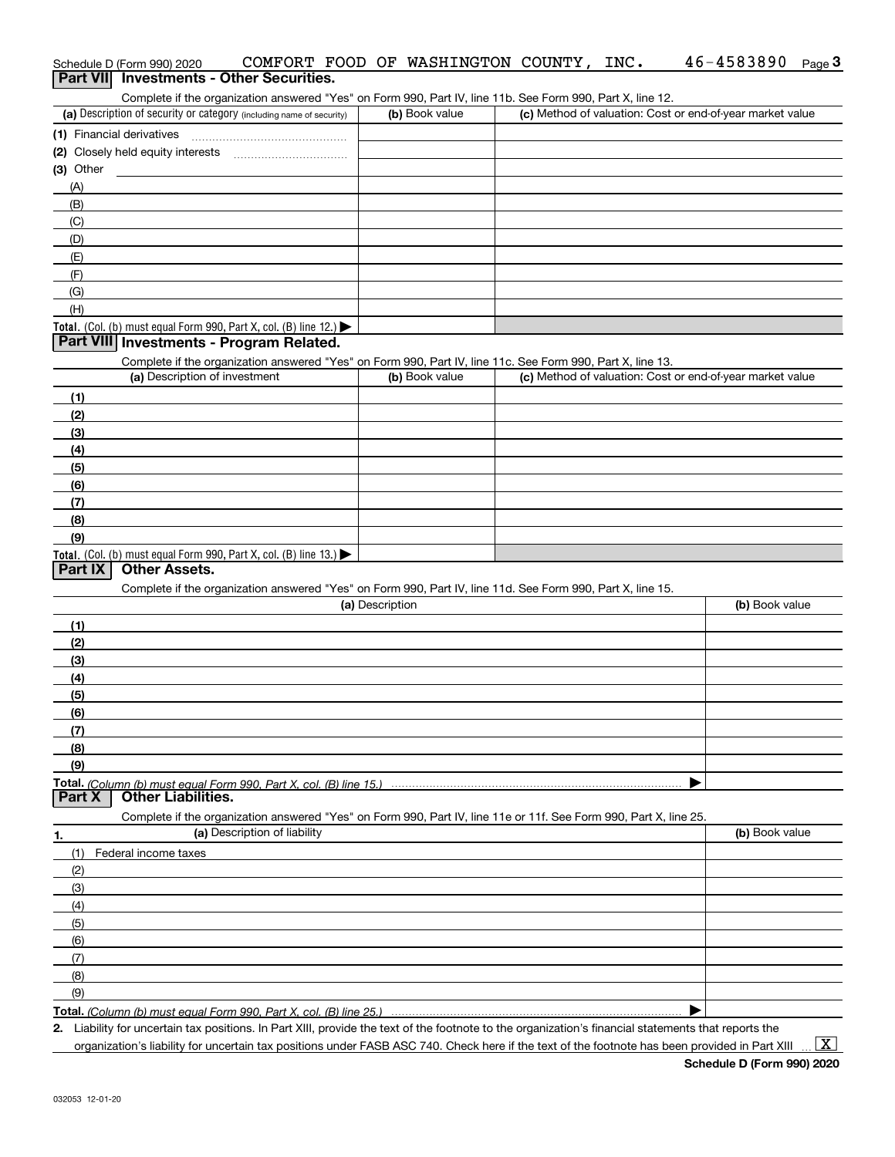|                 | COMFORT FOOD OF WASHINGTON COUNTY,<br>Schedule D (Form 990) 2020                                                  |                 |                |  | INC. | 46-4583890<br>$Page$ <sup>3</sup>                         |
|-----------------|-------------------------------------------------------------------------------------------------------------------|-----------------|----------------|--|------|-----------------------------------------------------------|
| <b>Part VII</b> | <b>Investments - Other Securities.</b>                                                                            |                 |                |  |      |                                                           |
|                 | Complete if the organization answered "Yes" on Form 990, Part IV, line 11b. See Form 990, Part X, line 12.        |                 |                |  |      |                                                           |
|                 | (a) Description of security or category (including name of security)                                              |                 | (b) Book value |  |      | (c) Method of valuation: Cost or end-of-year market value |
|                 | (1) Financial derivatives                                                                                         |                 |                |  |      |                                                           |
|                 |                                                                                                                   |                 |                |  |      |                                                           |
| (3) Other       |                                                                                                                   |                 |                |  |      |                                                           |
| (A)             |                                                                                                                   |                 |                |  |      |                                                           |
| (B)             |                                                                                                                   |                 |                |  |      |                                                           |
| (C)             |                                                                                                                   |                 |                |  |      |                                                           |
| (D)             |                                                                                                                   |                 |                |  |      |                                                           |
| (E)             |                                                                                                                   |                 |                |  |      |                                                           |
| (F)             |                                                                                                                   |                 |                |  |      |                                                           |
| (G)             |                                                                                                                   |                 |                |  |      |                                                           |
| (H)             |                                                                                                                   |                 |                |  |      |                                                           |
|                 | Total. (Col. (b) must equal Form 990, Part X, col. (B) line 12.)                                                  |                 |                |  |      |                                                           |
|                 | Part VIII Investments - Program Related.                                                                          |                 |                |  |      |                                                           |
|                 | Complete if the organization answered "Yes" on Form 990, Part IV, line 11c. See Form 990, Part X, line 13.        |                 |                |  |      |                                                           |
|                 | (a) Description of investment                                                                                     |                 | (b) Book value |  |      | (c) Method of valuation: Cost or end-of-year market value |
| (1)             |                                                                                                                   |                 |                |  |      |                                                           |
| (2)             |                                                                                                                   |                 |                |  |      |                                                           |
| (3)             |                                                                                                                   |                 |                |  |      |                                                           |
| (4)             |                                                                                                                   |                 |                |  |      |                                                           |
| (5)             |                                                                                                                   |                 |                |  |      |                                                           |
| (6)             |                                                                                                                   |                 |                |  |      |                                                           |
| (7)             |                                                                                                                   |                 |                |  |      |                                                           |
| (8)             |                                                                                                                   |                 |                |  |      |                                                           |
| (9)             |                                                                                                                   |                 |                |  |      |                                                           |
|                 | Total. (Col. (b) must equal Form 990, Part X, col. (B) line 13.)                                                  |                 |                |  |      |                                                           |
| Part IX         | Other Assets.                                                                                                     |                 |                |  |      |                                                           |
|                 | Complete if the organization answered "Yes" on Form 990, Part IV, line 11d. See Form 990, Part X, line 15.        |                 |                |  |      |                                                           |
|                 |                                                                                                                   | (a) Description |                |  |      | (b) Book value                                            |
| (1)             |                                                                                                                   |                 |                |  |      |                                                           |
| (2)             |                                                                                                                   |                 |                |  |      |                                                           |
| (3)             |                                                                                                                   |                 |                |  |      |                                                           |
| (4)             |                                                                                                                   |                 |                |  |      |                                                           |
| (5)             |                                                                                                                   |                 |                |  |      |                                                           |
| (6)             |                                                                                                                   |                 |                |  |      |                                                           |
| (7)             |                                                                                                                   |                 |                |  |      |                                                           |
| (8)             |                                                                                                                   |                 |                |  |      |                                                           |
| (9)             |                                                                                                                   |                 |                |  |      |                                                           |
| Part X          | Total. (Column (b) must equal Form 990. Part X, col. (B) line 15.)<br><b>Other Liabilities.</b>                   |                 |                |  |      |                                                           |
|                 | Complete if the organization answered "Yes" on Form 990, Part IV, line 11e or 11f. See Form 990, Part X, line 25. |                 |                |  |      |                                                           |
|                 | (a) Description of liability                                                                                      |                 |                |  |      | (b) Book value                                            |
| 1.<br>(1)       | Federal income taxes                                                                                              |                 |                |  |      |                                                           |
| (2)             |                                                                                                                   |                 |                |  |      |                                                           |
|                 |                                                                                                                   |                 |                |  |      |                                                           |
| (3)             |                                                                                                                   |                 |                |  |      |                                                           |
| (4)             |                                                                                                                   |                 |                |  |      |                                                           |
| (5)             |                                                                                                                   |                 |                |  |      |                                                           |
| (6)             |                                                                                                                   |                 |                |  |      |                                                           |
| (7)             |                                                                                                                   |                 |                |  |      |                                                           |
| (8)             |                                                                                                                   |                 |                |  |      |                                                           |
| (9)             |                                                                                                                   |                 |                |  |      |                                                           |
|                 | Total. (Column (b) must equal Form 990, Part X, col. (B) line 25.)                                                |                 |                |  |      |                                                           |

**2.** Liability for uncertain tax positions. In Part XIII, provide the text of the footnote to the organization's financial statements that reports the organization's liability for uncertain tax positions under FASB ASC 740. Check here if the text of the footnote has been provided in Part XIII

 $\vert$  X  $\vert$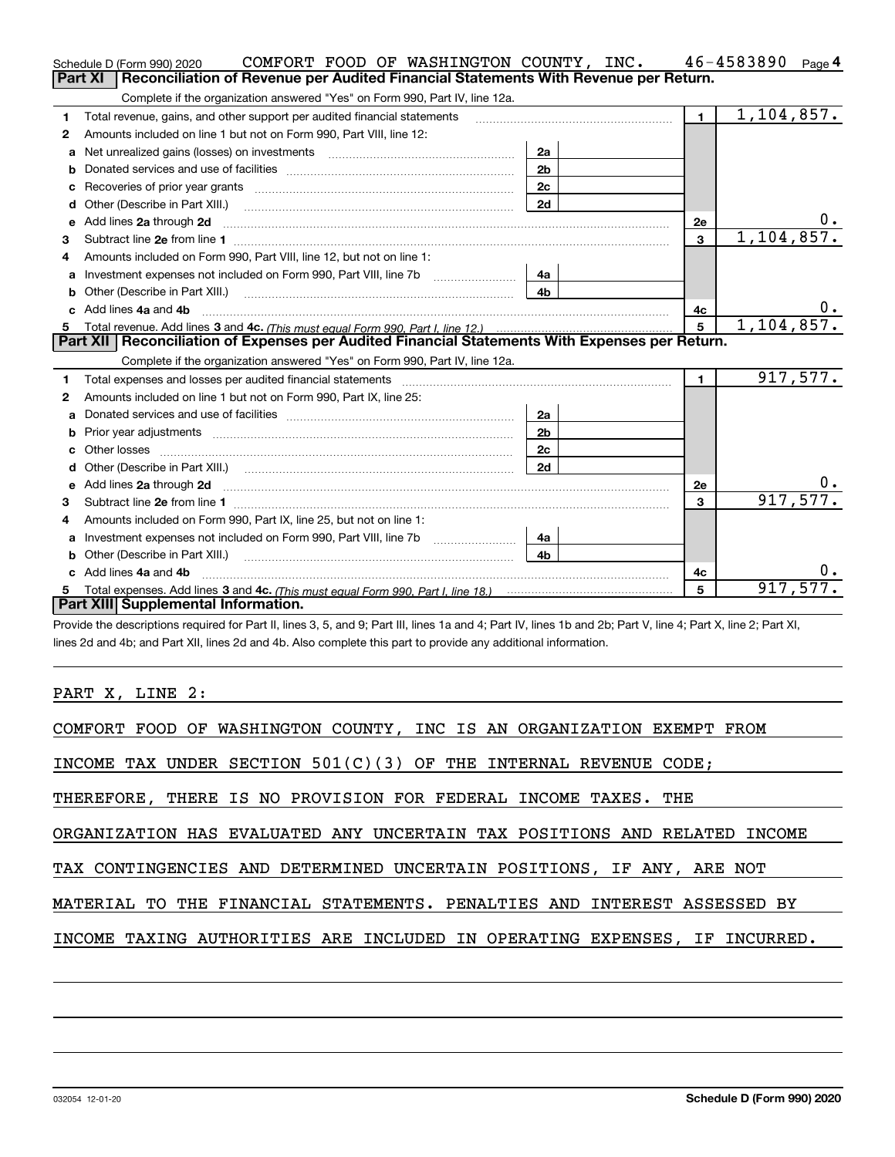|    | COMFORT FOOD OF WASHINGTON COUNTY, INC.<br>Schedule D (Form 990) 2020                                                                                                                                                               |                |                 | $46 - 4583890$ Page 4 |
|----|-------------------------------------------------------------------------------------------------------------------------------------------------------------------------------------------------------------------------------------|----------------|-----------------|-----------------------|
|    | Part XI<br>Reconciliation of Revenue per Audited Financial Statements With Revenue per Return.                                                                                                                                      |                |                 |                       |
|    | Complete if the organization answered "Yes" on Form 990, Part IV, line 12a.                                                                                                                                                         |                |                 |                       |
| 1  | Total revenue, gains, and other support per audited financial statements                                                                                                                                                            |                | $\mathbf{1}$    | 1,104,857.            |
| 2  | Amounts included on line 1 but not on Form 990, Part VIII, line 12:                                                                                                                                                                 |                |                 |                       |
| a  | Net unrealized gains (losses) on investments [11] matter contracts and the unrealized gains (losses) on investments                                                                                                                 | 2a             |                 |                       |
|    |                                                                                                                                                                                                                                     | 2 <sub>b</sub> |                 |                       |
| с  | Recoveries of prior year grants [11] Recoveries of prior year grants [11] Recoveries of prior year grants                                                                                                                           | 2c             |                 |                       |
| d  |                                                                                                                                                                                                                                     | 2d             |                 |                       |
| е  | Add lines 2a through 2d <b>must be a constructed as the constant of the S2a</b> through 2d mess construction of the state of the state of the state of the state of the state of the state of the state of the state of the state o |                | 2e              |                       |
| З. |                                                                                                                                                                                                                                     |                | $\overline{3}$  | 1,104,857.            |
|    | Amounts included on Form 990, Part VIII, line 12, but not on line 1:                                                                                                                                                                |                |                 |                       |
|    |                                                                                                                                                                                                                                     | 4a             |                 |                       |
| b  |                                                                                                                                                                                                                                     | 4 <sub>b</sub> |                 |                       |
| c. | Add lines 4a and 4b                                                                                                                                                                                                                 |                | 4с              | 0.                    |
| 5  |                                                                                                                                                                                                                                     |                | $5\overline{5}$ | 1, 104, 857.          |
|    |                                                                                                                                                                                                                                     |                |                 |                       |
|    | Part XII   Reconciliation of Expenses per Audited Financial Statements With Expenses per Return.                                                                                                                                    |                |                 |                       |
|    | Complete if the organization answered "Yes" on Form 990, Part IV, line 12a.                                                                                                                                                         |                |                 |                       |
| 1  | Total expenses and losses per audited financial statements [111] [12] contraction controller and contract the statements [12] [12] and contract the statements [12] and contract the statement of the statement of the stateme      |                | $\mathbf{1}$    | 917,577.              |
| 2  | Amounts included on line 1 but not on Form 990, Part IX, line 25:                                                                                                                                                                   |                |                 |                       |
| a  |                                                                                                                                                                                                                                     | 2a             |                 |                       |
| b  |                                                                                                                                                                                                                                     | 2 <sub>b</sub> |                 |                       |
|    |                                                                                                                                                                                                                                     | 2c             |                 |                       |
|    |                                                                                                                                                                                                                                     | 2d             |                 |                       |
| е  |                                                                                                                                                                                                                                     |                | <b>2e</b>       | 0.                    |
| 3  | Add lines 2a through 2d <b>contained a contained a contained a contained a</b> contained a contained a contained a contained a contained a contained a contained a contained a contained a contained a contained a contained a cont |                | 3               | 917,577.              |
| 4  | Amounts included on Form 990, Part IX, line 25, but not on line 1:                                                                                                                                                                  |                |                 |                       |
| a  | Investment expenses not included on Form 990, Part VIII, line 7b [1000000000000000000000000000000000                                                                                                                                | 4a             |                 |                       |
|    |                                                                                                                                                                                                                                     | 4b             |                 |                       |
|    | Add lines 4a and 4b                                                                                                                                                                                                                 |                | 4c              |                       |
|    | Part XIII Supplemental Information.                                                                                                                                                                                                 |                | 5               | 917,577.              |

Provide the descriptions required for Part II, lines 3, 5, and 9; Part III, lines 1a and 4; Part IV, lines 1b and 2b; Part V, line 4; Part X, line 2; Part XI, lines 2d and 4b; and Part XII, lines 2d and 4b. Also complete this part to provide any additional information.

PART X, LINE 2:

| COMFORT FOOD OF WASHINGTON COUNTY, INC IS AN ORGANIZATION EXEMPT FROM      |
|----------------------------------------------------------------------------|
| INCOME TAX UNDER SECTION $501(C)(3)$ OF THE INTERNAL REVENUE CODE;         |
| THEREFORE, THERE IS NO PROVISION FOR FEDERAL INCOME TAXES. THE             |
| ORGANIZATION HAS EVALUATED ANY UNCERTAIN TAX POSITIONS AND RELATED INCOME  |
| TAX CONTINGENCIES AND DETERMINED UNCERTAIN POSITIONS, IF ANY, ARE NOT      |
| MATERIAL TO THE FINANCIAL STATEMENTS. PENALTIES AND INTEREST ASSESSED BY   |
| INCOME TAXING AUTHORITIES ARE INCLUDED IN OPERATING EXPENSES, IF INCURRED. |
|                                                                            |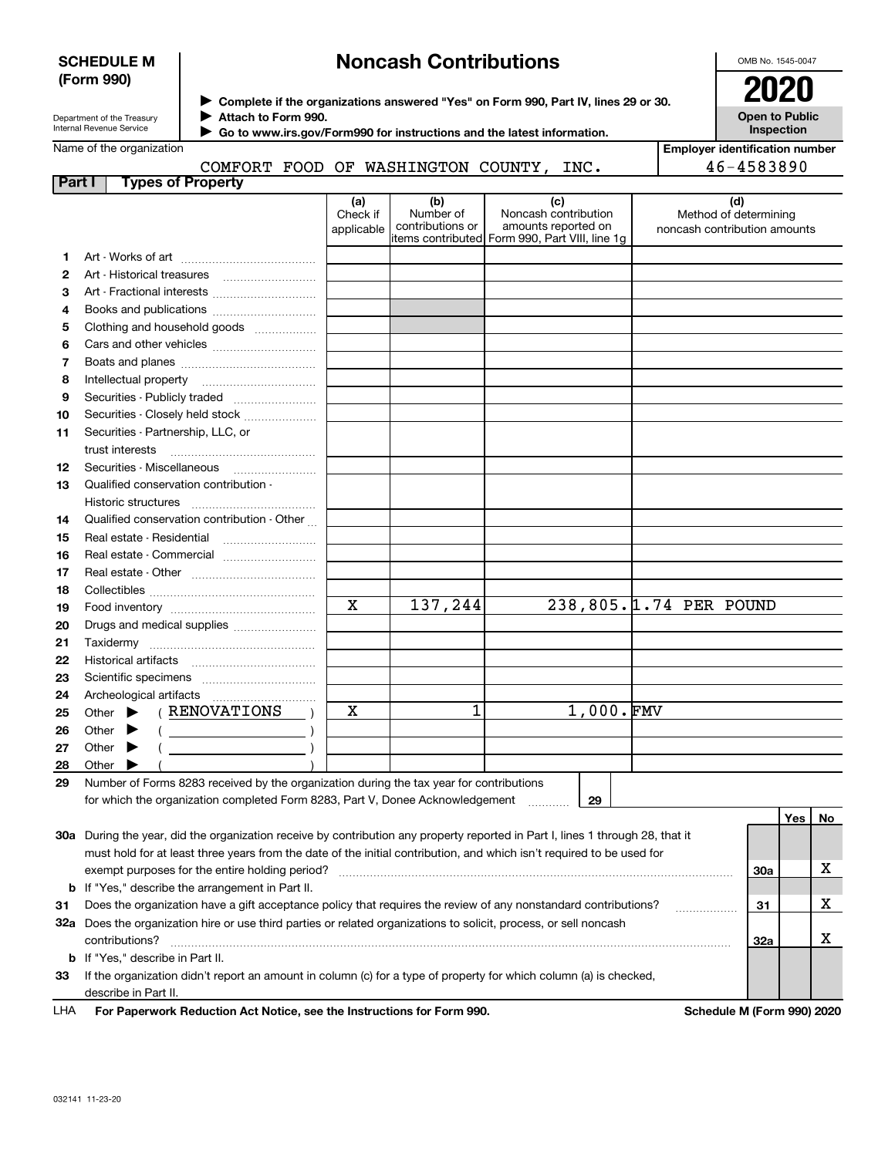#### **SCHEDULE M (Form 990)**

# **Noncash Contributions**

OMB No. 1545-0047

| Department of the Treasury |
|----------------------------|
| Internal Revenue Service   |

**Complete if the organizations answered "Yes" on Form 990, Part IV, lines 29 or 30.** <sup>J</sup>**2020 Attach to Form 990.** J

**Open to Public Inspection**

|  | Name of the organization |
|--|--------------------------|

 **Go to www.irs.gov/Form990 for instructions and the latest information.** J COMFORT FOOD OF WASHINGTON COUNTY, INC.

| <b>Employer identification number</b> |
|---------------------------------------|
| $46 - 4583890$                        |

| Part I | <b>Types of Property</b>                                                                                                       |                               |                                                           |                                                                                    |                                                              |     |           |
|--------|--------------------------------------------------------------------------------------------------------------------------------|-------------------------------|-----------------------------------------------------------|------------------------------------------------------------------------------------|--------------------------------------------------------------|-----|-----------|
|        |                                                                                                                                | (a)<br>Check if<br>applicable | (b)<br>Number of<br>contributions or<br>items contributed | (c)<br>Noncash contribution<br>amounts reported on<br>Form 990, Part VIII, line 1g | (d)<br>Method of determining<br>noncash contribution amounts |     |           |
| 1.     |                                                                                                                                |                               |                                                           |                                                                                    |                                                              |     |           |
| 2      |                                                                                                                                |                               |                                                           |                                                                                    |                                                              |     |           |
| З      | Art - Fractional interests                                                                                                     |                               |                                                           |                                                                                    |                                                              |     |           |
| 4      | Books and publications                                                                                                         |                               |                                                           |                                                                                    |                                                              |     |           |
| 5      | Clothing and household goods                                                                                                   |                               |                                                           |                                                                                    |                                                              |     |           |
| 6      |                                                                                                                                |                               |                                                           |                                                                                    |                                                              |     |           |
| 7      |                                                                                                                                |                               |                                                           |                                                                                    |                                                              |     |           |
| 8      | Intellectual property                                                                                                          |                               |                                                           |                                                                                    |                                                              |     |           |
| 9      | Securities - Publicly traded                                                                                                   |                               |                                                           |                                                                                    |                                                              |     |           |
| 10     | Securities - Closely held stock                                                                                                |                               |                                                           |                                                                                    |                                                              |     |           |
| 11     | Securities - Partnership, LLC, or                                                                                              |                               |                                                           |                                                                                    |                                                              |     |           |
|        | trust interests                                                                                                                |                               |                                                           |                                                                                    |                                                              |     |           |
| 12     |                                                                                                                                |                               |                                                           |                                                                                    |                                                              |     |           |
| 13     | Qualified conservation contribution -                                                                                          |                               |                                                           |                                                                                    |                                                              |     |           |
|        | Historic structures                                                                                                            |                               |                                                           |                                                                                    |                                                              |     |           |
| 14     | Qualified conservation contribution - Other                                                                                    |                               |                                                           |                                                                                    |                                                              |     |           |
| 15     | Real estate - Residential                                                                                                      |                               |                                                           |                                                                                    |                                                              |     |           |
| 16     | Real estate - Commercial                                                                                                       |                               |                                                           |                                                                                    |                                                              |     |           |
| 17     |                                                                                                                                |                               |                                                           |                                                                                    |                                                              |     |           |
| 18     |                                                                                                                                |                               |                                                           |                                                                                    |                                                              |     |           |
| 19     |                                                                                                                                | $\mathbf x$                   | 137,244                                                   |                                                                                    | 238,805.1.74 PER POUND                                       |     |           |
| 20     | Drugs and medical supplies                                                                                                     |                               |                                                           |                                                                                    |                                                              |     |           |
| 21     |                                                                                                                                |                               |                                                           |                                                                                    |                                                              |     |           |
| 22     |                                                                                                                                |                               |                                                           |                                                                                    |                                                              |     |           |
| 23     |                                                                                                                                |                               |                                                           |                                                                                    |                                                              |     |           |
| 24     |                                                                                                                                |                               |                                                           |                                                                                    |                                                              |     |           |
| 25     | ( RENOVATIONS<br>Other $\blacktriangleright$                                                                                   | х                             | 1                                                         | $1,000$ . FMV                                                                      |                                                              |     |           |
| 26     | Other $\blacktriangleright$<br>$($ $)$                                                                                         |                               |                                                           |                                                                                    |                                                              |     |           |
| 27     | Other $\blacktriangleright$                                                                                                    |                               |                                                           |                                                                                    |                                                              |     |           |
| 28     | Other                                                                                                                          |                               |                                                           |                                                                                    |                                                              |     |           |
| 29     | Number of Forms 8283 received by the organization during the tax year for contributions                                        |                               |                                                           |                                                                                    |                                                              |     |           |
|        | for which the organization completed Form 8283, Part V, Donee Acknowledgement                                                  |                               |                                                           | 29                                                                                 |                                                              | Yes | <u>No</u> |
|        | 30a During the year, did the organization receive by contribution any property reported in Part I, lines 1 through 28, that it |                               |                                                           |                                                                                    |                                                              |     |           |
|        | must hold for at least three years from the date of the initial contribution, and which isn't required to be used for          |                               |                                                           |                                                                                    |                                                              |     |           |
|        | exempt purposes for the entire holding period?                                                                                 |                               |                                                           |                                                                                    |                                                              | 30a | х         |
|        | <b>b</b> If "Yes," describe the arrangement in Part II.                                                                        |                               |                                                           |                                                                                    |                                                              |     |           |
| 31     | Does the organization have a gift acceptance policy that requires the review of any nonstandard contributions?                 |                               |                                                           |                                                                                    |                                                              | 31  | х         |
|        | 32a Does the organization hire or use third parties or related organizations to solicit, process, or sell noncash              |                               |                                                           |                                                                                    |                                                              |     |           |
|        | contributions?                                                                                                                 |                               |                                                           |                                                                                    |                                                              | 32a | х         |

For Paperwork Reduction Act Notice, see the Instructions for Form 990. **Schedule M (Form 990) 2020** LHA

**33**If the organization didn't report an amount in column (c) for a type of property for which column (a) is checked,

**b** If "Yes," describe in Part II.

describe in Part II.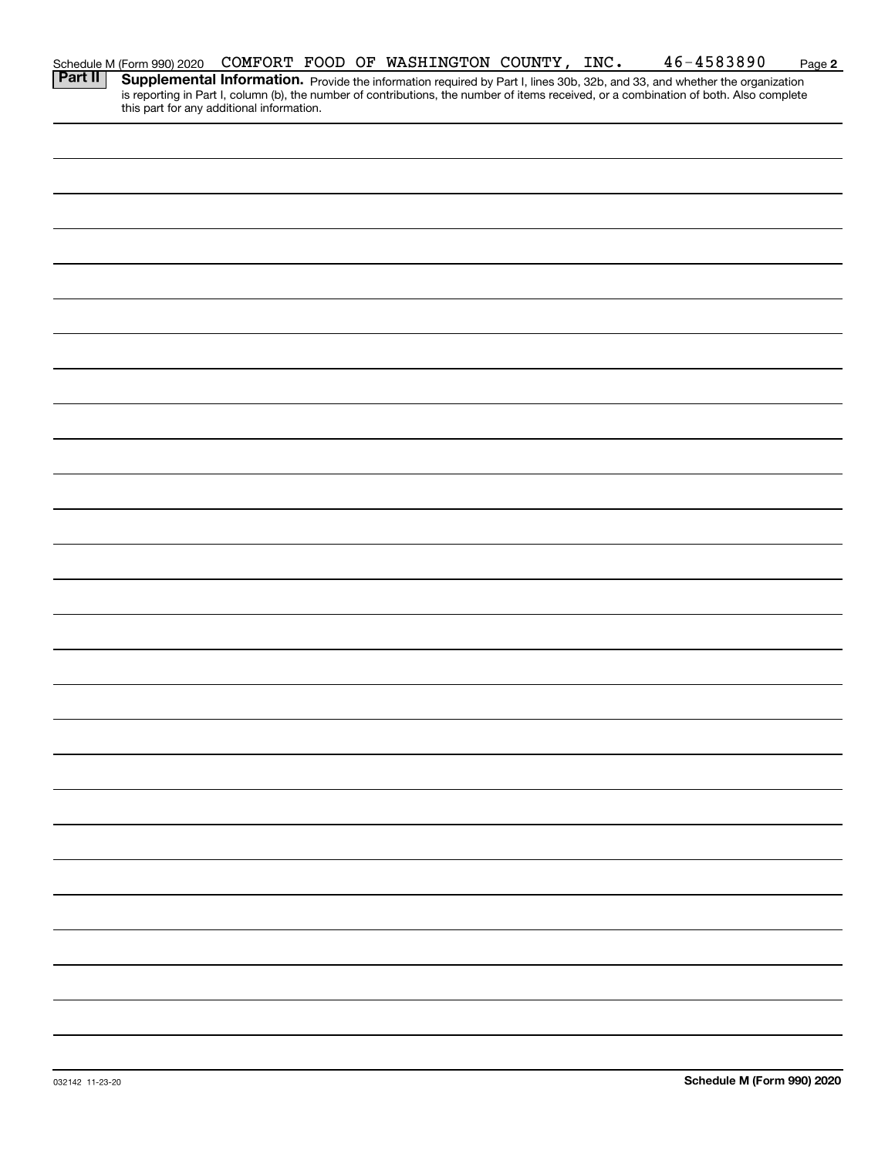|                                                            |  | COMFORT FOOD OF WASHINGTON COUNTY, INC. |  | 46-4583890                                                                                                                                                                                                                          | Page 2 |
|------------------------------------------------------------|--|-----------------------------------------|--|-------------------------------------------------------------------------------------------------------------------------------------------------------------------------------------------------------------------------------------|--------|
| Schedule M (Form 990) 2020<br><b>Part II</b>   Supplementa |  |                                         |  | <b>Supplemental Information.</b> Provide the information required by Part I, lines 30b, 32b, and 33, and whether the organization is reporting in Part I, column (b), the number of contributions, the number of items received, or |        |
| this part for any additional information.                  |  |                                         |  |                                                                                                                                                                                                                                     |        |
|                                                            |  |                                         |  |                                                                                                                                                                                                                                     |        |
|                                                            |  |                                         |  |                                                                                                                                                                                                                                     |        |
|                                                            |  |                                         |  |                                                                                                                                                                                                                                     |        |
|                                                            |  |                                         |  |                                                                                                                                                                                                                                     |        |
|                                                            |  |                                         |  |                                                                                                                                                                                                                                     |        |
|                                                            |  |                                         |  |                                                                                                                                                                                                                                     |        |
|                                                            |  |                                         |  |                                                                                                                                                                                                                                     |        |
|                                                            |  |                                         |  |                                                                                                                                                                                                                                     |        |
|                                                            |  |                                         |  |                                                                                                                                                                                                                                     |        |
|                                                            |  |                                         |  |                                                                                                                                                                                                                                     |        |
|                                                            |  |                                         |  |                                                                                                                                                                                                                                     |        |
|                                                            |  |                                         |  |                                                                                                                                                                                                                                     |        |
|                                                            |  |                                         |  |                                                                                                                                                                                                                                     |        |
|                                                            |  |                                         |  |                                                                                                                                                                                                                                     |        |
|                                                            |  |                                         |  |                                                                                                                                                                                                                                     |        |
|                                                            |  |                                         |  |                                                                                                                                                                                                                                     |        |
|                                                            |  |                                         |  |                                                                                                                                                                                                                                     |        |
|                                                            |  |                                         |  |                                                                                                                                                                                                                                     |        |
|                                                            |  |                                         |  |                                                                                                                                                                                                                                     |        |
|                                                            |  |                                         |  |                                                                                                                                                                                                                                     |        |
|                                                            |  |                                         |  |                                                                                                                                                                                                                                     |        |
|                                                            |  |                                         |  |                                                                                                                                                                                                                                     |        |
|                                                            |  |                                         |  |                                                                                                                                                                                                                                     |        |
|                                                            |  |                                         |  |                                                                                                                                                                                                                                     |        |
|                                                            |  |                                         |  |                                                                                                                                                                                                                                     |        |
|                                                            |  |                                         |  |                                                                                                                                                                                                                                     |        |
|                                                            |  |                                         |  |                                                                                                                                                                                                                                     |        |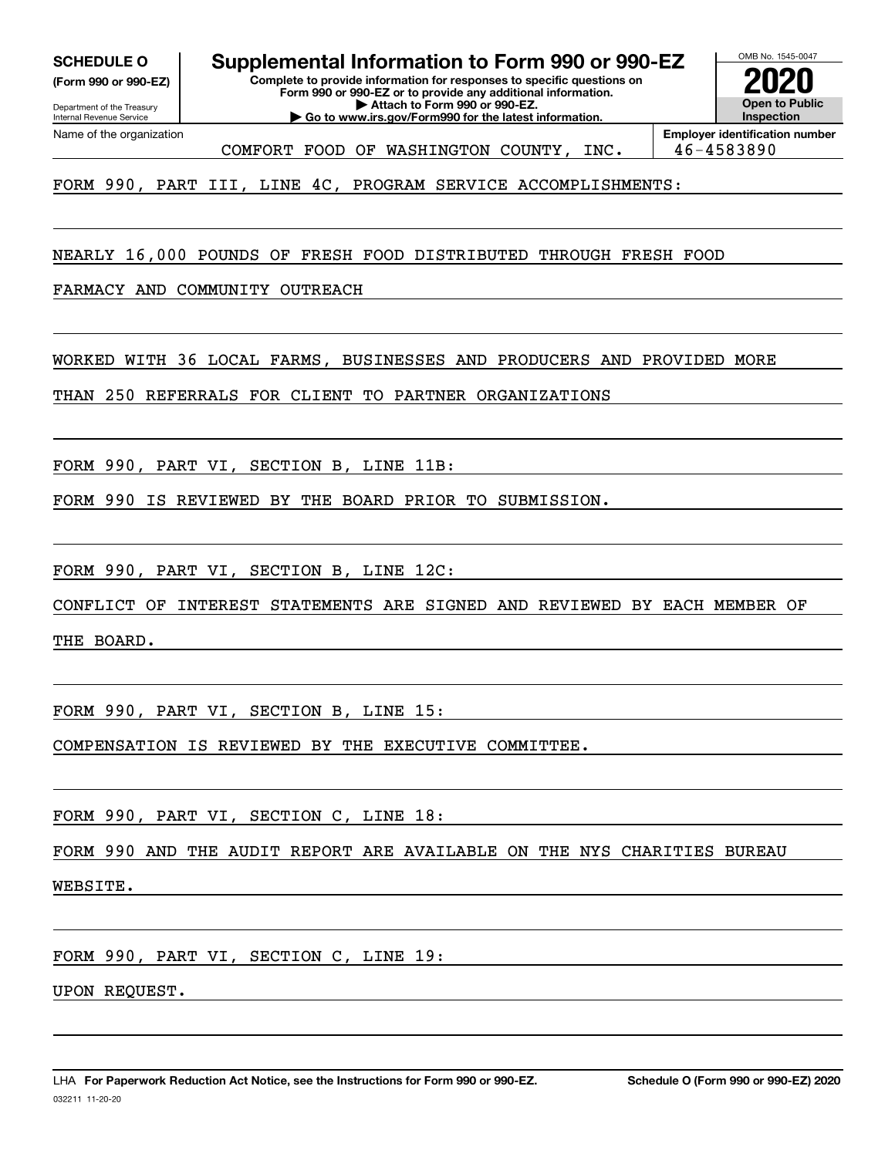**(Form 990 or 990-EZ)**

Department of the Treasury Internal Revenue Service Name of the organization

**Complete to provide information for responses to specific questions on SCHEDULE O Supplemental Information to Form 990 or 990-EZ**

**Form 990 or 990-EZ or to provide any additional information. | Attach to Form 990 or 990-EZ.**

**| Go to www.irs.gov/Form990 for the latest information.**

OMB No. 1545-0047 **Open to Public Inspection2020**

**Employer identification number** COMFORT FOOD OF WASHINGTON COUNTY, INC. | 46-4583890

FORM 990, PART III, LINE 4C, PROGRAM SERVICE ACCOMPLISHMENTS:

NEARLY 16,000 POUNDS OF FRESH FOOD DISTRIBUTED THROUGH FRESH FOOD

FARMACY AND COMMUNITY OUTREACH

WORKED WITH 36 LOCAL FARMS, BUSINESSES AND PRODUCERS AND PROVIDED MORE

THAN 250 REFERRALS FOR CLIENT TO PARTNER ORGANIZATIONS

FORM 990, PART VI, SECTION B, LINE 11B:

FORM 990 IS REVIEWED BY THE BOARD PRIOR TO SUBMISSION.

FORM 990, PART VI, SECTION B, LINE 12C:

CONFLICT OF INTEREST STATEMENTS ARE SIGNED AND REVIEWED BY EACH MEMBER OF

THE BOARD.

FORM 990, PART VI, SECTION B, LINE 15:

COMPENSATION IS REVIEWED BY THE EXECUTIVE COMMITTEE.

FORM 990, PART VI, SECTION C, LINE 18:

FORM 990 AND THE AUDIT REPORT ARE AVAILABLE ON THE NYS CHARITIES BUREAU

WEBSITE.

FORM 990, PART VI, SECTION C, LINE 19:

UPON REQUEST.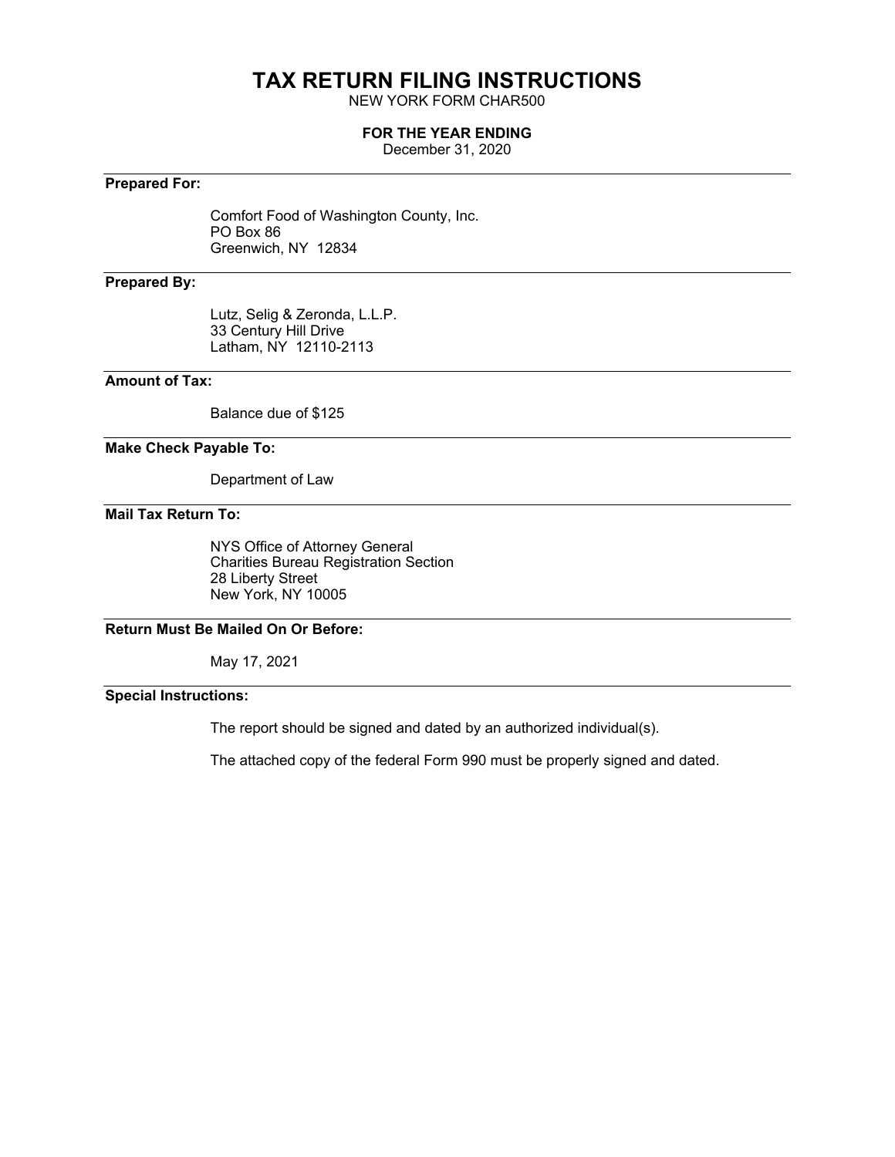# **TAX RETURN FILING INSTRUCTIONS**

NEW YORK FORM CHAR500

#### **FOR THE YEAR ENDING**

December 31, 2020

#### **Prepared For:**

Comfort Food of Washington County, Inc. PO Box 86 Greenwich, NY 12834

#### **Prepared By:**

Lutz, Selig & Zeronda, L.L.P. 33 Century Hill Drive Latham, NY 12110-2113

#### **Amount of Tax:**

Balance due of \$125

#### **Make Check Payable To:**

Department of Law

#### **Mail Tax Return To:**

NYS Office of Attorney General Charities Bureau Registration Section 28 Liberty Street New York, NY 10005

#### **Return Must Be Mailed On Or Before:**

May 17, 2021

#### **Special Instructions:**

The report should be signed and dated by an authorized individual(s).

The attached copy of the federal Form 990 must be properly signed and dated.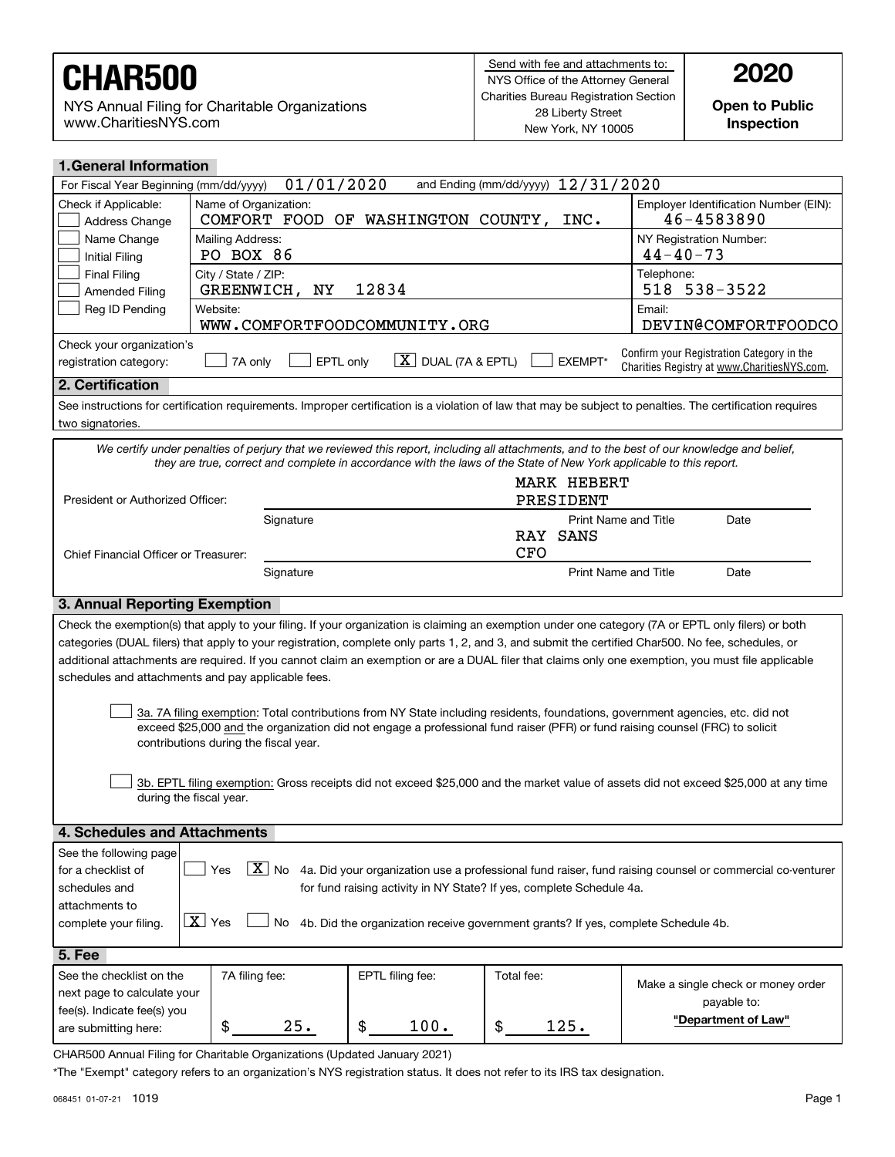NYS Annual Filing for Charitable Organizations www.CharitiesNYS.com

**Open to Public Inspection**

| <b>1. General Information</b>                                                                                                                                 |                                                                                                                                  |                                                                                |                                                                                                                     |                    |                                                                                                                                                            |  |  |
|---------------------------------------------------------------------------------------------------------------------------------------------------------------|----------------------------------------------------------------------------------------------------------------------------------|--------------------------------------------------------------------------------|---------------------------------------------------------------------------------------------------------------------|--------------------|------------------------------------------------------------------------------------------------------------------------------------------------------------|--|--|
| 01/01/2020<br>12/31/2020<br>and Ending (mm/dd/yyyy)<br>For Fiscal Year Beginning (mm/dd/yyyy)                                                                 |                                                                                                                                  |                                                                                |                                                                                                                     |                    |                                                                                                                                                            |  |  |
| Check if Applicable:<br>Address Change                                                                                                                        | Name of Organization:<br>Employer Identification Number (EIN):<br>COMFORT FOOD<br>OF<br>WASHINGTON COUNTY,<br>INC.<br>46-4583890 |                                                                                |                                                                                                                     |                    |                                                                                                                                                            |  |  |
| Name Change<br><b>Initial Filing</b>                                                                                                                          | Mailing Address:<br>NY Registration Number:<br>$44 - 40 - 73$<br>PO BOX 86                                                       |                                                                                |                                                                                                                     |                    |                                                                                                                                                            |  |  |
| <b>Final Filing</b><br><b>Amended Filing</b>                                                                                                                  |                                                                                                                                  | City / State / ZIP:<br>Telephone:<br>12834<br>518 538-3522<br>GREENWICH,<br>ΝY |                                                                                                                     |                    |                                                                                                                                                            |  |  |
| Reg ID Pending                                                                                                                                                | Website:                                                                                                                         |                                                                                | WWW.COMFORTFOODCOMMUNITY.ORG                                                                                        |                    | Email:<br>DEVIN@COMFORTFOODCO                                                                                                                              |  |  |
| Check your organization's<br>registration category:                                                                                                           | 7A only                                                                                                                          | EPTL only                                                                      | $X$ DUAL (7A & EPTL)                                                                                                | EXEMPT*            | Confirm your Registration Category in the<br>Charities Registry at www.CharitiesNYS.com.                                                                   |  |  |
| 2. Certification                                                                                                                                              |                                                                                                                                  |                                                                                |                                                                                                                     |                    |                                                                                                                                                            |  |  |
| two signatories.                                                                                                                                              |                                                                                                                                  |                                                                                |                                                                                                                     |                    | See instructions for certification requirements. Improper certification is a violation of law that may be subject to penalties. The certification requires |  |  |
|                                                                                                                                                               |                                                                                                                                  |                                                                                | they are true, correct and complete in accordance with the laws of the State of New York applicable to this report. |                    | We certify under penalties of perjury that we reviewed this report, including all attachments, and to the best of our knowledge and belief,                |  |  |
|                                                                                                                                                               |                                                                                                                                  |                                                                                |                                                                                                                     | <b>MARK HEBERT</b> |                                                                                                                                                            |  |  |
| President or Authorized Officer:                                                                                                                              |                                                                                                                                  |                                                                                |                                                                                                                     | PRESIDENT          |                                                                                                                                                            |  |  |
|                                                                                                                                                               |                                                                                                                                  | Signature                                                                      |                                                                                                                     |                    | <b>Print Name and Title</b><br>Date                                                                                                                        |  |  |
|                                                                                                                                                               |                                                                                                                                  |                                                                                |                                                                                                                     | RAY SANS           |                                                                                                                                                            |  |  |
| Chief Financial Officer or Treasurer:                                                                                                                         |                                                                                                                                  |                                                                                |                                                                                                                     | <b>CFO</b>         |                                                                                                                                                            |  |  |
| Signature<br>Print Name and Title<br>Date                                                                                                                     |                                                                                                                                  |                                                                                |                                                                                                                     |                    |                                                                                                                                                            |  |  |
| 3. Annual Reporting Exemption                                                                                                                                 |                                                                                                                                  |                                                                                |                                                                                                                     |                    |                                                                                                                                                            |  |  |
|                                                                                                                                                               |                                                                                                                                  |                                                                                |                                                                                                                     |                    | Check the exemption(s) that apply to your filing. If your organization is claiming an exemption under one category (7A or EPTL only filers) or both        |  |  |
|                                                                                                                                                               |                                                                                                                                  |                                                                                |                                                                                                                     |                    | categories (DUAL filers) that apply to your registration, complete only parts 1, 2, and 3, and submit the certified Char500. No fee, schedules, or         |  |  |
|                                                                                                                                                               |                                                                                                                                  |                                                                                |                                                                                                                     |                    | additional attachments are required. If you cannot claim an exemption or are a DUAL filer that claims only one exemption, you must file applicable         |  |  |
| schedules and attachments and pay applicable fees.                                                                                                            |                                                                                                                                  |                                                                                |                                                                                                                     |                    |                                                                                                                                                            |  |  |
|                                                                                                                                                               |                                                                                                                                  |                                                                                |                                                                                                                     |                    |                                                                                                                                                            |  |  |
|                                                                                                                                                               |                                                                                                                                  |                                                                                |                                                                                                                     |                    | 3a. 7A filing exemption: Total contributions from NY State including residents, foundations, government agencies, etc. did not                             |  |  |
|                                                                                                                                                               |                                                                                                                                  |                                                                                |                                                                                                                     |                    | exceed \$25,000 and the organization did not engage a professional fund raiser (PFR) or fund raising counsel (FRC) to solicit                              |  |  |
|                                                                                                                                                               | contributions during the fiscal year.                                                                                            |                                                                                |                                                                                                                     |                    |                                                                                                                                                            |  |  |
|                                                                                                                                                               |                                                                                                                                  |                                                                                |                                                                                                                     |                    | 3b. EPTL filing exemption: Gross receipts did not exceed \$25,000 and the market value of assets did not exceed \$25,000 at any time                       |  |  |
| during the fiscal year.                                                                                                                                       |                                                                                                                                  |                                                                                |                                                                                                                     |                    |                                                                                                                                                            |  |  |
| 4. Schedules and Attachments                                                                                                                                  |                                                                                                                                  |                                                                                |                                                                                                                     |                    |                                                                                                                                                            |  |  |
| See the following page                                                                                                                                        |                                                                                                                                  |                                                                                |                                                                                                                     |                    |                                                                                                                                                            |  |  |
| $\boxed{\textbf{X}}$ No 4a. Did your organization use a professional fund raiser, fund raising counsel or commercial co-venturer<br>Yes<br>for a checklist of |                                                                                                                                  |                                                                                |                                                                                                                     |                    |                                                                                                                                                            |  |  |
| for fund raising activity in NY State? If yes, complete Schedule 4a.<br>schedules and                                                                         |                                                                                                                                  |                                                                                |                                                                                                                     |                    |                                                                                                                                                            |  |  |
| attachments to                                                                                                                                                |                                                                                                                                  |                                                                                |                                                                                                                     |                    |                                                                                                                                                            |  |  |
| $\boxed{\mathbf{X}}$ Yes<br>4b. Did the organization receive government grants? If yes, complete Schedule 4b.<br>complete your filing.<br>No.                 |                                                                                                                                  |                                                                                |                                                                                                                     |                    |                                                                                                                                                            |  |  |
| 5. Fee                                                                                                                                                        |                                                                                                                                  |                                                                                |                                                                                                                     |                    |                                                                                                                                                            |  |  |
| See the checklist on the                                                                                                                                      | 7A filing fee:                                                                                                                   |                                                                                | EPTL filing fee:                                                                                                    | Total fee:         |                                                                                                                                                            |  |  |
| next page to calculate your                                                                                                                                   |                                                                                                                                  |                                                                                |                                                                                                                     |                    | Make a single check or money order                                                                                                                         |  |  |
| fee(s). Indicate fee(s) you                                                                                                                                   |                                                                                                                                  |                                                                                |                                                                                                                     |                    | payable to:                                                                                                                                                |  |  |
| are submitting here:                                                                                                                                          | \$                                                                                                                               | 25.                                                                            | \$<br>100.                                                                                                          | \$<br>125.         | "Department of Law"                                                                                                                                        |  |  |
|                                                                                                                                                               |                                                                                                                                  |                                                                                |                                                                                                                     |                    |                                                                                                                                                            |  |  |

CHAR500 Annual Filing for Charitable Organizations (Updated January 2021)

\*The "Exempt" category refers to an organization's NYS registration status. It does not refer to its IRS tax designation.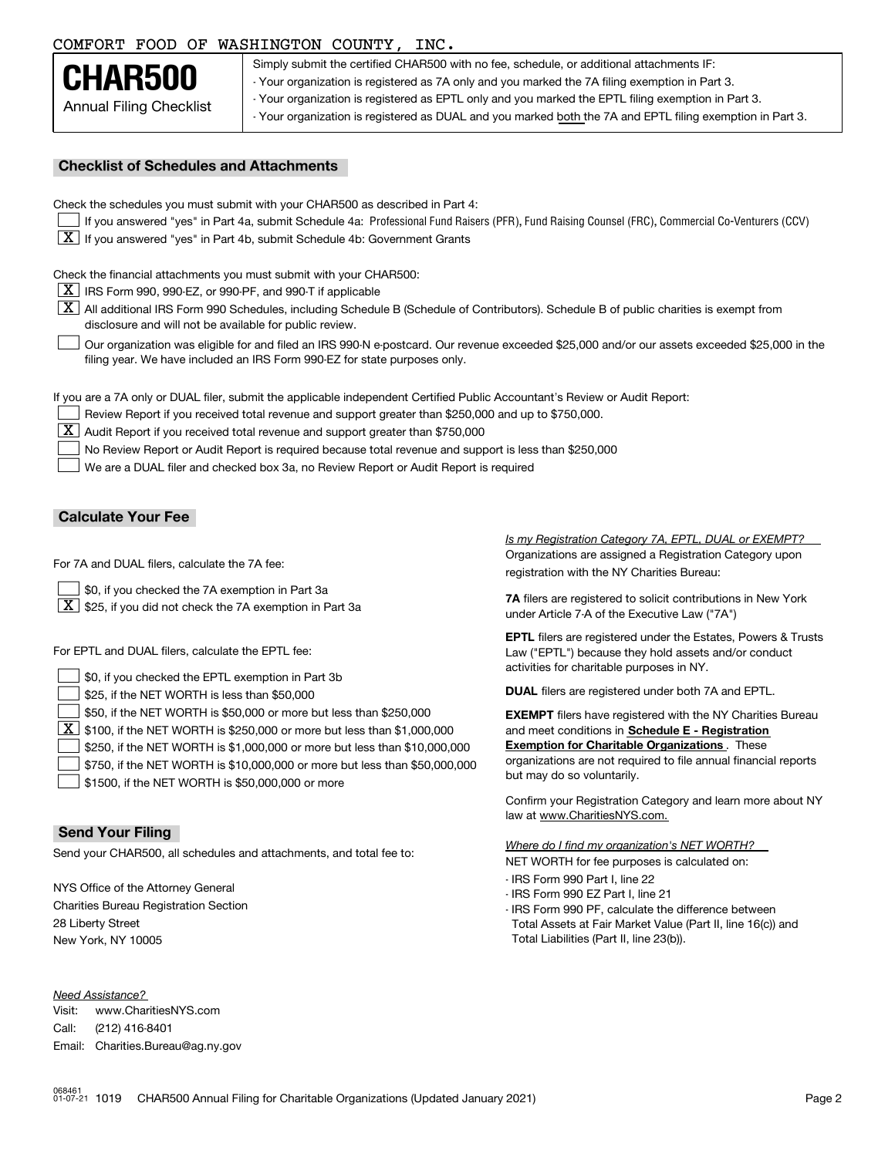#### COMFORT FOOD OF WASHINGTON COUNTY, INC.

Annual Filing Checklist **CHAR500**

Simply submit the certified CHAR500 with no fee, schedule, or additional attachments IF: - Your organization is registered as 7A only and you marked the 7A filing exemption in Part 3.

- Your organization is registered as EPTL only and you marked the EPTL filing exemption in Part 3.

- Your organization is registered as DUAL and you marked both the 7A and EPTL filing exemption in Part 3.

#### **Checklist of Schedules and Attachments**

Check the schedules you must submit with your CHAR500 as described in Part 4:

- If you answered "yes" in Part 4a, submit Schedule 4a: Professional Fund Raisers (PFR), Fund Raising Counsel (FRC), Commercial Co-Venturers (CCV)
- $\boxed{\textbf{X}}$  If you answered "yes" in Part 4b, submit Schedule 4b: Government Grants

Check the financial attachments you must submit with your CHAR500:

 $\boxed{\textbf{X}}$  IRS Form 990, 990-EZ, or 990-PF, and 990-T if applicable

 $|\overline{\textbf{X}}|$  All additional IRS Form 990 Schedules, including Schedule B (Schedule of Contributors). Schedule B of public charities is exempt from disclosure and will not be available for public review.

Our organization was eligible for and filed an IRS 990-N e-postcard. Our revenue exceeded \$25,000 and/or our assets exceeded \$25,000 in the filing year. We have included an IRS Form 990-EZ for state purposes only.  $\mathcal{L}^{\text{max}}$ 

If you are a 7A only or DUAL filer, submit the applicable independent Certified Public Accountant's Review or Audit Report:

Review Report if you received total revenue and support greater than \$250,000 and up to \$750,000.  $\mathcal{L}^{\text{max}}$ 

 $\boxed{\textbf{X}}$  Audit Report if you received total revenue and support greater than \$750,000

No Review Report or Audit Report is required because total revenue and support is less than \$250,000  $\mathcal{L}^{\text{max}}$ 

We are a DUAL filer and checked box 3a, no Review Report or Audit Report is required  $\mathcal{L}^{\text{max}}$ 

#### **Calculate Your Fee**

For 7A and DUAL filers, calculate the 7A fee:

- \$0, if you checked the 7A exemption in Part 3a  $\mathcal{L}^{\text{max}}$
- $\boxed{\textbf{X}}$  \$25, if you did not check the 7A exemption in Part 3a

For EPTL and DUAL filers, calculate the EPTL fee:

| $\Box$ \$0, if you checked the EPTL exemption in Part 3b                                    | activities for charitable purposes in NY.                         |
|---------------------------------------------------------------------------------------------|-------------------------------------------------------------------|
| $\boxed{\phantom{0}}$ \$25, if the NET WORTH is less than \$50,000                          | <b>DUAL</b> filers are registered under both 7A and EPTL.         |
| $\Box$ \$50, if the NET WORTH is \$50,000 or more but less than \$250,000                   | <b>EXEMPT</b> filers have registered with the NY Charities Bureau |
| $\boxed{\textbf{X}}$ \$100, if the NET WORTH is \$250,000 or more but less than \$1,000,000 | and meet conditions in Schedule E - Registration                  |
| $\Box$ \$250, if the NET WORTH is \$1,000,000 or more but less than \$10,000,000            | <b>Exemption for Charitable Organizations.</b> These              |
| $\Box$ \$750, if the NET WORTH is \$10,000,000 or more but less than \$50,000,000           | organizations are not required to file annual financial reports   |
| $\rfloor$ \$1500, if the NET WORTH is \$50,000,000 or more                                  | but may do so voluntarily.                                        |

#### **Send Your Filing**

Send your CHAR500, all schedules and attachments, and total fee to:

NYS Office of the Attorney General Charities Bureau Registration Section 28 Liberty Street New York, NY 10005

*Need Assistance?*

Visit:Call:Email:Charities.Bureau@ag.ny.gov www.CharitiesNYS.com(212) 416-8401

Organizations are assigned a Registration Category upon registration with the NY Charities Bureau: *Is my Registration Category 7A, EPTL, DUAL or EXEMPT?* 

**7A** filers are registered to solicit contributions in New York under Article 7-A of the Executive Law ("7A")

**EPTL** filers are registered under the Estates, Powers & Trusts Law ("EPTL") because they hold assets and/or conduct activities for charitable purposes in NY.

Confirm your Registration Category and learn more about NY law at www.CharitiesNYS.com.

NET WORTH for fee purposes is calculated on: *Where do I find my organization's NET WORTH?*

- IRS Form 990 Part I, line 22
- IRS Form 990 EZ Part I, line 21
- IRS Form 990 PF, calculate the difference between Total Assets at Fair Market Value (Part II, line 16(c)) and Total Liabilities (Part II, line 23(b)).